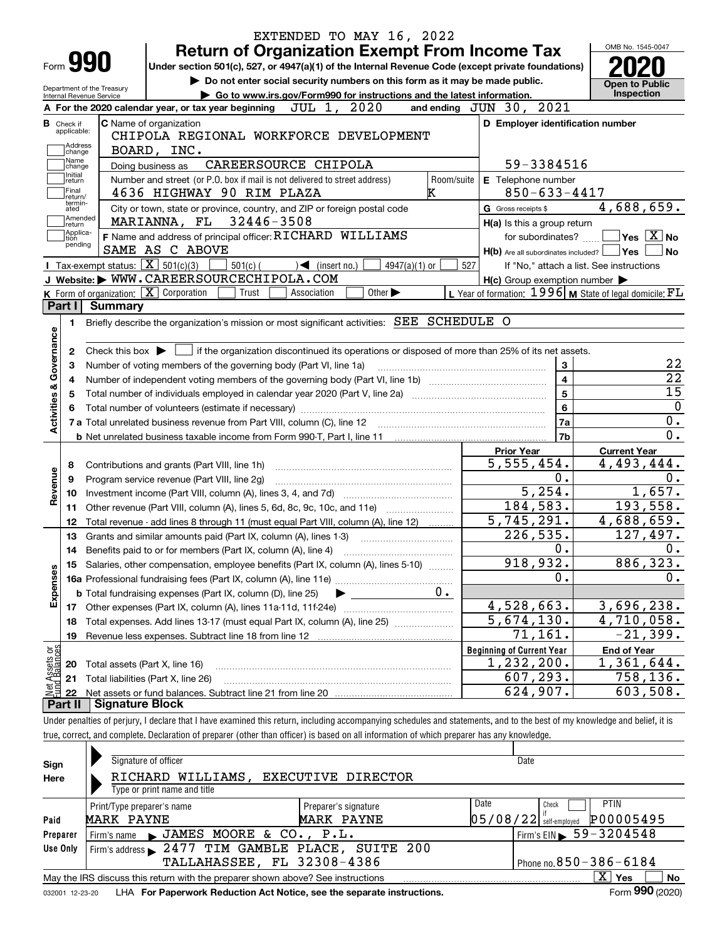| <b>Return of Organization Exempt From Income Tax</b><br>Form 990<br>Under section 501(c), 527, or 4947(a)(1) of the Internal Revenue Code (except private foundations)<br>Do not enter social security numbers on this form as it may be made public.<br><b>Open to Public</b><br>Department of the Treasury<br>Inspection<br>Go to www.irs.gov/Form990 for instructions and the latest information.<br>Internal Revenue Service<br>JUL 1, 2020<br>and ending JUN 30, 2021<br>A For the 2020 calendar year, or tax year beginning<br>C Name of organization<br>D Employer identification number<br>в<br>Check if<br>applicable:<br>CHIPOLA REGIONAL WORKFORCE DEVELOPMENT<br>Address<br>BOARD, INC.<br>change<br>Name<br>59-3384516<br>CAREERSOURCE CHIPOLA<br>Doing business as<br>change<br>Initial<br>Number and street (or P.O. box if mail is not delivered to street address)<br>Room/suite<br>E Telephone number<br>return<br>Final<br>4636 HIGHWAY 90 RIM PLAZA<br>K<br>$850 - 633 - 4417$<br>return/<br>termin-<br>4,688,659.<br>City or town, state or province, country, and ZIP or foreign postal code<br>G Gross receipts \$<br>ated<br> Amended<br>MARIANNA, FL 32446-3508<br>H(a) Is this a group return<br> return<br>Applica-<br>F Name and address of principal officer: RICHARD WILLIAMS<br>$\blacksquare$ Yes $\lceil$ $\overline{\mathrm{X}}\rceil$ No<br>for subordinates?<br>tion<br>pending<br>SAME AS C ABOVE<br>$H(b)$ Are all subordinates included? $\Box$ Yes<br><b>I</b> Tax-exempt status: $\overline{\mathbf{X}}$ 501(c)(3)<br>$501(c)$ (<br>$\sqrt{\frac{1}{1}}$ (insert no.)<br>$4947(a)(1)$ or<br>527<br>If "No," attach a list. See instructions<br>J Website: WWW.CAREERSOURCECHIPOLA.COM<br>$H(c)$ Group exemption number $\blacktriangleright$<br>K Form of organization: $\boxed{\mathbf{X}}$ Corporation<br>L Year of formation: $1996$ M State of legal domicile: $FL$<br>Trust<br>Other $\blacktriangleright$<br>Association<br>Part I<br><b>Summary</b><br>Briefly describe the organization's mission or most significant activities: SEE SCHEDULE O<br>1.<br>Activities & Governance<br>Check this box $\blacktriangleright$ $\blacksquare$ if the organization discontinued its operations or disposed of more than 25% of its net assets.<br>2<br>3<br>Number of voting members of the governing body (Part VI, line 1a)<br>З<br>$\overline{4}$<br>$\overline{5}$<br>Total number of individuals employed in calendar year 2020 (Part V, line 2a) manufacture of individuals employed in calendar year 2020 (Part V, line 2a)<br>$6\phantom{a}$<br>7a<br>7 <sub>b</sub><br><b>Prior Year</b><br><b>Current Year</b><br>4,493,444.<br>5,555,454.<br>Contributions and grants (Part VIII, line 1h)<br>8<br>Revenue<br>0.<br>Program service revenue (Part VIII, line 2g)<br>9<br>5,254.<br>10<br>184,583.<br>193,558.<br>Other revenue (Part VIII, column (A), lines 5, 6d, 8c, 9c, 10c, and 11e)<br>11<br>5,745,291.<br>4,688,659.<br>Total revenue - add lines 8 through 11 (must equal Part VIII, column (A), line 12)<br>12<br>226, 535.<br>127,497.<br>Grants and similar amounts paid (Part IX, column (A), lines 1-3)<br>13<br>0.<br>Benefits paid to or for members (Part IX, column (A), line 4)<br>14<br>918,932.<br>886, 323.<br>15 Salaries, other compensation, employee benefits (Part IX, column (A), lines 5-10)<br>Expenses<br>0.<br>0.<br><b>b</b> Total fundraising expenses (Part IX, column (D), line 25)<br>▶<br>4,528,663.<br>3,696,238.<br>5,674,130.<br>$\overline{4}$ , 710, 058.<br>Total expenses. Add lines 13-17 (must equal Part IX, column (A), line 25)<br>18<br>71,161.<br>$-21,399.$<br>Revenue less expenses. Subtract line 18 from line 12<br>19<br>Assets or<br>d Balances<br><b>Beginning of Current Year</b><br><b>End of Year</b><br>1,361,644.<br>1,232,200.<br>Total assets (Part X, line 16)<br>20<br>607, 293.<br>758, 136.<br>Total liabilities (Part X, line 26)<br>21<br>624,907.<br>603,508.<br>22 | EXTENDED TO MAY 16, 2022                                                                                                                   |  |  |  | OMB No. 1545-0047 |  |  |
|---------------------------------------------------------------------------------------------------------------------------------------------------------------------------------------------------------------------------------------------------------------------------------------------------------------------------------------------------------------------------------------------------------------------------------------------------------------------------------------------------------------------------------------------------------------------------------------------------------------------------------------------------------------------------------------------------------------------------------------------------------------------------------------------------------------------------------------------------------------------------------------------------------------------------------------------------------------------------------------------------------------------------------------------------------------------------------------------------------------------------------------------------------------------------------------------------------------------------------------------------------------------------------------------------------------------------------------------------------------------------------------------------------------------------------------------------------------------------------------------------------------------------------------------------------------------------------------------------------------------------------------------------------------------------------------------------------------------------------------------------------------------------------------------------------------------------------------------------------------------------------------------------------------------------------------------------------------------------------------------------------------------------------------------------------------------------------------------------------------------------------------------------------------------------------------------------------------------------------------------------------------------------------------------------------------------------------------------------------------------------------------------------------------------------------------------------------------------------------------------------------------------------------------------------------------------------------------------------------------------------------------------------------------------------------------------------------------------------------------------------------------------------------------------------------------------------------------------------------------------------------------------------------------------------------------------------------------------------------------------------------------------------------------------------------------------------------------------------------------------------------------------------------------------------------------------------------------------------------------------------------------------------------------------------------------------------------------------------------------------------------------------------------------------------------------------------------------------------------------------------------------------------------------------------------------------------------------------------------------------------------------------------------------------------------------------------------------------------------------------------------------------------------------------------------------------------------------------------------------------------------------------------------------------------------------------------------------------------------------------------|--------------------------------------------------------------------------------------------------------------------------------------------|--|--|--|-------------------|--|--|
|                                                                                                                                                                                                                                                                                                                                                                                                                                                                                                                                                                                                                                                                                                                                                                                                                                                                                                                                                                                                                                                                                                                                                                                                                                                                                                                                                                                                                                                                                                                                                                                                                                                                                                                                                                                                                                                                                                                                                                                                                                                                                                                                                                                                                                                                                                                                                                                                                                                                                                                                                                                                                                                                                                                                                                                                                                                                                                                                                                                                                                                                                                                                                                                                                                                                                                                                                                                                                                                                                                                                                                                                                                                                                                                                                                                                                                                                                                                                                                                                   |                                                                                                                                            |  |  |  |                   |  |  |
|                                                                                                                                                                                                                                                                                                                                                                                                                                                                                                                                                                                                                                                                                                                                                                                                                                                                                                                                                                                                                                                                                                                                                                                                                                                                                                                                                                                                                                                                                                                                                                                                                                                                                                                                                                                                                                                                                                                                                                                                                                                                                                                                                                                                                                                                                                                                                                                                                                                                                                                                                                                                                                                                                                                                                                                                                                                                                                                                                                                                                                                                                                                                                                                                                                                                                                                                                                                                                                                                                                                                                                                                                                                                                                                                                                                                                                                                                                                                                                                                   |                                                                                                                                            |  |  |  |                   |  |  |
|                                                                                                                                                                                                                                                                                                                                                                                                                                                                                                                                                                                                                                                                                                                                                                                                                                                                                                                                                                                                                                                                                                                                                                                                                                                                                                                                                                                                                                                                                                                                                                                                                                                                                                                                                                                                                                                                                                                                                                                                                                                                                                                                                                                                                                                                                                                                                                                                                                                                                                                                                                                                                                                                                                                                                                                                                                                                                                                                                                                                                                                                                                                                                                                                                                                                                                                                                                                                                                                                                                                                                                                                                                                                                                                                                                                                                                                                                                                                                                                                   |                                                                                                                                            |  |  |  |                   |  |  |
|                                                                                                                                                                                                                                                                                                                                                                                                                                                                                                                                                                                                                                                                                                                                                                                                                                                                                                                                                                                                                                                                                                                                                                                                                                                                                                                                                                                                                                                                                                                                                                                                                                                                                                                                                                                                                                                                                                                                                                                                                                                                                                                                                                                                                                                                                                                                                                                                                                                                                                                                                                                                                                                                                                                                                                                                                                                                                                                                                                                                                                                                                                                                                                                                                                                                                                                                                                                                                                                                                                                                                                                                                                                                                                                                                                                                                                                                                                                                                                                                   |                                                                                                                                            |  |  |  |                   |  |  |
|                                                                                                                                                                                                                                                                                                                                                                                                                                                                                                                                                                                                                                                                                                                                                                                                                                                                                                                                                                                                                                                                                                                                                                                                                                                                                                                                                                                                                                                                                                                                                                                                                                                                                                                                                                                                                                                                                                                                                                                                                                                                                                                                                                                                                                                                                                                                                                                                                                                                                                                                                                                                                                                                                                                                                                                                                                                                                                                                                                                                                                                                                                                                                                                                                                                                                                                                                                                                                                                                                                                                                                                                                                                                                                                                                                                                                                                                                                                                                                                                   |                                                                                                                                            |  |  |  |                   |  |  |
|                                                                                                                                                                                                                                                                                                                                                                                                                                                                                                                                                                                                                                                                                                                                                                                                                                                                                                                                                                                                                                                                                                                                                                                                                                                                                                                                                                                                                                                                                                                                                                                                                                                                                                                                                                                                                                                                                                                                                                                                                                                                                                                                                                                                                                                                                                                                                                                                                                                                                                                                                                                                                                                                                                                                                                                                                                                                                                                                                                                                                                                                                                                                                                                                                                                                                                                                                                                                                                                                                                                                                                                                                                                                                                                                                                                                                                                                                                                                                                                                   |                                                                                                                                            |  |  |  |                   |  |  |
|                                                                                                                                                                                                                                                                                                                                                                                                                                                                                                                                                                                                                                                                                                                                                                                                                                                                                                                                                                                                                                                                                                                                                                                                                                                                                                                                                                                                                                                                                                                                                                                                                                                                                                                                                                                                                                                                                                                                                                                                                                                                                                                                                                                                                                                                                                                                                                                                                                                                                                                                                                                                                                                                                                                                                                                                                                                                                                                                                                                                                                                                                                                                                                                                                                                                                                                                                                                                                                                                                                                                                                                                                                                                                                                                                                                                                                                                                                                                                                                                   |                                                                                                                                            |  |  |  |                   |  |  |
|                                                                                                                                                                                                                                                                                                                                                                                                                                                                                                                                                                                                                                                                                                                                                                                                                                                                                                                                                                                                                                                                                                                                                                                                                                                                                                                                                                                                                                                                                                                                                                                                                                                                                                                                                                                                                                                                                                                                                                                                                                                                                                                                                                                                                                                                                                                                                                                                                                                                                                                                                                                                                                                                                                                                                                                                                                                                                                                                                                                                                                                                                                                                                                                                                                                                                                                                                                                                                                                                                                                                                                                                                                                                                                                                                                                                                                                                                                                                                                                                   |                                                                                                                                            |  |  |  |                   |  |  |
|                                                                                                                                                                                                                                                                                                                                                                                                                                                                                                                                                                                                                                                                                                                                                                                                                                                                                                                                                                                                                                                                                                                                                                                                                                                                                                                                                                                                                                                                                                                                                                                                                                                                                                                                                                                                                                                                                                                                                                                                                                                                                                                                                                                                                                                                                                                                                                                                                                                                                                                                                                                                                                                                                                                                                                                                                                                                                                                                                                                                                                                                                                                                                                                                                                                                                                                                                                                                                                                                                                                                                                                                                                                                                                                                                                                                                                                                                                                                                                                                   |                                                                                                                                            |  |  |  |                   |  |  |
|                                                                                                                                                                                                                                                                                                                                                                                                                                                                                                                                                                                                                                                                                                                                                                                                                                                                                                                                                                                                                                                                                                                                                                                                                                                                                                                                                                                                                                                                                                                                                                                                                                                                                                                                                                                                                                                                                                                                                                                                                                                                                                                                                                                                                                                                                                                                                                                                                                                                                                                                                                                                                                                                                                                                                                                                                                                                                                                                                                                                                                                                                                                                                                                                                                                                                                                                                                                                                                                                                                                                                                                                                                                                                                                                                                                                                                                                                                                                                                                                   |                                                                                                                                            |  |  |  |                   |  |  |
|                                                                                                                                                                                                                                                                                                                                                                                                                                                                                                                                                                                                                                                                                                                                                                                                                                                                                                                                                                                                                                                                                                                                                                                                                                                                                                                                                                                                                                                                                                                                                                                                                                                                                                                                                                                                                                                                                                                                                                                                                                                                                                                                                                                                                                                                                                                                                                                                                                                                                                                                                                                                                                                                                                                                                                                                                                                                                                                                                                                                                                                                                                                                                                                                                                                                                                                                                                                                                                                                                                                                                                                                                                                                                                                                                                                                                                                                                                                                                                                                   |                                                                                                                                            |  |  |  |                   |  |  |
|                                                                                                                                                                                                                                                                                                                                                                                                                                                                                                                                                                                                                                                                                                                                                                                                                                                                                                                                                                                                                                                                                                                                                                                                                                                                                                                                                                                                                                                                                                                                                                                                                                                                                                                                                                                                                                                                                                                                                                                                                                                                                                                                                                                                                                                                                                                                                                                                                                                                                                                                                                                                                                                                                                                                                                                                                                                                                                                                                                                                                                                                                                                                                                                                                                                                                                                                                                                                                                                                                                                                                                                                                                                                                                                                                                                                                                                                                                                                                                                                   |                                                                                                                                            |  |  |  |                   |  |  |
|                                                                                                                                                                                                                                                                                                                                                                                                                                                                                                                                                                                                                                                                                                                                                                                                                                                                                                                                                                                                                                                                                                                                                                                                                                                                                                                                                                                                                                                                                                                                                                                                                                                                                                                                                                                                                                                                                                                                                                                                                                                                                                                                                                                                                                                                                                                                                                                                                                                                                                                                                                                                                                                                                                                                                                                                                                                                                                                                                                                                                                                                                                                                                                                                                                                                                                                                                                                                                                                                                                                                                                                                                                                                                                                                                                                                                                                                                                                                                                                                   |                                                                                                                                            |  |  |  |                   |  |  |
|                                                                                                                                                                                                                                                                                                                                                                                                                                                                                                                                                                                                                                                                                                                                                                                                                                                                                                                                                                                                                                                                                                                                                                                                                                                                                                                                                                                                                                                                                                                                                                                                                                                                                                                                                                                                                                                                                                                                                                                                                                                                                                                                                                                                                                                                                                                                                                                                                                                                                                                                                                                                                                                                                                                                                                                                                                                                                                                                                                                                                                                                                                                                                                                                                                                                                                                                                                                                                                                                                                                                                                                                                                                                                                                                                                                                                                                                                                                                                                                                   |                                                                                                                                            |  |  |  | ∣No               |  |  |
|                                                                                                                                                                                                                                                                                                                                                                                                                                                                                                                                                                                                                                                                                                                                                                                                                                                                                                                                                                                                                                                                                                                                                                                                                                                                                                                                                                                                                                                                                                                                                                                                                                                                                                                                                                                                                                                                                                                                                                                                                                                                                                                                                                                                                                                                                                                                                                                                                                                                                                                                                                                                                                                                                                                                                                                                                                                                                                                                                                                                                                                                                                                                                                                                                                                                                                                                                                                                                                                                                                                                                                                                                                                                                                                                                                                                                                                                                                                                                                                                   |                                                                                                                                            |  |  |  |                   |  |  |
|                                                                                                                                                                                                                                                                                                                                                                                                                                                                                                                                                                                                                                                                                                                                                                                                                                                                                                                                                                                                                                                                                                                                                                                                                                                                                                                                                                                                                                                                                                                                                                                                                                                                                                                                                                                                                                                                                                                                                                                                                                                                                                                                                                                                                                                                                                                                                                                                                                                                                                                                                                                                                                                                                                                                                                                                                                                                                                                                                                                                                                                                                                                                                                                                                                                                                                                                                                                                                                                                                                                                                                                                                                                                                                                                                                                                                                                                                                                                                                                                   |                                                                                                                                            |  |  |  |                   |  |  |
|                                                                                                                                                                                                                                                                                                                                                                                                                                                                                                                                                                                                                                                                                                                                                                                                                                                                                                                                                                                                                                                                                                                                                                                                                                                                                                                                                                                                                                                                                                                                                                                                                                                                                                                                                                                                                                                                                                                                                                                                                                                                                                                                                                                                                                                                                                                                                                                                                                                                                                                                                                                                                                                                                                                                                                                                                                                                                                                                                                                                                                                                                                                                                                                                                                                                                                                                                                                                                                                                                                                                                                                                                                                                                                                                                                                                                                                                                                                                                                                                   |                                                                                                                                            |  |  |  |                   |  |  |
|                                                                                                                                                                                                                                                                                                                                                                                                                                                                                                                                                                                                                                                                                                                                                                                                                                                                                                                                                                                                                                                                                                                                                                                                                                                                                                                                                                                                                                                                                                                                                                                                                                                                                                                                                                                                                                                                                                                                                                                                                                                                                                                                                                                                                                                                                                                                                                                                                                                                                                                                                                                                                                                                                                                                                                                                                                                                                                                                                                                                                                                                                                                                                                                                                                                                                                                                                                                                                                                                                                                                                                                                                                                                                                                                                                                                                                                                                                                                                                                                   |                                                                                                                                            |  |  |  |                   |  |  |
|                                                                                                                                                                                                                                                                                                                                                                                                                                                                                                                                                                                                                                                                                                                                                                                                                                                                                                                                                                                                                                                                                                                                                                                                                                                                                                                                                                                                                                                                                                                                                                                                                                                                                                                                                                                                                                                                                                                                                                                                                                                                                                                                                                                                                                                                                                                                                                                                                                                                                                                                                                                                                                                                                                                                                                                                                                                                                                                                                                                                                                                                                                                                                                                                                                                                                                                                                                                                                                                                                                                                                                                                                                                                                                                                                                                                                                                                                                                                                                                                   |                                                                                                                                            |  |  |  |                   |  |  |
|                                                                                                                                                                                                                                                                                                                                                                                                                                                                                                                                                                                                                                                                                                                                                                                                                                                                                                                                                                                                                                                                                                                                                                                                                                                                                                                                                                                                                                                                                                                                                                                                                                                                                                                                                                                                                                                                                                                                                                                                                                                                                                                                                                                                                                                                                                                                                                                                                                                                                                                                                                                                                                                                                                                                                                                                                                                                                                                                                                                                                                                                                                                                                                                                                                                                                                                                                                                                                                                                                                                                                                                                                                                                                                                                                                                                                                                                                                                                                                                                   |                                                                                                                                            |  |  |  | 1,657.            |  |  |
|                                                                                                                                                                                                                                                                                                                                                                                                                                                                                                                                                                                                                                                                                                                                                                                                                                                                                                                                                                                                                                                                                                                                                                                                                                                                                                                                                                                                                                                                                                                                                                                                                                                                                                                                                                                                                                                                                                                                                                                                                                                                                                                                                                                                                                                                                                                                                                                                                                                                                                                                                                                                                                                                                                                                                                                                                                                                                                                                                                                                                                                                                                                                                                                                                                                                                                                                                                                                                                                                                                                                                                                                                                                                                                                                                                                                                                                                                                                                                                                                   |                                                                                                                                            |  |  |  |                   |  |  |
|                                                                                                                                                                                                                                                                                                                                                                                                                                                                                                                                                                                                                                                                                                                                                                                                                                                                                                                                                                                                                                                                                                                                                                                                                                                                                                                                                                                                                                                                                                                                                                                                                                                                                                                                                                                                                                                                                                                                                                                                                                                                                                                                                                                                                                                                                                                                                                                                                                                                                                                                                                                                                                                                                                                                                                                                                                                                                                                                                                                                                                                                                                                                                                                                                                                                                                                                                                                                                                                                                                                                                                                                                                                                                                                                                                                                                                                                                                                                                                                                   |                                                                                                                                            |  |  |  |                   |  |  |
|                                                                                                                                                                                                                                                                                                                                                                                                                                                                                                                                                                                                                                                                                                                                                                                                                                                                                                                                                                                                                                                                                                                                                                                                                                                                                                                                                                                                                                                                                                                                                                                                                                                                                                                                                                                                                                                                                                                                                                                                                                                                                                                                                                                                                                                                                                                                                                                                                                                                                                                                                                                                                                                                                                                                                                                                                                                                                                                                                                                                                                                                                                                                                                                                                                                                                                                                                                                                                                                                                                                                                                                                                                                                                                                                                                                                                                                                                                                                                                                                   |                                                                                                                                            |  |  |  |                   |  |  |
|                                                                                                                                                                                                                                                                                                                                                                                                                                                                                                                                                                                                                                                                                                                                                                                                                                                                                                                                                                                                                                                                                                                                                                                                                                                                                                                                                                                                                                                                                                                                                                                                                                                                                                                                                                                                                                                                                                                                                                                                                                                                                                                                                                                                                                                                                                                                                                                                                                                                                                                                                                                                                                                                                                                                                                                                                                                                                                                                                                                                                                                                                                                                                                                                                                                                                                                                                                                                                                                                                                                                                                                                                                                                                                                                                                                                                                                                                                                                                                                                   |                                                                                                                                            |  |  |  |                   |  |  |
|                                                                                                                                                                                                                                                                                                                                                                                                                                                                                                                                                                                                                                                                                                                                                                                                                                                                                                                                                                                                                                                                                                                                                                                                                                                                                                                                                                                                                                                                                                                                                                                                                                                                                                                                                                                                                                                                                                                                                                                                                                                                                                                                                                                                                                                                                                                                                                                                                                                                                                                                                                                                                                                                                                                                                                                                                                                                                                                                                                                                                                                                                                                                                                                                                                                                                                                                                                                                                                                                                                                                                                                                                                                                                                                                                                                                                                                                                                                                                                                                   |                                                                                                                                            |  |  |  |                   |  |  |
|                                                                                                                                                                                                                                                                                                                                                                                                                                                                                                                                                                                                                                                                                                                                                                                                                                                                                                                                                                                                                                                                                                                                                                                                                                                                                                                                                                                                                                                                                                                                                                                                                                                                                                                                                                                                                                                                                                                                                                                                                                                                                                                                                                                                                                                                                                                                                                                                                                                                                                                                                                                                                                                                                                                                                                                                                                                                                                                                                                                                                                                                                                                                                                                                                                                                                                                                                                                                                                                                                                                                                                                                                                                                                                                                                                                                                                                                                                                                                                                                   |                                                                                                                                            |  |  |  |                   |  |  |
|                                                                                                                                                                                                                                                                                                                                                                                                                                                                                                                                                                                                                                                                                                                                                                                                                                                                                                                                                                                                                                                                                                                                                                                                                                                                                                                                                                                                                                                                                                                                                                                                                                                                                                                                                                                                                                                                                                                                                                                                                                                                                                                                                                                                                                                                                                                                                                                                                                                                                                                                                                                                                                                                                                                                                                                                                                                                                                                                                                                                                                                                                                                                                                                                                                                                                                                                                                                                                                                                                                                                                                                                                                                                                                                                                                                                                                                                                                                                                                                                   |                                                                                                                                            |  |  |  |                   |  |  |
|                                                                                                                                                                                                                                                                                                                                                                                                                                                                                                                                                                                                                                                                                                                                                                                                                                                                                                                                                                                                                                                                                                                                                                                                                                                                                                                                                                                                                                                                                                                                                                                                                                                                                                                                                                                                                                                                                                                                                                                                                                                                                                                                                                                                                                                                                                                                                                                                                                                                                                                                                                                                                                                                                                                                                                                                                                                                                                                                                                                                                                                                                                                                                                                                                                                                                                                                                                                                                                                                                                                                                                                                                                                                                                                                                                                                                                                                                                                                                                                                   |                                                                                                                                            |  |  |  |                   |  |  |
|                                                                                                                                                                                                                                                                                                                                                                                                                                                                                                                                                                                                                                                                                                                                                                                                                                                                                                                                                                                                                                                                                                                                                                                                                                                                                                                                                                                                                                                                                                                                                                                                                                                                                                                                                                                                                                                                                                                                                                                                                                                                                                                                                                                                                                                                                                                                                                                                                                                                                                                                                                                                                                                                                                                                                                                                                                                                                                                                                                                                                                                                                                                                                                                                                                                                                                                                                                                                                                                                                                                                                                                                                                                                                                                                                                                                                                                                                                                                                                                                   |                                                                                                                                            |  |  |  |                   |  |  |
|                                                                                                                                                                                                                                                                                                                                                                                                                                                                                                                                                                                                                                                                                                                                                                                                                                                                                                                                                                                                                                                                                                                                                                                                                                                                                                                                                                                                                                                                                                                                                                                                                                                                                                                                                                                                                                                                                                                                                                                                                                                                                                                                                                                                                                                                                                                                                                                                                                                                                                                                                                                                                                                                                                                                                                                                                                                                                                                                                                                                                                                                                                                                                                                                                                                                                                                                                                                                                                                                                                                                                                                                                                                                                                                                                                                                                                                                                                                                                                                                   |                                                                                                                                            |  |  |  |                   |  |  |
|                                                                                                                                                                                                                                                                                                                                                                                                                                                                                                                                                                                                                                                                                                                                                                                                                                                                                                                                                                                                                                                                                                                                                                                                                                                                                                                                                                                                                                                                                                                                                                                                                                                                                                                                                                                                                                                                                                                                                                                                                                                                                                                                                                                                                                                                                                                                                                                                                                                                                                                                                                                                                                                                                                                                                                                                                                                                                                                                                                                                                                                                                                                                                                                                                                                                                                                                                                                                                                                                                                                                                                                                                                                                                                                                                                                                                                                                                                                                                                                                   |                                                                                                                                            |  |  |  |                   |  |  |
|                                                                                                                                                                                                                                                                                                                                                                                                                                                                                                                                                                                                                                                                                                                                                                                                                                                                                                                                                                                                                                                                                                                                                                                                                                                                                                                                                                                                                                                                                                                                                                                                                                                                                                                                                                                                                                                                                                                                                                                                                                                                                                                                                                                                                                                                                                                                                                                                                                                                                                                                                                                                                                                                                                                                                                                                                                                                                                                                                                                                                                                                                                                                                                                                                                                                                                                                                                                                                                                                                                                                                                                                                                                                                                                                                                                                                                                                                                                                                                                                   |                                                                                                                                            |  |  |  |                   |  |  |
|                                                                                                                                                                                                                                                                                                                                                                                                                                                                                                                                                                                                                                                                                                                                                                                                                                                                                                                                                                                                                                                                                                                                                                                                                                                                                                                                                                                                                                                                                                                                                                                                                                                                                                                                                                                                                                                                                                                                                                                                                                                                                                                                                                                                                                                                                                                                                                                                                                                                                                                                                                                                                                                                                                                                                                                                                                                                                                                                                                                                                                                                                                                                                                                                                                                                                                                                                                                                                                                                                                                                                                                                                                                                                                                                                                                                                                                                                                                                                                                                   |                                                                                                                                            |  |  |  |                   |  |  |
| <b>Signature Block</b><br>Part II                                                                                                                                                                                                                                                                                                                                                                                                                                                                                                                                                                                                                                                                                                                                                                                                                                                                                                                                                                                                                                                                                                                                                                                                                                                                                                                                                                                                                                                                                                                                                                                                                                                                                                                                                                                                                                                                                                                                                                                                                                                                                                                                                                                                                                                                                                                                                                                                                                                                                                                                                                                                                                                                                                                                                                                                                                                                                                                                                                                                                                                                                                                                                                                                                                                                                                                                                                                                                                                                                                                                                                                                                                                                                                                                                                                                                                                                                                                                                                 |                                                                                                                                            |  |  |  |                   |  |  |
|                                                                                                                                                                                                                                                                                                                                                                                                                                                                                                                                                                                                                                                                                                                                                                                                                                                                                                                                                                                                                                                                                                                                                                                                                                                                                                                                                                                                                                                                                                                                                                                                                                                                                                                                                                                                                                                                                                                                                                                                                                                                                                                                                                                                                                                                                                                                                                                                                                                                                                                                                                                                                                                                                                                                                                                                                                                                                                                                                                                                                                                                                                                                                                                                                                                                                                                                                                                                                                                                                                                                                                                                                                                                                                                                                                                                                                                                                                                                                                                                   | true, correct, and complete. Declaration of preparer (other than officer) is based on all information of which preparer has any knowledge. |  |  |  |                   |  |  |

| Sign     | Signature of officer                                                            |                      | Date                                         |
|----------|---------------------------------------------------------------------------------|----------------------|----------------------------------------------|
| Here     | <b>EXECUTIVE DIRECTOR</b><br>RICHARD WILLIAMS,                                  |                      |                                              |
|          | Type or print name and title                                                    |                      |                                              |
|          | Print/Type preparer's name                                                      | Preparer's signature | Date<br><b>PTIN</b><br>Check                 |
| Paid     | <b>MARK PAYNE</b>                                                               | MARK PAYNE           | P00005495<br> 05/08/22 <br>self-emploved     |
| Preparer | JAMES MOORE & CO., P.L.<br>Firm's name                                          |                      | $1$ Firm's EIN $\triangleright$ 59 - 3204548 |
| Use Only | Firm's address > 2477 TIM GAMBLE PLACE, SUITE 200                               |                      |                                              |
|          | TALLAHASSEE, FL 32308-4386                                                      |                      | Phone no. $850 - 386 - 6184$                 |
|          | May the IRS discuss this return with the preparer shown above? See instructions |                      | $\overline{\mathrm{X}}$ Yes<br><b>No</b>     |
|          |                                                                                 |                      | $\sim$                                       |

032001 12-23-20 LHA **For Paperwork Reduction Act Notice, see the separate instructions.** Form 990 (2020)

**990**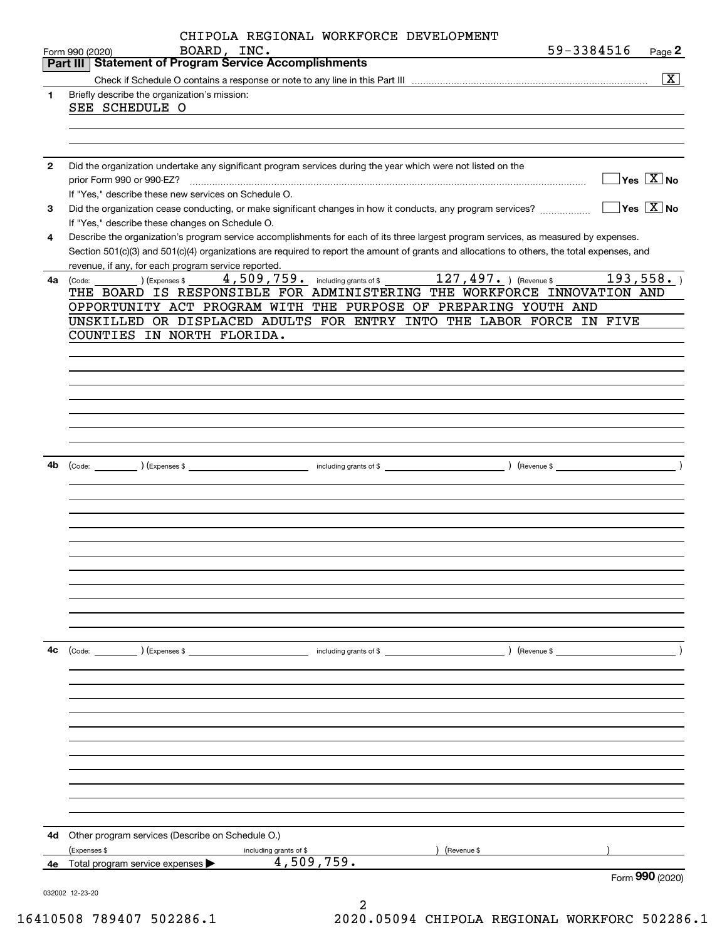|              | BOARD, INC.<br>Form 990 (2020)<br>Part III   Statement of Program Service Accomplishments                                                                                                                                                                                    |                        | CHIPOLA REGIONAL WORKFORCE DEVELOPMENT |                                                          | 59-3384516    | Page 2                                               |
|--------------|------------------------------------------------------------------------------------------------------------------------------------------------------------------------------------------------------------------------------------------------------------------------------|------------------------|----------------------------------------|----------------------------------------------------------|---------------|------------------------------------------------------|
|              |                                                                                                                                                                                                                                                                              |                        |                                        |                                                          |               | $\overline{\text{X}}$                                |
| 1            | Briefly describe the organization's mission:<br>SEE SCHEDULE O                                                                                                                                                                                                               |                        |                                        |                                                          |               |                                                      |
|              |                                                                                                                                                                                                                                                                              |                        |                                        |                                                          |               |                                                      |
|              |                                                                                                                                                                                                                                                                              |                        |                                        |                                                          |               |                                                      |
| $\mathbf{2}$ | Did the organization undertake any significant program services during the year which were not listed on the                                                                                                                                                                 |                        |                                        |                                                          |               |                                                      |
|              | prior Form 990 or 990-EZ?                                                                                                                                                                                                                                                    |                        |                                        |                                                          |               | $\exists$ Yes $\boxed{\text{X}}$ No                  |
|              | If "Yes," describe these new services on Schedule O.<br>Did the organization cease conducting, or make significant changes in how it conducts, any program services?                                                                                                         |                        |                                        |                                                          |               | $\overline{\mathsf{Yes}}$ $\overline{\mathsf{X}}$ No |
| 3            | If "Yes," describe these changes on Schedule O.                                                                                                                                                                                                                              |                        |                                        |                                                          |               |                                                      |
| 4            | Describe the organization's program service accomplishments for each of its three largest program services, as measured by expenses.                                                                                                                                         |                        |                                        |                                                          |               |                                                      |
|              | Section 501(c)(3) and 501(c)(4) organizations are required to report the amount of grants and allocations to others, the total expenses, and<br>revenue, if any, for each program service reported.                                                                          |                        |                                        |                                                          |               |                                                      |
| 4a           | ) (Expenses \$<br>(Code:<br>THE BOARD IS RESPONSIBLE FOR ADMINISTERING THE WORKFORCE INNOVATION AND<br>OPPORTUNITY ACT PROGRAM WITH THE PURPOSE OF PREPARING YOUTH AND<br>UNSKILLED OR DISPLACED ADULTS FOR ENTRY INTO THE LABOR FORCE IN FIVE<br>COUNTIES IN NORTH FLORIDA. |                        |                                        | 4,509,759. including grants of \$ 127,497. ) (Revenue \$ |               | 193,558.                                             |
|              |                                                                                                                                                                                                                                                                              |                        |                                        |                                                          |               |                                                      |
|              |                                                                                                                                                                                                                                                                              |                        |                                        |                                                          |               |                                                      |
|              |                                                                                                                                                                                                                                                                              |                        |                                        |                                                          |               |                                                      |
|              |                                                                                                                                                                                                                                                                              |                        |                                        |                                                          |               |                                                      |
|              |                                                                                                                                                                                                                                                                              |                        |                                        |                                                          |               |                                                      |
|              |                                                                                                                                                                                                                                                                              |                        |                                        |                                                          |               |                                                      |
| 4b           | (Expenses \$<br>(Code:                                                                                                                                                                                                                                                       |                        | including grants of \$                 | ) (Revenue \$                                            |               |                                                      |
|              |                                                                                                                                                                                                                                                                              |                        |                                        |                                                          |               |                                                      |
|              |                                                                                                                                                                                                                                                                              |                        |                                        |                                                          |               |                                                      |
|              |                                                                                                                                                                                                                                                                              |                        |                                        |                                                          |               |                                                      |
|              |                                                                                                                                                                                                                                                                              |                        |                                        |                                                          |               |                                                      |
|              |                                                                                                                                                                                                                                                                              |                        |                                        |                                                          |               |                                                      |
|              |                                                                                                                                                                                                                                                                              |                        |                                        |                                                          |               |                                                      |
|              |                                                                                                                                                                                                                                                                              |                        |                                        |                                                          |               |                                                      |
|              |                                                                                                                                                                                                                                                                              |                        |                                        |                                                          |               |                                                      |
|              |                                                                                                                                                                                                                                                                              |                        |                                        |                                                          |               |                                                      |
|              |                                                                                                                                                                                                                                                                              |                        |                                        |                                                          |               |                                                      |
|              |                                                                                                                                                                                                                                                                              |                        |                                        |                                                          |               |                                                      |
| 4с           | $\left(\text{Code:}\right)$ $\left(\text{Expenses $}\right)$                                                                                                                                                                                                                 |                        | including grants of \$                 |                                                          | ) (Revenue \$ |                                                      |
|              |                                                                                                                                                                                                                                                                              |                        |                                        |                                                          |               |                                                      |
|              |                                                                                                                                                                                                                                                                              |                        |                                        |                                                          |               |                                                      |
|              |                                                                                                                                                                                                                                                                              |                        |                                        |                                                          |               |                                                      |
|              |                                                                                                                                                                                                                                                                              |                        |                                        |                                                          |               |                                                      |
|              |                                                                                                                                                                                                                                                                              |                        |                                        |                                                          |               |                                                      |
|              |                                                                                                                                                                                                                                                                              |                        |                                        |                                                          |               |                                                      |
|              |                                                                                                                                                                                                                                                                              |                        |                                        |                                                          |               |                                                      |
|              |                                                                                                                                                                                                                                                                              |                        |                                        |                                                          |               |                                                      |
|              |                                                                                                                                                                                                                                                                              |                        |                                        |                                                          |               |                                                      |
|              |                                                                                                                                                                                                                                                                              |                        |                                        |                                                          |               |                                                      |
| 4d           | Other program services (Describe on Schedule O.)                                                                                                                                                                                                                             |                        |                                        |                                                          |               |                                                      |
|              | (Expenses \$                                                                                                                                                                                                                                                                 | including grants of \$ |                                        | (Revenue \$                                              |               |                                                      |
| 4e           | Total program service expenses >                                                                                                                                                                                                                                             | 4,509,759.             |                                        |                                                          |               |                                                      |
|              | 032002 12-23-20                                                                                                                                                                                                                                                              |                        |                                        |                                                          |               | Form 990 (2020)                                      |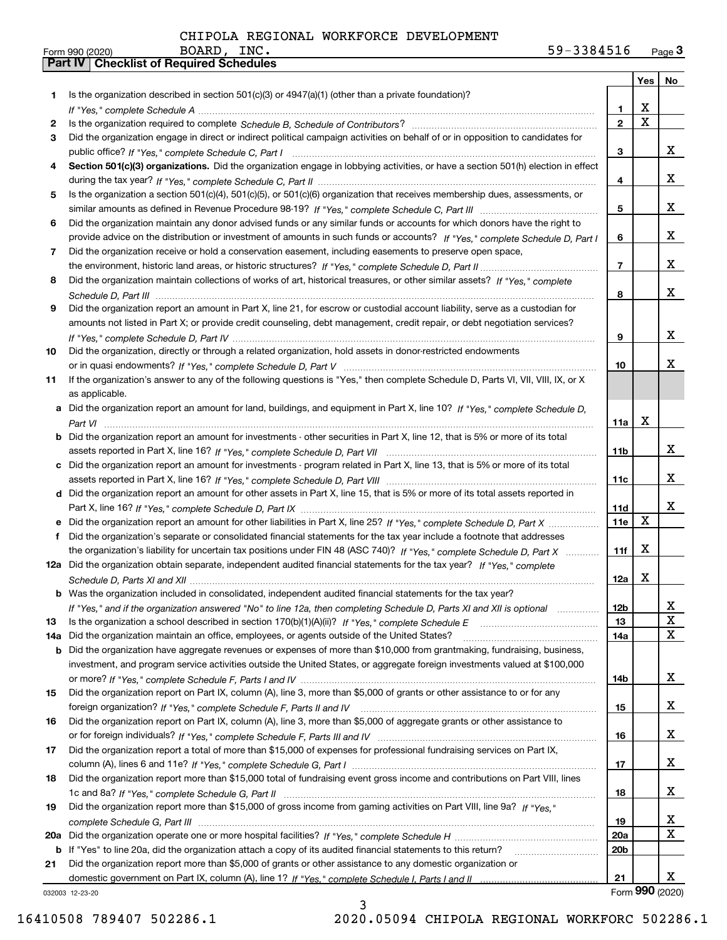|     |                                                                                                                                       |                 | Yes                     | No           |
|-----|---------------------------------------------------------------------------------------------------------------------------------------|-----------------|-------------------------|--------------|
| 1   | Is the organization described in section $501(c)(3)$ or $4947(a)(1)$ (other than a private foundation)?                               |                 |                         |              |
|     |                                                                                                                                       | 1.              | X                       |              |
| 2   |                                                                                                                                       | $\overline{2}$  | $\overline{\mathbf{x}}$ |              |
| З   | Did the organization engage in direct or indirect political campaign activities on behalf of or in opposition to candidates for       |                 |                         |              |
|     |                                                                                                                                       | 3               |                         | X            |
| 4   | Section 501(c)(3) organizations. Did the organization engage in lobbying activities, or have a section 501(h) election in effect      |                 |                         |              |
|     |                                                                                                                                       | 4               |                         | X            |
| 5   | Is the organization a section 501(c)(4), 501(c)(5), or 501(c)(6) organization that receives membership dues, assessments, or          |                 |                         |              |
|     |                                                                                                                                       | 5               |                         | X            |
| 6   | Did the organization maintain any donor advised funds or any similar funds or accounts for which donors have the right to             |                 |                         |              |
|     | provide advice on the distribution or investment of amounts in such funds or accounts? If "Yes," complete Schedule D, Part I          | 6               |                         | X            |
| 7   | Did the organization receive or hold a conservation easement, including easements to preserve open space,                             |                 |                         |              |
|     |                                                                                                                                       | $\overline{7}$  |                         | X            |
| 8   | Did the organization maintain collections of works of art, historical treasures, or other similar assets? If "Yes," complete          |                 |                         |              |
|     |                                                                                                                                       | 8               |                         | X            |
| 9   | Did the organization report an amount in Part X, line 21, for escrow or custodial account liability, serve as a custodian for         |                 |                         |              |
|     | amounts not listed in Part X; or provide credit counseling, debt management, credit repair, or debt negotiation services?             |                 |                         |              |
|     |                                                                                                                                       | 9               |                         | X            |
| 10  | Did the organization, directly or through a related organization, hold assets in donor-restricted endowments                          |                 |                         |              |
|     |                                                                                                                                       | 10              |                         | х            |
| 11  | If the organization's answer to any of the following questions is "Yes," then complete Schedule D, Parts VI, VIII, VIII, IX, or X     |                 |                         |              |
|     | as applicable.                                                                                                                        |                 |                         |              |
|     | a Did the organization report an amount for land, buildings, and equipment in Part X, line 10? If "Yes," complete Schedule D.         |                 |                         |              |
|     |                                                                                                                                       | 11a             | X                       |              |
|     | <b>b</b> Did the organization report an amount for investments - other securities in Part X, line 12, that is 5% or more of its total |                 |                         |              |
|     |                                                                                                                                       | 11 <sub>b</sub> |                         | X            |
|     | c Did the organization report an amount for investments - program related in Part X, line 13, that is 5% or more of its total         |                 |                         |              |
|     |                                                                                                                                       | 11c             |                         | X            |
|     | d Did the organization report an amount for other assets in Part X, line 15, that is 5% or more of its total assets reported in       |                 |                         |              |
|     |                                                                                                                                       | 11d             |                         | X            |
|     |                                                                                                                                       |                 | X                       |              |
|     | e Did the organization report an amount for other liabilities in Part X, line 25? If "Yes," complete Schedule D, Part X               | 11e             |                         |              |
| f   | Did the organization's separate or consolidated financial statements for the tax year include a footnote that addresses               |                 | X                       |              |
|     | the organization's liability for uncertain tax positions under FIN 48 (ASC 740)? If "Yes," complete Schedule D, Part X                | 11f             |                         |              |
|     | 12a Did the organization obtain separate, independent audited financial statements for the tax year? If "Yes," complete               |                 | X                       |              |
|     |                                                                                                                                       | 12a             |                         |              |
|     | <b>b</b> Was the organization included in consolidated, independent audited financial statements for the tax year?                    |                 |                         |              |
|     | If "Yes," and if the organization answered "No" to line 12a, then completing Schedule D, Parts XI and XII is optional                 | 12b             |                         | 4            |
| 13  |                                                                                                                                       | 13              |                         | $\mathbf X$  |
| 14a | Did the organization maintain an office, employees, or agents outside of the United States?                                           | 14a             |                         | $\mathbf{x}$ |
| b   | Did the organization have aggregate revenues or expenses of more than \$10,000 from grantmaking, fundraising, business,               |                 |                         |              |
|     | investment, and program service activities outside the United States, or aggregate foreign investments valued at \$100,000            |                 |                         |              |
|     |                                                                                                                                       | 14b             |                         | X            |
| 15  | Did the organization report on Part IX, column (A), line 3, more than \$5,000 of grants or other assistance to or for any             |                 |                         |              |
|     |                                                                                                                                       | 15              |                         | X            |
| 16  | Did the organization report on Part IX, column (A), line 3, more than \$5,000 of aggregate grants or other assistance to              |                 |                         |              |
|     |                                                                                                                                       | 16              |                         | X            |
| 17  | Did the organization report a total of more than \$15,000 of expenses for professional fundraising services on Part IX,               |                 |                         |              |
|     |                                                                                                                                       | 17              |                         | X            |
| 18  | Did the organization report more than \$15,000 total of fundraising event gross income and contributions on Part VIII, lines          |                 |                         |              |
|     |                                                                                                                                       | 18              |                         | X            |
| 19  | Did the organization report more than \$15,000 of gross income from gaming activities on Part VIII, line 9a? If "Yes."                |                 |                         |              |
|     |                                                                                                                                       | 19              |                         | x            |
|     |                                                                                                                                       | 20a             |                         | $\mathbf X$  |
|     | <b>b</b> If "Yes" to line 20a, did the organization attach a copy of its audited financial statements to this return?                 | 20 <sub>b</sub> |                         |              |
| 21  | Did the organization report more than \$5,000 of grants or other assistance to any domestic organization or                           |                 |                         |              |
|     |                                                                                                                                       | 21              |                         | x            |
|     | 032003 12-23-20                                                                                                                       |                 | Form 990 (2020)         |              |

16410508 789407 502286.1 2020.05094 CHIPOLA REGIONAL WORKFORC 502286.1

3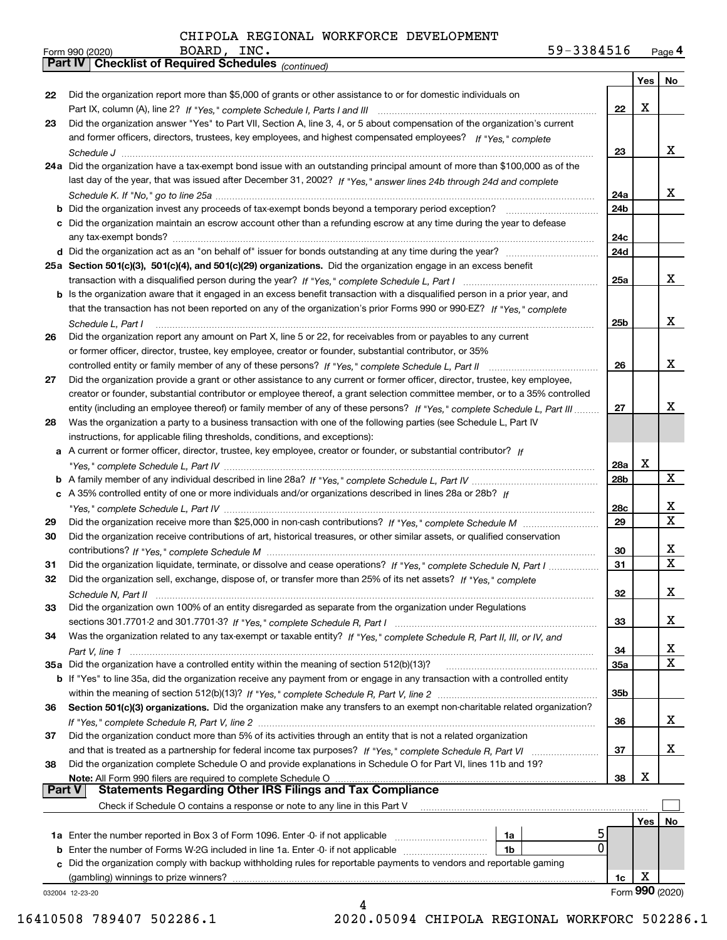|                | BOARD, INC.<br>Form 990 (2020)                                                                                                                                                                                                      | 59-3384516 |     | Page 4 |
|----------------|-------------------------------------------------------------------------------------------------------------------------------------------------------------------------------------------------------------------------------------|------------|-----|--------|
|                | Part IV   Checklist of Required Schedules (continued)                                                                                                                                                                               |            |     |        |
| 22             | Did the organization report more than \$5,000 of grants or other assistance to or for domestic individuals on                                                                                                                       |            | Yes | No     |
|                |                                                                                                                                                                                                                                     | 22         | х   |        |
| 23             | Did the organization answer "Yes" to Part VII, Section A, line 3, 4, or 5 about compensation of the organization's current                                                                                                          |            |     |        |
|                | and former officers, directors, trustees, key employees, and highest compensated employees? If "Yes," complete                                                                                                                      |            |     |        |
|                |                                                                                                                                                                                                                                     | 23         |     | X      |
|                | 24a Did the organization have a tax-exempt bond issue with an outstanding principal amount of more than \$100,000 as of the                                                                                                         |            |     |        |
|                | last day of the year, that was issued after December 31, 2002? If "Yes," answer lines 24b through 24d and complete                                                                                                                  |            |     |        |
|                |                                                                                                                                                                                                                                     | 24a        |     | x      |
|                | <b>b</b> Did the organization invest any proceeds of tax-exempt bonds beyond a temporary period exception?                                                                                                                          | 24b        |     |        |
|                | c Did the organization maintain an escrow account other than a refunding escrow at any time during the year to defease                                                                                                              |            |     |        |
|                |                                                                                                                                                                                                                                     | 24с<br>24d |     |        |
|                | 25a Section 501(c)(3), 501(c)(4), and 501(c)(29) organizations. Did the organization engage in an excess benefit                                                                                                                    |            |     |        |
|                |                                                                                                                                                                                                                                     | 25a        |     | x      |
|                | b Is the organization aware that it engaged in an excess benefit transaction with a disqualified person in a prior year, and                                                                                                        |            |     |        |
|                | that the transaction has not been reported on any of the organization's prior Forms 990 or 990-EZ? If "Yes," complete                                                                                                               |            |     |        |
|                | Schedule L. Part I                                                                                                                                                                                                                  | 25b        |     | x      |
| 26             | Did the organization report any amount on Part X, line 5 or 22, for receivables from or payables to any current                                                                                                                     |            |     |        |
|                | or former officer, director, trustee, key employee, creator or founder, substantial contributor, or 35%                                                                                                                             |            |     |        |
|                |                                                                                                                                                                                                                                     | 26         |     | x      |
| 27             | Did the organization provide a grant or other assistance to any current or former officer, director, trustee, key employee,                                                                                                         |            |     |        |
|                | creator or founder, substantial contributor or employee thereof, a grant selection committee member, or to a 35% controlled                                                                                                         |            |     |        |
|                | entity (including an employee thereof) or family member of any of these persons? If "Yes," complete Schedule L, Part III                                                                                                            | 27         |     | x      |
| 28             | Was the organization a party to a business transaction with one of the following parties (see Schedule L, Part IV                                                                                                                   |            |     |        |
|                | instructions, for applicable filing thresholds, conditions, and exceptions):<br>a A current or former officer, director, trustee, key employee, creator or founder, or substantial contributor? If                                  |            |     |        |
|                |                                                                                                                                                                                                                                     | 28a        | х   |        |
|                |                                                                                                                                                                                                                                     | 28b        |     | X      |
|                | c A 35% controlled entity of one or more individuals and/or organizations described in lines 28a or 28b? If                                                                                                                         |            |     |        |
|                |                                                                                                                                                                                                                                     | 28c        |     | х      |
| 29             |                                                                                                                                                                                                                                     | 29         |     | X      |
| 30             | Did the organization receive contributions of art, historical treasures, or other similar assets, or qualified conservation                                                                                                         |            |     |        |
|                |                                                                                                                                                                                                                                     | 30         |     | х      |
| 31             | Did the organization liquidate, terminate, or dissolve and cease operations? If "Yes," complete Schedule N, Part I                                                                                                                  | 31         |     | X      |
|                | Did the organization sell, exchange, dispose of, or transfer more than 25% of its net assets? If "Yes," complete                                                                                                                    |            |     |        |
|                |                                                                                                                                                                                                                                     | 32         |     | X      |
| 33             | Did the organization own 100% of an entity disregarded as separate from the organization under Regulations                                                                                                                          | 33         |     | х      |
| 34             | Was the organization related to any tax-exempt or taxable entity? If "Yes," complete Schedule R, Part II, III, or IV, and                                                                                                           |            |     |        |
|                |                                                                                                                                                                                                                                     |            |     | х      |
|                |                                                                                                                                                                                                                                     |            |     | X      |
|                | Part V. line 1                                                                                                                                                                                                                      | 34<br>35a  |     |        |
|                | 35a Did the organization have a controlled entity within the meaning of section 512(b)(13)?                                                                                                                                         |            |     |        |
|                | b If "Yes" to line 35a, did the organization receive any payment from or engage in any transaction with a controlled entity                                                                                                         | 35b        |     |        |
|                | Section 501(c)(3) organizations. Did the organization make any transfers to an exempt non-charitable related organization?                                                                                                          |            |     |        |
|                |                                                                                                                                                                                                                                     | 36         |     |        |
|                | Did the organization conduct more than 5% of its activities through an entity that is not a related organization                                                                                                                    |            |     |        |
|                |                                                                                                                                                                                                                                     | 37         |     | X<br>х |
|                | Did the organization complete Schedule O and provide explanations in Schedule O for Part VI, lines 11b and 19?                                                                                                                      |            |     |        |
|                | Note: All Form 990 filers are required to complete Schedule O                                                                                                                                                                       | 38         | х   |        |
|                | <b>Statements Regarding Other IRS Filings and Tax Compliance</b><br><b>Part V</b>                                                                                                                                                   |            |     |        |
|                | Check if Schedule O contains a response or note to any line in this Part V                                                                                                                                                          |            |     |        |
|                |                                                                                                                                                                                                                                     | 5          | Yes | No     |
| 36<br>37<br>38 | 1a<br>1b                                                                                                                                                                                                                            | 0          |     |        |
|                | <b>b</b> Enter the number of Forms W-2G included in line 1a. Enter -0- if not applicable <i>manumumumum</i><br>c Did the organization comply with backup withholding rules for reportable payments to vendors and reportable gaming |            |     |        |

4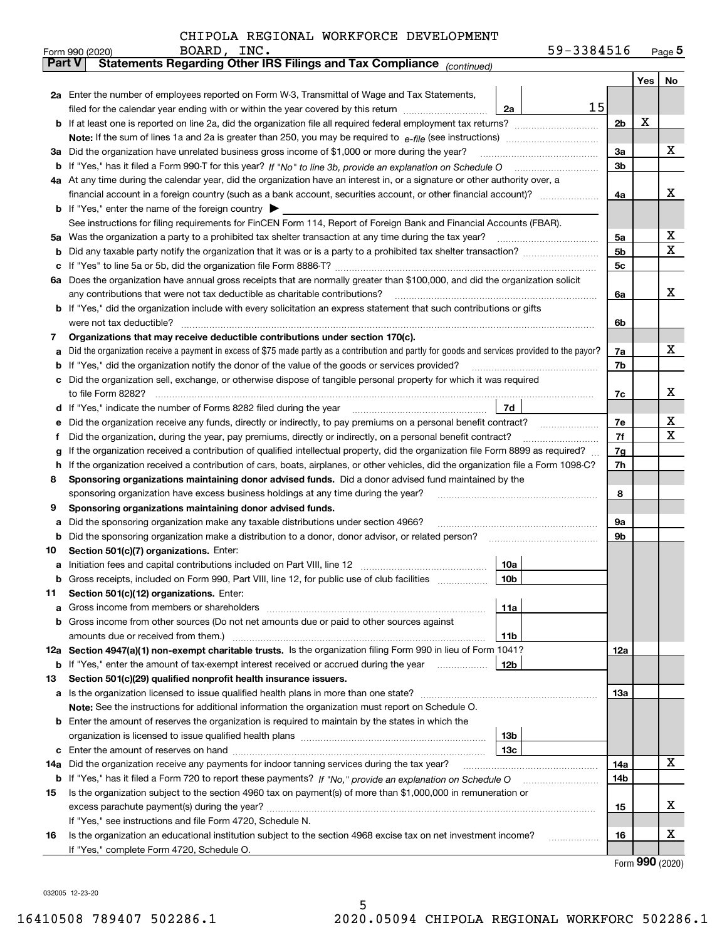| Form 990 (2020) | <b>BOARD</b> | INC. | . .<br>59–<br>. .<br>3384516 | Page <b>D</b> |
|-----------------|--------------|------|------------------------------|---------------|
|-----------------|--------------|------|------------------------------|---------------|

|        |                                                                                                                                    | BOARD, INC.<br>Form 990 (2020)                                                                                                                  |                 | 59-3384516 |                |     | Page 5 |
|--------|------------------------------------------------------------------------------------------------------------------------------------|-------------------------------------------------------------------------------------------------------------------------------------------------|-----------------|------------|----------------|-----|--------|
| Part V |                                                                                                                                    | Statements Regarding Other IRS Filings and Tax Compliance (continued)                                                                           |                 |            |                |     |        |
|        |                                                                                                                                    |                                                                                                                                                 |                 |            |                | Yes | No     |
|        |                                                                                                                                    | 2a Enter the number of employees reported on Form W-3, Transmittal of Wage and Tax Statements,                                                  |                 |            |                |     |        |
|        |                                                                                                                                    | filed for the calendar year ending with or within the year covered by this return                                                               | 2a              | 15         |                |     |        |
|        |                                                                                                                                    |                                                                                                                                                 |                 |            | 2 <sub>b</sub> | х   |        |
|        |                                                                                                                                    |                                                                                                                                                 |                 |            |                |     |        |
| За     |                                                                                                                                    | Did the organization have unrelated business gross income of \$1,000 or more during the year?                                                   |                 |            | 3a             |     | x      |
| b      |                                                                                                                                    |                                                                                                                                                 |                 |            | 3b             |     |        |
|        |                                                                                                                                    | 4a At any time during the calendar year, did the organization have an interest in, or a signature or other authority over, a                    |                 |            |                |     |        |
|        |                                                                                                                                    | financial account in a foreign country (such as a bank account, securities account, or other financial account)?                                |                 |            | 4a             |     | х      |
|        |                                                                                                                                    | <b>b</b> If "Yes," enter the name of the foreign country $\blacktriangleright$                                                                  |                 |            |                |     |        |
|        |                                                                                                                                    | See instructions for filing requirements for FinCEN Form 114, Report of Foreign Bank and Financial Accounts (FBAR).                             |                 |            |                |     |        |
| 5a     |                                                                                                                                    | Was the organization a party to a prohibited tax shelter transaction at any time during the tax year?                                           |                 |            | 5a             |     | х      |
| b      |                                                                                                                                    |                                                                                                                                                 |                 |            | 5b             |     | X      |
| с      |                                                                                                                                    |                                                                                                                                                 |                 |            | 5c             |     |        |
| 6а     |                                                                                                                                    | Does the organization have annual gross receipts that are normally greater than \$100,000, and did the organization solicit                     |                 |            |                |     |        |
|        |                                                                                                                                    | any contributions that were not tax deductible as charitable contributions?                                                                     |                 |            | 6a             |     | x      |
|        |                                                                                                                                    | If "Yes," did the organization include with every solicitation an express statement that such contributions or gifts                            |                 |            |                |     |        |
|        |                                                                                                                                    | were not tax deductible?                                                                                                                        |                 |            | 6b             |     |        |
| 7      |                                                                                                                                    | Organizations that may receive deductible contributions under section 170(c).                                                                   |                 |            |                |     |        |
| а      |                                                                                                                                    | Did the organization receive a payment in excess of \$75 made partly as a contribution and partly for goods and services provided to the payor? |                 |            | 7a             |     | x      |
| b      |                                                                                                                                    | If "Yes," did the organization notify the donor of the value of the goods or services provided?                                                 |                 |            | 7b             |     |        |
|        |                                                                                                                                    | Did the organization sell, exchange, or otherwise dispose of tangible personal property for which it was required                               |                 |            |                |     |        |
|        |                                                                                                                                    | to file Form 8282?                                                                                                                              |                 |            | 7c             |     | х      |
| d      |                                                                                                                                    |                                                                                                                                                 | 7d              |            |                |     |        |
| е      |                                                                                                                                    | Did the organization receive any funds, directly or indirectly, to pay premiums on a personal benefit contract?                                 |                 |            | 7е             |     | х      |
| f      | Did the organization, during the year, pay premiums, directly or indirectly, on a personal benefit contract?                       |                                                                                                                                                 |                 |            |                |     | x      |
| g      | If the organization received a contribution of qualified intellectual property, did the organization file Form 8899 as required?   |                                                                                                                                                 |                 |            |                |     |        |
| h      | If the organization received a contribution of cars, boats, airplanes, or other vehicles, did the organization file a Form 1098-C? |                                                                                                                                                 |                 |            |                |     |        |
| 8      |                                                                                                                                    | Sponsoring organizations maintaining donor advised funds. Did a donor advised fund maintained by the                                            |                 |            |                |     |        |
|        |                                                                                                                                    | sponsoring organization have excess business holdings at any time during the year?                                                              |                 |            | 8              |     |        |
| 9      |                                                                                                                                    | Sponsoring organizations maintaining donor advised funds.                                                                                       |                 |            |                |     |        |
| а      |                                                                                                                                    | Did the sponsoring organization make any taxable distributions under section 4966?                                                              |                 |            | 9а             |     |        |
| b      |                                                                                                                                    | Did the sponsoring organization make a distribution to a donor, donor advisor, or related person?                                               |                 |            | 9b             |     |        |
| 10     |                                                                                                                                    | Section 501(c)(7) organizations. Enter:                                                                                                         |                 |            |                |     |        |
| а      |                                                                                                                                    | Initiation fees and capital contributions included on Part VIII, line 12 [100] [100] [100] [100] [100] [100] [                                  | 10a             |            |                |     |        |
|        |                                                                                                                                    | Gross receipts, included on Form 990, Part VIII, line 12, for public use of club facilities                                                     | 10 <sub>b</sub> |            |                |     |        |
| 11     |                                                                                                                                    | Section 501(c)(12) organizations. Enter:                                                                                                        |                 |            |                |     |        |
| а      |                                                                                                                                    | Gross income from members or shareholders                                                                                                       | 11a             |            |                |     |        |
| b      |                                                                                                                                    | Gross income from other sources (Do not net amounts due or paid to other sources against                                                        |                 |            |                |     |        |
|        |                                                                                                                                    | amounts due or received from them.)                                                                                                             | 11 <sub>b</sub> |            |                |     |        |
|        |                                                                                                                                    | 12a Section 4947(a)(1) non-exempt charitable trusts. Is the organization filing Form 990 in lieu of Form 1041?                                  |                 |            | 12a            |     |        |
|        |                                                                                                                                    | <b>b</b> If "Yes," enter the amount of tax-exempt interest received or accrued during the year <i>manument</i> of                               | 12 <sub>b</sub> |            |                |     |        |
| 13     |                                                                                                                                    | Section 501(c)(29) qualified nonprofit health insurance issuers.                                                                                |                 |            |                |     |        |
| a      |                                                                                                                                    | Is the organization licensed to issue qualified health plans in more than one state?                                                            |                 |            | 13a            |     |        |
|        |                                                                                                                                    | Note: See the instructions for additional information the organization must report on Schedule O.                                               |                 |            |                |     |        |
| b      |                                                                                                                                    | Enter the amount of reserves the organization is required to maintain by the states in which the                                                |                 |            |                |     |        |
|        |                                                                                                                                    |                                                                                                                                                 | 13 <sub>b</sub> |            |                |     |        |
| с      |                                                                                                                                    |                                                                                                                                                 | 13c             |            |                |     |        |
| 14a    |                                                                                                                                    | Did the organization receive any payments for indoor tanning services during the tax year?                                                      |                 |            | 14a            |     | x      |
|        |                                                                                                                                    | <b>b</b> If "Yes," has it filed a Form 720 to report these payments? If "No," provide an explanation on Schedule O                              |                 |            | 14b            |     |        |
| 15     |                                                                                                                                    | Is the organization subject to the section 4960 tax on payment(s) of more than \$1,000,000 in remuneration or                                   |                 |            |                |     |        |
|        |                                                                                                                                    |                                                                                                                                                 |                 |            | 15             |     | x      |
|        |                                                                                                                                    | If "Yes," see instructions and file Form 4720, Schedule N.                                                                                      |                 |            |                |     |        |
| 16     |                                                                                                                                    | Is the organization an educational institution subject to the section 4968 excise tax on net investment income?                                 |                 |            | 16             |     | х      |
|        |                                                                                                                                    | If "Yes," complete Form 4720, Schedule O.                                                                                                       |                 |            |                |     |        |

Form (2020) **990**

032005 12-23-20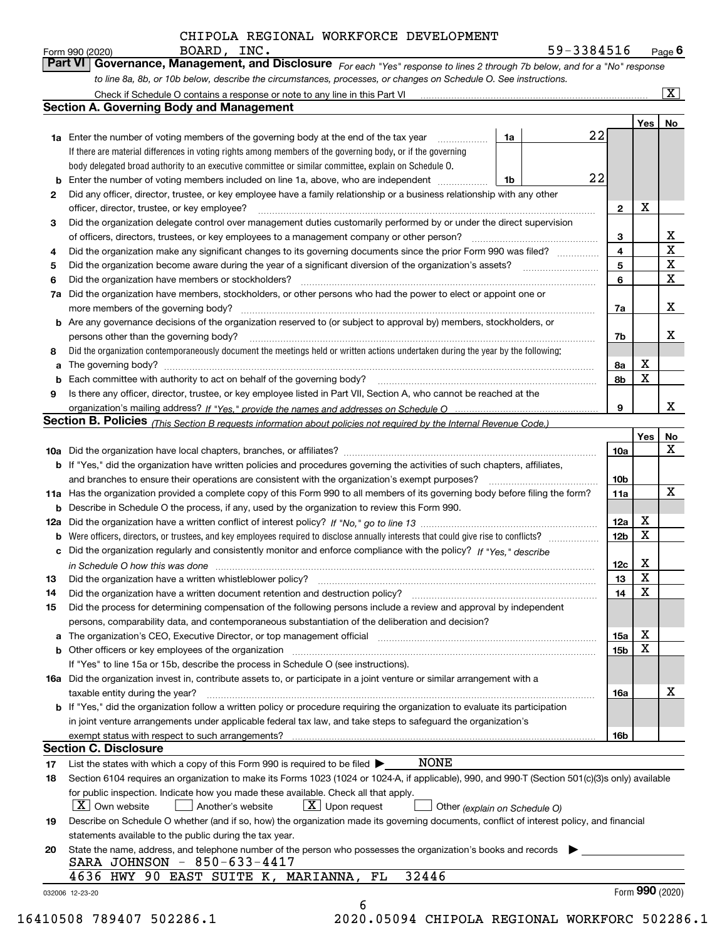Check if Schedule O contains a response or note to any line in this Part VI

| Form 990 (2020) | BOARD,<br>INC.                                                              | 59-3384516                                                                                                                    | $P$ age $6$             |
|-----------------|-----------------------------------------------------------------------------|-------------------------------------------------------------------------------------------------------------------------------|-------------------------|
|                 |                                                                             | Part VI   Governance, Management, and Disclosure For each "Yes" response to lines 2 through 7b below, and for a "No" response |                         |
|                 |                                                                             | to line 8a, 8b, or 10b below, describe the circumstances, processes, or changes on Schedule O. See instructions.              |                         |
|                 | Check if Schedule O contains a response or note to any line in this Part VI |                                                                                                                               | $\overline{\mathbf{X}}$ |

|              |                                                                                                                                                                                                                                |    |    |                 | Yes             | No                      |
|--------------|--------------------------------------------------------------------------------------------------------------------------------------------------------------------------------------------------------------------------------|----|----|-----------------|-----------------|-------------------------|
|              | 1a Enter the number of voting members of the governing body at the end of the tax year                                                                                                                                         | 1a | 22 |                 |                 |                         |
|              | If there are material differences in voting rights among members of the governing body, or if the governing                                                                                                                    |    |    |                 |                 |                         |
|              | body delegated broad authority to an executive committee or similar committee, explain on Schedule O.                                                                                                                          |    |    |                 |                 |                         |
|              | Enter the number of voting members included on line 1a, above, who are independent <i>manumum</i>                                                                                                                              | 1b | 22 |                 |                 |                         |
| $\mathbf{2}$ | Did any officer, director, trustee, or key employee have a family relationship or a business relationship with any other<br>officer, director, trustee, or key employee?                                                       |    |    | $\mathbf{2}$    | х               |                         |
| з            | Did the organization delegate control over management duties customarily performed by or under the direct supervision                                                                                                          |    |    |                 |                 |                         |
|              | of officers, directors, trustees, or key employees to a management company or other person?                                                                                                                                    |    |    | 3               |                 |                         |
|              | Did the organization make any significant changes to its governing documents since the prior Form 990 was filed?                                                                                                               |    |    | 4               |                 | $rac{X}{X}$             |
| 4            |                                                                                                                                                                                                                                |    |    |                 |                 | $\overline{\mathbf{x}}$ |
| 5            |                                                                                                                                                                                                                                |    |    | 5               |                 | $\overline{\textbf{x}}$ |
| 6            | Did the organization have members or stockholders?                                                                                                                                                                             |    |    | 6               |                 |                         |
| 7a           | Did the organization have members, stockholders, or other persons who had the power to elect or appoint one or                                                                                                                 |    |    | 7a              |                 | X                       |
| b            | Are any governance decisions of the organization reserved to (or subject to approval by) members, stockholders, or                                                                                                             |    |    |                 |                 |                         |
|              | persons other than the governing body?                                                                                                                                                                                         |    |    | 7b              |                 | х                       |
| 8            | Did the organization contemporaneously document the meetings held or written actions undertaken during the year by the following:                                                                                              |    |    |                 |                 |                         |
| a            |                                                                                                                                                                                                                                |    |    | 8а              | х               |                         |
| b            | Each committee with authority to act on behalf of the governing body? [11] manufacture manufacture with authority to act on behalf of the governing body? [11] manufacture manufacture with authority of the state with an int |    |    | 8b              | X               |                         |
| 9            | Is there any officer, director, trustee, or key employee listed in Part VII, Section A, who cannot be reached at the                                                                                                           |    |    |                 |                 |                         |
|              |                                                                                                                                                                                                                                |    |    | 9               |                 | x                       |
|              | Section B. Policies (This Section B requests information about policies not required by the Internal Revenue Code.)                                                                                                            |    |    |                 |                 |                         |
|              |                                                                                                                                                                                                                                |    |    |                 | Yes             | No                      |
|              |                                                                                                                                                                                                                                |    |    | 10a             |                 | X                       |
|              | <b>b</b> If "Yes," did the organization have written policies and procedures governing the activities of such chapters, affiliates,                                                                                            |    |    |                 |                 |                         |
|              |                                                                                                                                                                                                                                |    |    | 10 <sub>b</sub> |                 |                         |
|              | 11a Has the organization provided a complete copy of this Form 990 to all members of its governing body before filing the form?                                                                                                |    |    | 11a             |                 | X                       |
|              | <b>b</b> Describe in Schedule O the process, if any, used by the organization to review this Form 990.                                                                                                                         |    |    |                 |                 |                         |
|              |                                                                                                                                                                                                                                |    |    | 12a             | Х               |                         |
| b            |                                                                                                                                                                                                                                |    |    | 12 <sub>b</sub> | X               |                         |
|              | c Did the organization regularly and consistently monitor and enforce compliance with the policy? If "Yes," describe                                                                                                           |    |    |                 |                 |                         |
|              | in Schedule O how this was done manufactured and continuum control of the Schedule O how this was done manufactured and continuum control of the Schedule O how this was done                                                  |    |    | 12c             | x               |                         |
| 13           |                                                                                                                                                                                                                                |    |    | 13              | X               |                         |
| 14           | Did the organization have a written document retention and destruction policy? manufactured and the organization have a written document retention and destruction policy?                                                     |    |    | 14              | X               |                         |
| 15           | Did the process for determining compensation of the following persons include a review and approval by independent                                                                                                             |    |    |                 |                 |                         |
|              | persons, comparability data, and contemporaneous substantiation of the deliberation and decision?                                                                                                                              |    |    |                 |                 |                         |
|              | The organization's CEO, Executive Director, or top management official manufactured content of the organization's CEO, Executive Director, or top management official                                                          |    |    | 15a             | X               |                         |
|              |                                                                                                                                                                                                                                |    |    |                 | X               |                         |
|              | If "Yes" to line 15a or 15b, describe the process in Schedule O (see instructions).                                                                                                                                            |    |    | 15b             |                 |                         |
|              | 16a Did the organization invest in, contribute assets to, or participate in a joint venture or similar arrangement with a                                                                                                      |    |    |                 |                 |                         |
|              | taxable entity during the year?                                                                                                                                                                                                |    |    |                 |                 | х                       |
|              | b If "Yes," did the organization follow a written policy or procedure requiring the organization to evaluate its participation                                                                                                 |    |    | 16a             |                 |                         |
|              | in joint venture arrangements under applicable federal tax law, and take steps to safequard the organization's                                                                                                                 |    |    |                 |                 |                         |
|              |                                                                                                                                                                                                                                |    |    | 16b             |                 |                         |
|              | <b>Section C. Disclosure</b>                                                                                                                                                                                                   |    |    |                 |                 |                         |
| 17           | <b>NONE</b><br>List the states with which a copy of this Form 990 is required to be filed $\blacktriangleright$                                                                                                                |    |    |                 |                 |                         |
| 18           | Section 6104 requires an organization to make its Forms 1023 (1024 or 1024-A, if applicable), 990, and 990-T (Section 501(c)(3)s only) available                                                                               |    |    |                 |                 |                         |
|              | for public inspection. Indicate how you made these available. Check all that apply.                                                                                                                                            |    |    |                 |                 |                         |
|              | $\boxed{\text{X}}$ Upon request<br>$\mid$ $\rm X\mid$ Own website<br>Another's website<br>Other (explain on Schedule O)                                                                                                        |    |    |                 |                 |                         |
| 19           | Describe on Schedule O whether (and if so, how) the organization made its governing documents, conflict of interest policy, and financial                                                                                      |    |    |                 |                 |                         |
|              | statements available to the public during the tax year.                                                                                                                                                                        |    |    |                 |                 |                         |
| 20           | State the name, address, and telephone number of the person who possesses the organization's books and records                                                                                                                 |    |    |                 |                 |                         |
|              | SARA JOHNSON - 850-633-4417                                                                                                                                                                                                    |    |    |                 |                 |                         |
|              | 32446<br>4636 HWY 90 EAST SUITE K, MARIANNA, FL                                                                                                                                                                                |    |    |                 |                 |                         |
|              | 032006 12-23-20                                                                                                                                                                                                                |    |    |                 | Form 990 (2020) |                         |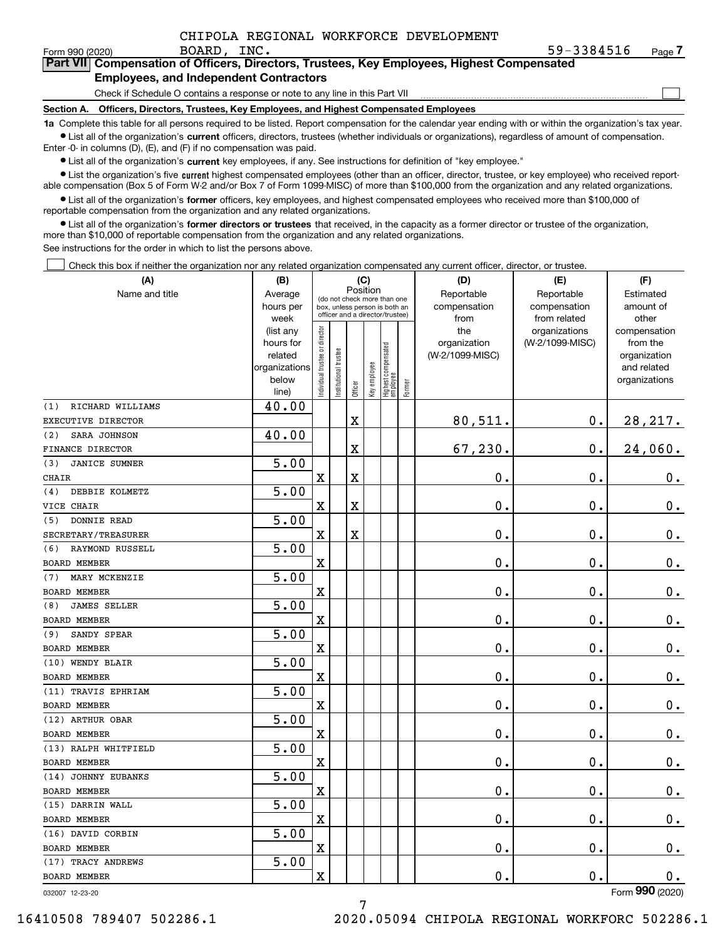| CHIPOLA REGIONAL WORKFORCE DEVELOPMENT |
|----------------------------------------|
|----------------------------------------|

| Form 990 (2020) | BOARD, INC. | 59-3384516                                                                                 | Page 7 |
|-----------------|-------------|--------------------------------------------------------------------------------------------|--------|
|                 |             | Part VII Compensation of Officers, Directors, Trustees, Key Employees, Highest Compensated |        |

#### **Employees, and Independent Contractors**

Check if Schedule O contains a response or note to any line in this Part VII

**Section A. Officers, Directors, Trustees, Key Employees, and Highest Compensated Employees**

**1a**  Complete this table for all persons required to be listed. Report compensation for the calendar year ending with or within the organization's tax year. **•** List all of the organization's current officers, directors, trustees (whether individuals or organizations), regardless of amount of compensation.

Enter -0- in columns (D), (E), and (F) if no compensation was paid.

 $\bullet$  List all of the organization's  $\,$ current key employees, if any. See instructions for definition of "key employee."

**•** List the organization's five current highest compensated employees (other than an officer, director, trustee, or key employee) who received reportable compensation (Box 5 of Form W-2 and/or Box 7 of Form 1099-MISC) of more than \$100,000 from the organization and any related organizations.

**•** List all of the organization's former officers, key employees, and highest compensated employees who received more than \$100,000 of reportable compensation from the organization and any related organizations.

**former directors or trustees**  ¥ List all of the organization's that received, in the capacity as a former director or trustee of the organization, more than \$10,000 of reportable compensation from the organization and any related organizations.

See instructions for the order in which to list the persons above.

Check this box if neither the organization nor any related organization compensated any current officer, director, or trustee.  $\mathcal{L}^{\text{max}}$ 

| (A)                         | (B)                    | (C)                                     |                                 |                         |              |                                  |        | (D)             | (E)             | (F)                            |  |
|-----------------------------|------------------------|-----------------------------------------|---------------------------------|-------------------------|--------------|----------------------------------|--------|-----------------|-----------------|--------------------------------|--|
| Name and title              | Average                | Position<br>(do not check more than one |                                 |                         |              |                                  |        | Reportable      | Reportable      | Estimated                      |  |
|                             | hours per              |                                         | box, unless person is both an   |                         |              |                                  |        | compensation    | compensation    | amount of                      |  |
|                             | week                   |                                         | officer and a director/trustee) |                         |              |                                  |        | from            | from related    | other                          |  |
|                             | (list any              |                                         |                                 |                         |              |                                  |        | the             | organizations   | compensation                   |  |
|                             | hours for              |                                         |                                 |                         |              |                                  |        | organization    | (W-2/1099-MISC) | from the                       |  |
|                             | related                |                                         |                                 |                         |              |                                  |        | (W-2/1099-MISC) |                 | organization                   |  |
|                             | organizations<br>below |                                         |                                 |                         |              |                                  |        |                 |                 | and related<br>organizations   |  |
|                             | line)                  | ndividual trustee or director           | nstitutional trustee            | Officer                 | Key employee | Highest compensated<br> employee | Former |                 |                 |                                |  |
| RICHARD WILLIAMS<br>(1)     | 40.00                  |                                         |                                 |                         |              |                                  |        |                 |                 |                                |  |
| EXECUTIVE DIRECTOR          |                        |                                         |                                 | $\overline{\textbf{X}}$ |              |                                  |        | 80,511.         | 0.              | 28, 217.                       |  |
| SARA JOHNSON<br>(2)         | 40.00                  |                                         |                                 |                         |              |                                  |        |                 |                 |                                |  |
| FINANCE DIRECTOR            |                        |                                         |                                 | $\overline{\mathbf{X}}$ |              |                                  |        | 67,230.         | 0.              | 24,060.                        |  |
| (3)<br><b>JANICE SUMNER</b> | 5.00                   |                                         |                                 |                         |              |                                  |        |                 |                 |                                |  |
| <b>CHAIR</b>                |                        | $\mathbf X$                             |                                 | $\overline{\textbf{X}}$ |              |                                  |        | $\mathbf 0$ .   | $\mathbf 0$ .   | $0_{.}$                        |  |
| DEBBIE KOLMETZ<br>(4)       | 5.00                   |                                         |                                 |                         |              |                                  |        |                 |                 |                                |  |
| VICE CHAIR                  |                        | X                                       |                                 | $\overline{\mathbf{X}}$ |              |                                  |        | 0.              | $\mathbf 0$ .   | $\mathbf 0$ .                  |  |
| <b>DONNIE READ</b><br>(5)   | 5.00                   |                                         |                                 |                         |              |                                  |        |                 |                 |                                |  |
| SECRETARY/TREASURER         |                        | $\mathbf X$                             |                                 | $\overline{\textbf{X}}$ |              |                                  |        | $0$ .           | $\mathbf 0$ .   | $0_{.}$                        |  |
| RAYMOND RUSSELL<br>(6)      | 5.00                   |                                         |                                 |                         |              |                                  |        |                 |                 |                                |  |
| <b>BOARD MEMBER</b>         |                        | $\overline{\mathbf{X}}$                 |                                 |                         |              |                                  |        | 0.              | 0.              | $\mathbf 0$ .                  |  |
| MARY MCKENZIE<br>(7)        | 5.00                   |                                         |                                 |                         |              |                                  |        |                 |                 |                                |  |
| <b>BOARD MEMBER</b>         |                        | X                                       |                                 |                         |              |                                  |        | $\mathbf 0$ .   | $\mathbf 0$ .   | $0_{.}$                        |  |
| <b>JAMES SELLER</b><br>(8)  | 5.00                   |                                         |                                 |                         |              |                                  |        |                 |                 |                                |  |
| <b>BOARD MEMBER</b>         |                        | X                                       |                                 |                         |              |                                  |        | $\mathbf 0$ .   | $\mathbf 0$ .   | $0_{\cdot}$                    |  |
| SANDY SPEAR<br>(9)          | 5.00                   |                                         |                                 |                         |              |                                  |        |                 |                 |                                |  |
| <b>BOARD MEMBER</b>         |                        | X                                       |                                 |                         |              |                                  |        | 0.              | 0.              | $0_{.}$                        |  |
| (10) WENDY BLAIR            | 5.00                   |                                         |                                 |                         |              |                                  |        |                 |                 |                                |  |
| <b>BOARD MEMBER</b>         |                        | $\overline{\mathbf{X}}$                 |                                 |                         |              |                                  |        | 0.              | $\mathbf 0$ .   | $\mathbf 0$ .                  |  |
| (11) TRAVIS EPHRIAM         | 5.00                   |                                         |                                 |                         |              |                                  |        |                 |                 |                                |  |
| <b>BOARD MEMBER</b>         |                        | $\mathbf X$                             |                                 |                         |              |                                  |        | 0.              | $\mathbf 0$ .   | $\mathbf 0$ .                  |  |
| (12) ARTHUR OBAR            | 5.00                   |                                         |                                 |                         |              |                                  |        |                 |                 |                                |  |
| <b>BOARD MEMBER</b>         |                        | X                                       |                                 |                         |              |                                  |        | 0.              | $\mathbf 0$ .   | $\mathbf 0$ .                  |  |
| (13) RALPH WHITFIELD        | 5.00                   |                                         |                                 |                         |              |                                  |        |                 |                 |                                |  |
| BOARD MEMBER                |                        | X                                       |                                 |                         |              |                                  |        | 0.              | 0.              | $0_{.}$                        |  |
| (14) JOHNNY EUBANKS         | 5.00                   |                                         |                                 |                         |              |                                  |        |                 |                 |                                |  |
| <b>BOARD MEMBER</b>         |                        | $\mathbf X$                             |                                 |                         |              |                                  |        | 0.              | $\mathbf 0$ .   | $\mathbf 0$ .                  |  |
| (15) DARRIN WALL            | 5.00                   |                                         |                                 |                         |              |                                  |        |                 |                 |                                |  |
| <b>BOARD MEMBER</b>         |                        | X                                       |                                 |                         |              |                                  |        | $\mathbf 0$ .   | $\mathbf 0$ .   | 0.                             |  |
| (16) DAVID CORBIN           | 5.00                   |                                         |                                 |                         |              |                                  |        |                 |                 |                                |  |
| <b>BOARD MEMBER</b>         |                        | X                                       |                                 |                         |              |                                  |        | $\mathbf 0$ .   | $\mathbf 0$ .   | 0.                             |  |
| (17) TRACY ANDREWS          | 5.00                   |                                         |                                 |                         |              |                                  |        |                 |                 |                                |  |
| <b>BOARD MEMBER</b>         |                        | X                                       |                                 |                         |              |                                  |        | 0.              | 0.              | 0.<br>$\overline{\phantom{0}}$ |  |

7

032007 12-23-20

Form (2020) **990**

 $\mathcal{L}^{\text{max}}$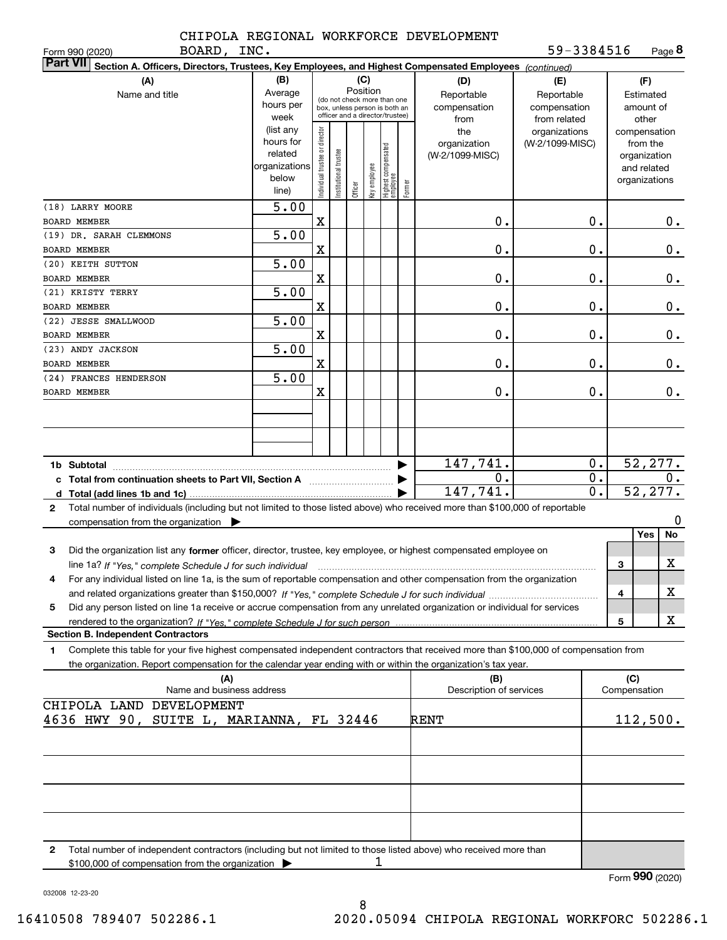| BOARD, INC.<br>Form 990 (2020)                                                                                                                       |                   |                               |                      |         |              |                                                              |        |                         | 59-3384516       |              | Page 8           |
|------------------------------------------------------------------------------------------------------------------------------------------------------|-------------------|-------------------------------|----------------------|---------|--------------|--------------------------------------------------------------|--------|-------------------------|------------------|--------------|------------------|
| <b>Part VII</b><br>Section A. Officers, Directors, Trustees, Key Employees, and Highest Compensated Employees (continued)                            |                   |                               |                      |         |              |                                                              |        |                         |                  |              |                  |
| (A)                                                                                                                                                  | (B)               |                               |                      |         | (C)          |                                                              |        | (D)                     | (E)              |              | (F)              |
| Name and title                                                                                                                                       | Average           |                               |                      |         | Position     |                                                              |        | Reportable              | Reportable       |              | Estimated        |
|                                                                                                                                                      | hours per         |                               |                      |         |              | (do not check more than one<br>box, unless person is both an |        | compensation            | compensation     |              | amount of        |
|                                                                                                                                                      | week              |                               |                      |         |              | officer and a director/trustee)                              |        | from                    | from related     |              | other            |
|                                                                                                                                                      | (list any         |                               |                      |         |              |                                                              |        | the                     | organizations    |              | compensation     |
|                                                                                                                                                      | hours for         |                               |                      |         |              |                                                              |        | organization            | (W-2/1099-MISC)  |              | from the         |
|                                                                                                                                                      | related           |                               |                      |         |              |                                                              |        | (W-2/1099-MISC)         |                  |              | organization     |
|                                                                                                                                                      | organizations     |                               |                      |         |              |                                                              |        |                         |                  |              | and related      |
|                                                                                                                                                      | below             |                               |                      |         |              |                                                              |        |                         |                  |              | organizations    |
|                                                                                                                                                      | line)             | ndividual trustee or director | nstitutional trustee | Officer | Key employee | Highest compensated<br> employee                             | Former |                         |                  |              |                  |
| (18) LARRY MOORE                                                                                                                                     | $\overline{5.00}$ |                               |                      |         |              |                                                              |        |                         |                  |              |                  |
|                                                                                                                                                      |                   |                               |                      |         |              |                                                              |        |                         |                  |              |                  |
| <b>BOARD MEMBER</b>                                                                                                                                  |                   | X                             |                      |         |              |                                                              |        | 0.                      | 0.               |              | $0$ .            |
| (19) DR. SARAH CLEMMONS                                                                                                                              | $\overline{5.00}$ |                               |                      |         |              |                                                              |        |                         |                  |              |                  |
| <b>BOARD MEMBER</b>                                                                                                                                  |                   | X                             |                      |         |              |                                                              |        | 0.                      | 0.               |              | 0.               |
| (20) KEITH SUTTON                                                                                                                                    | $\overline{5.00}$ |                               |                      |         |              |                                                              |        |                         |                  |              |                  |
| <b>BOARD MEMBER</b>                                                                                                                                  |                   | X                             |                      |         |              |                                                              |        | 0.                      | 0.               |              | 0.               |
| (21) KRISTY TERRY                                                                                                                                    | $\overline{5.00}$ |                               |                      |         |              |                                                              |        |                         |                  |              |                  |
| <b>BOARD MEMBER</b>                                                                                                                                  |                   |                               |                      |         |              |                                                              |        | 0.                      | 0.               |              |                  |
|                                                                                                                                                      |                   | X                             |                      |         |              |                                                              |        |                         |                  |              | 0.               |
| (22) JESSE SMALLWOOD                                                                                                                                 | $\overline{5.00}$ |                               |                      |         |              |                                                              |        |                         |                  |              |                  |
| <b>BOARD MEMBER</b>                                                                                                                                  |                   | х                             |                      |         |              |                                                              |        | 0.                      | 0.               |              | 0.               |
| (23) ANDY JACKSON                                                                                                                                    | $\overline{5.00}$ |                               |                      |         |              |                                                              |        |                         |                  |              |                  |
| <b>BOARD MEMBER</b>                                                                                                                                  |                   | х                             |                      |         |              |                                                              |        | 0.                      | 0.               |              | 0.               |
| (24) FRANCES HENDERSON                                                                                                                               | 5.00              |                               |                      |         |              |                                                              |        |                         |                  |              |                  |
| <b>BOARD MEMBER</b>                                                                                                                                  |                   | х                             |                      |         |              |                                                              |        | 0.                      | 0.               |              | $0$ .            |
|                                                                                                                                                      |                   |                               |                      |         |              |                                                              |        |                         |                  |              |                  |
|                                                                                                                                                      |                   |                               |                      |         |              |                                                              |        |                         |                  |              |                  |
|                                                                                                                                                      |                   |                               |                      |         |              |                                                              |        |                         |                  |              |                  |
|                                                                                                                                                      |                   |                               |                      |         |              |                                                              |        |                         |                  |              |                  |
|                                                                                                                                                      |                   |                               |                      |         |              |                                                              |        |                         |                  |              |                  |
|                                                                                                                                                      |                   |                               |                      |         |              |                                                              |        | 147,741.                | $\overline{0}$ . |              | 52, 277.         |
| c Total from continuation sheets to Part VII, Section A                                                                                              |                   |                               |                      |         |              |                                                              |        | 0.                      | $\mathbf 0$ .    |              | $\overline{0}$ . |
|                                                                                                                                                      |                   |                               |                      |         |              |                                                              |        | 147,741.                | $\overline{0}$ . |              | 52, 277.         |
|                                                                                                                                                      |                   |                               |                      |         |              |                                                              |        |                         |                  |              |                  |
| Total number of individuals (including but not limited to those listed above) who received more than \$100,000 of reportable<br>$\mathbf{2}$         |                   |                               |                      |         |              |                                                              |        |                         |                  |              |                  |
| compensation from the organization $\blacktriangleright$                                                                                             |                   |                               |                      |         |              |                                                              |        |                         |                  |              | 0                |
|                                                                                                                                                      |                   |                               |                      |         |              |                                                              |        |                         |                  |              | Yes<br>No        |
| 3<br>Did the organization list any former officer, director, trustee, key employee, or highest compensated employee on                               |                   |                               |                      |         |              |                                                              |        |                         |                  |              |                  |
| line 1a? If "Yes," complete Schedule J for such individual manufactured contained and the line 1a? If "Yes," complete Schedule J for such individual |                   |                               |                      |         |              |                                                              |        |                         |                  | 3            | X                |
| For any individual listed on line 1a, is the sum of reportable compensation and other compensation from the organization                             |                   |                               |                      |         |              |                                                              |        |                         |                  |              |                  |
|                                                                                                                                                      |                   |                               |                      |         |              |                                                              |        |                         |                  |              | x                |
|                                                                                                                                                      |                   |                               |                      |         |              |                                                              |        |                         |                  | 4            |                  |
| Did any person listed on line 1a receive or accrue compensation from any unrelated organization or individual for services<br>5                      |                   |                               |                      |         |              |                                                              |        |                         |                  |              |                  |
| rendered to the organization? If "Yes." complete Schedule J for such person                                                                          |                   |                               |                      |         |              |                                                              |        |                         |                  | 5            | X                |
| <b>Section B. Independent Contractors</b>                                                                                                            |                   |                               |                      |         |              |                                                              |        |                         |                  |              |                  |
| Complete this table for your five highest compensated independent contractors that received more than \$100,000 of compensation from<br>1.           |                   |                               |                      |         |              |                                                              |        |                         |                  |              |                  |
| the organization. Report compensation for the calendar year ending with or within the organization's tax year.                                       |                   |                               |                      |         |              |                                                              |        |                         |                  |              |                  |
| (A)                                                                                                                                                  |                   |                               |                      |         |              |                                                              |        | (B)                     |                  | (C)          |                  |
| Name and business address                                                                                                                            |                   |                               |                      |         |              |                                                              |        | Description of services |                  | Compensation |                  |
| CHIPOLA LAND DEVELOPMENT                                                                                                                             |                   |                               |                      |         |              |                                                              |        |                         |                  |              |                  |
|                                                                                                                                                      |                   |                               |                      |         |              |                                                              |        |                         |                  |              |                  |
| 4636 HWY 90, SUITE L, MARIANNA, FL 32446                                                                                                             |                   |                               |                      |         |              |                                                              |        | RENT                    |                  |              | 112,500.         |
|                                                                                                                                                      |                   |                               |                      |         |              |                                                              |        |                         |                  |              |                  |
|                                                                                                                                                      |                   |                               |                      |         |              |                                                              |        |                         |                  |              |                  |
|                                                                                                                                                      |                   |                               |                      |         |              |                                                              |        |                         |                  |              |                  |
|                                                                                                                                                      |                   |                               |                      |         |              |                                                              |        |                         |                  |              |                  |
|                                                                                                                                                      |                   |                               |                      |         |              |                                                              |        |                         |                  |              |                  |
|                                                                                                                                                      |                   |                               |                      |         |              |                                                              |        |                         |                  |              |                  |
|                                                                                                                                                      |                   |                               |                      |         |              |                                                              |        |                         |                  |              |                  |
|                                                                                                                                                      |                   |                               |                      |         |              |                                                              |        |                         |                  |              |                  |
|                                                                                                                                                      |                   |                               |                      |         |              |                                                              |        |                         |                  |              |                  |
| Total number of independent contractors (including but not limited to those listed above) who received more than<br>2                                |                   |                               |                      |         |              |                                                              |        |                         |                  |              |                  |
| \$100,000 of compensation from the organization                                                                                                      |                   |                               |                      |         |              | 1                                                            |        |                         |                  |              |                  |

Form (2020) **990**

032008 12-23-20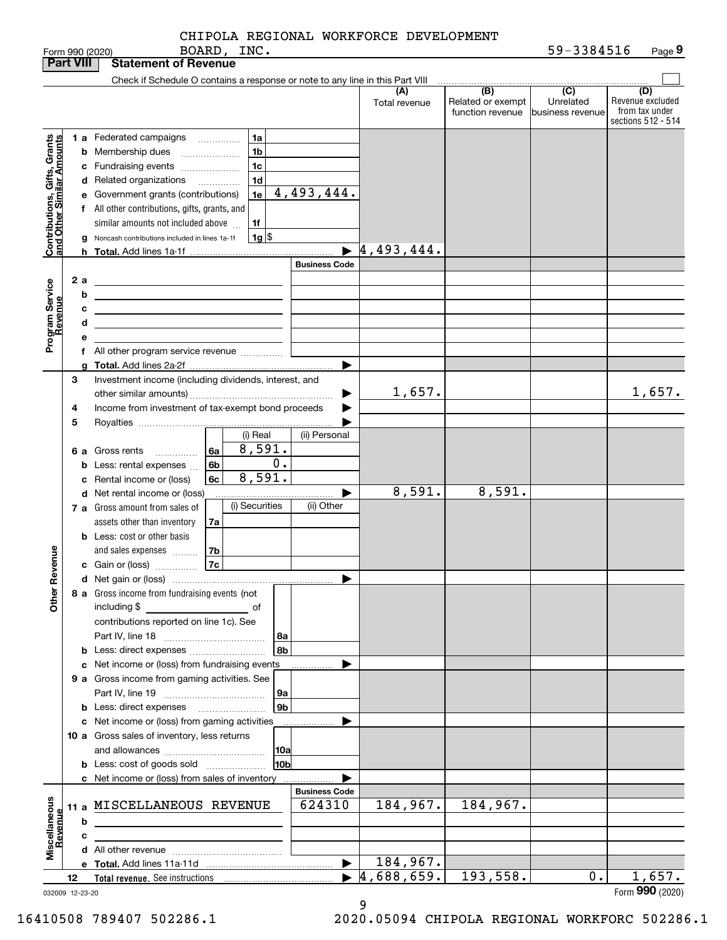|                                                           | <b>Part VIII</b> |   | <b>Statement of Revenue</b>                                                                                           |                |                       |                                  |                                              |                                                   |                                                                 |
|-----------------------------------------------------------|------------------|---|-----------------------------------------------------------------------------------------------------------------------|----------------|-----------------------|----------------------------------|----------------------------------------------|---------------------------------------------------|-----------------------------------------------------------------|
|                                                           |                  |   | Check if Schedule O contains a response or note to any line in this Part VIII                                         |                |                       |                                  |                                              |                                                   |                                                                 |
|                                                           |                  |   |                                                                                                                       |                |                       | Total revenue                    | (B)<br>Related or exempt<br>function revenue | $\overline{(C)}$<br>Unrelated<br>business revenue | (D)<br>Revenue excluded<br>from tax under<br>sections 512 - 514 |
|                                                           |                  |   | 1 a Federated campaigns                                                                                               | 1a             |                       |                                  |                                              |                                                   |                                                                 |
| Contributions, Gifts, Grants<br>and Other Similar Amounts |                  |   | <b>b</b> Membership dues                                                                                              | 1 <sub>b</sub> |                       |                                  |                                              |                                                   |                                                                 |
|                                                           |                  |   | c Fundraising events                                                                                                  | 1 <sub>c</sub> |                       |                                  |                                              |                                                   |                                                                 |
|                                                           |                  |   | d Related organizations                                                                                               | 1 <sub>d</sub> |                       |                                  |                                              |                                                   |                                                                 |
|                                                           |                  |   | e Government grants (contributions)                                                                                   | 1e             | 4,493,444.            |                                  |                                              |                                                   |                                                                 |
|                                                           |                  |   | f All other contributions, gifts, grants, and                                                                         |                |                       |                                  |                                              |                                                   |                                                                 |
|                                                           |                  |   | similar amounts not included above                                                                                    | 1f             |                       |                                  |                                              |                                                   |                                                                 |
|                                                           |                  |   | Noncash contributions included in lines 1a-1f                                                                         | $1g$ \$        |                       |                                  |                                              |                                                   |                                                                 |
|                                                           |                  |   |                                                                                                                       |                |                       | $\blacktriangleright$ 4,493,444. |                                              |                                                   |                                                                 |
|                                                           |                  |   |                                                                                                                       |                | <b>Business Code</b>  |                                  |                                              |                                                   |                                                                 |
|                                                           | 2a               |   | <u> 1989 - Johann Barn, mars ann an t-Amhair an t-Amhair an t-Amhair an t-Amhair an t-Amhair an t-Amhair an t-Amh</u> |                |                       |                                  |                                              |                                                   |                                                                 |
|                                                           |                  | b | the control of the control of the control of the control of the control of the control of                             |                |                       |                                  |                                              |                                                   |                                                                 |
|                                                           |                  | с | <u> 1989 - Johann Barn, amerikansk politiker (d. 1989)</u>                                                            |                |                       |                                  |                                              |                                                   |                                                                 |
|                                                           |                  | d | the control of the control of the control of the control of the control of                                            |                |                       |                                  |                                              |                                                   |                                                                 |
| Program Service<br>Revenue                                |                  | е |                                                                                                                       |                |                       |                                  |                                              |                                                   |                                                                 |
|                                                           |                  |   |                                                                                                                       |                |                       |                                  |                                              |                                                   |                                                                 |
|                                                           | 3                |   | Investment income (including dividends, interest, and                                                                 |                |                       |                                  |                                              |                                                   |                                                                 |
|                                                           |                  |   |                                                                                                                       |                |                       | 1,657.                           |                                              |                                                   | 1,657.                                                          |
|                                                           | 4                |   | Income from investment of tax-exempt bond proceeds                                                                    |                |                       |                                  |                                              |                                                   |                                                                 |
|                                                           | 5                |   |                                                                                                                       |                |                       |                                  |                                              |                                                   |                                                                 |
|                                                           |                  |   |                                                                                                                       | (i) Real       | (ii) Personal         |                                  |                                              |                                                   |                                                                 |
|                                                           |                  |   | 6a<br>6 a Gross rents                                                                                                 | 8,591.         |                       |                                  |                                              |                                                   |                                                                 |
|                                                           |                  | b | 6b<br>Less: rental expenses                                                                                           | 0.             |                       |                                  |                                              |                                                   |                                                                 |
|                                                           |                  |   | 6c<br>c Rental income or (loss)                                                                                       | 8,591.         |                       |                                  |                                              |                                                   |                                                                 |
|                                                           |                  |   | d Net rental income or (loss)                                                                                         |                |                       | 8,591.                           | 8,591.                                       |                                                   |                                                                 |
|                                                           |                  |   | 7 a Gross amount from sales of                                                                                        | (i) Securities | (ii) Other            |                                  |                                              |                                                   |                                                                 |
|                                                           |                  |   | assets other than inventory<br>7a                                                                                     |                |                       |                                  |                                              |                                                   |                                                                 |
|                                                           |                  |   | <b>b</b> Less: cost or other basis                                                                                    |                |                       |                                  |                                              |                                                   |                                                                 |
| Revenue                                                   |                  |   | 7b<br>and sales expenses<br>7c<br>c Gain or (loss)                                                                    |                |                       |                                  |                                              |                                                   |                                                                 |
|                                                           |                  |   |                                                                                                                       |                | ▶                     |                                  |                                              |                                                   |                                                                 |
| 늦                                                         |                  |   | 8 a Gross income from fundraising events (not                                                                         |                |                       |                                  |                                              |                                                   |                                                                 |
| Othe                                                      |                  |   | including \$                                                                                                          |                |                       |                                  |                                              |                                                   |                                                                 |
|                                                           |                  |   | contributions reported on line 1c). See                                                                               |                |                       |                                  |                                              |                                                   |                                                                 |
|                                                           |                  |   |                                                                                                                       | 8a             |                       |                                  |                                              |                                                   |                                                                 |
|                                                           |                  |   |                                                                                                                       | 8b             |                       |                                  |                                              |                                                   |                                                                 |
|                                                           |                  |   | c Net income or (loss) from fundraising events                                                                        |                |                       |                                  |                                              |                                                   |                                                                 |
|                                                           |                  |   | 9 a Gross income from gaming activities. See                                                                          |                |                       |                                  |                                              |                                                   |                                                                 |
|                                                           |                  |   |                                                                                                                       | 9a             |                       |                                  |                                              |                                                   |                                                                 |
|                                                           |                  |   | <b>b</b> Less: direct expenses <b>manually</b>                                                                        | 9 <sub>b</sub> |                       |                                  |                                              |                                                   |                                                                 |
|                                                           |                  |   | c Net income or (loss) from gaming activities                                                                         |                |                       |                                  |                                              |                                                   |                                                                 |
|                                                           |                  |   | 10 a Gross sales of inventory, less returns                                                                           |                |                       |                                  |                                              |                                                   |                                                                 |
|                                                           |                  |   | <b>b</b> Less: cost of goods sold                                                                                     | 10a<br>10b     |                       |                                  |                                              |                                                   |                                                                 |
|                                                           |                  |   | c Net income or (loss) from sales of inventory                                                                        |                |                       |                                  |                                              |                                                   |                                                                 |
|                                                           |                  |   |                                                                                                                       |                | <b>Business Code</b>  |                                  |                                              |                                                   |                                                                 |
|                                                           |                  |   | 11 a MISCELLANEOUS REVENUE                                                                                            |                | 624310                | 184,967.                         | 184,967.                                     |                                                   |                                                                 |
|                                                           |                  | b |                                                                                                                       |                |                       |                                  |                                              |                                                   |                                                                 |
|                                                           |                  | с |                                                                                                                       |                |                       |                                  |                                              |                                                   |                                                                 |
| Miscellaneous<br>Revenue                                  |                  |   |                                                                                                                       |                |                       |                                  |                                              |                                                   |                                                                 |
|                                                           |                  |   |                                                                                                                       |                | $\blacktriangleright$ | 184,967.                         |                                              |                                                   |                                                                 |
|                                                           | 12               |   |                                                                                                                       |                |                       | 4,688,659.                       | 193,558.                                     | 0.                                                | 1,657.                                                          |
| 032009 12-23-20                                           |                  |   |                                                                                                                       |                |                       |                                  |                                              |                                                   | Form 990 (2020)                                                 |

032009 12-23-20

9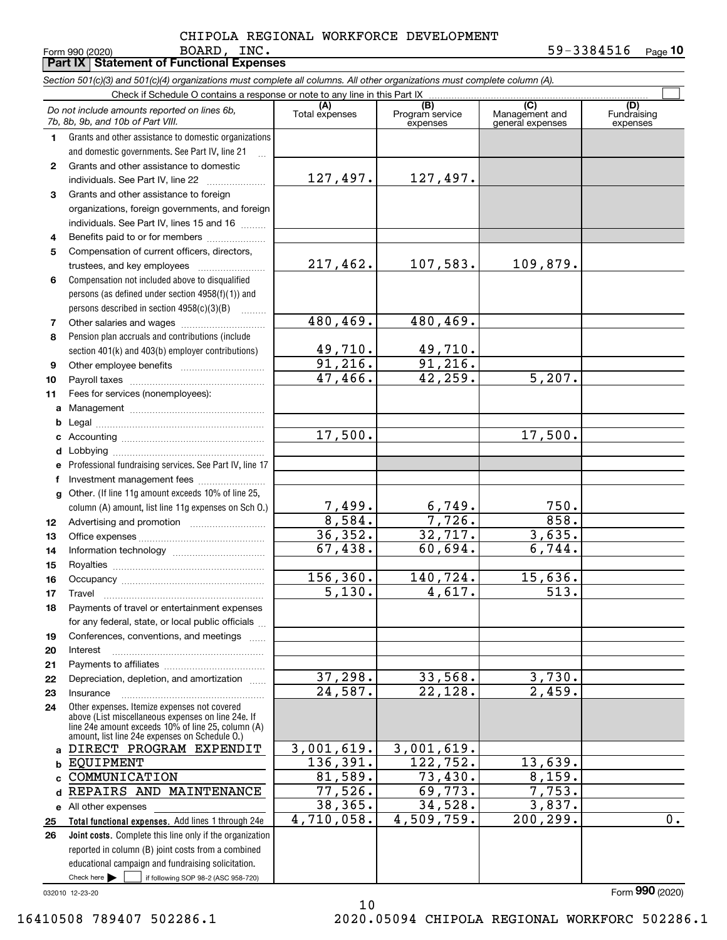**10**

 $\equiv$ 

*Section 501(c)(3) and 501(c)(4) organizations must complete all columns. All other organizations must complete column (A).* Form 990 (2020) Page **Part IX Statement of Functional Expenses** Check if Schedule O contains a response or note to any line in this Part IX  $\texttt{BOARD}$ ,  $\texttt{INC.}$   $\texttt{59-3384516}$ 

|              | Check if Schedule O contains a response or note to any line in this Part IX                                |                                                 |                                    | B) (C) (D)                         |                         |
|--------------|------------------------------------------------------------------------------------------------------------|-------------------------------------------------|------------------------------------|------------------------------------|-------------------------|
|              | Do not include amounts reported on lines 6b,<br>7b, 8b, 9b, and 10b of Part VIII.                          | (A)<br>Total expenses                           | (B)<br>Program service<br>expenses | Management and<br>general expenses | Fundraising<br>expenses |
| $\mathbf 1$  | Grants and other assistance to domestic organizations                                                      |                                                 |                                    |                                    |                         |
|              | and domestic governments. See Part IV, line 21                                                             |                                                 |                                    |                                    |                         |
| $\mathbf{2}$ | Grants and other assistance to domestic                                                                    |                                                 |                                    |                                    |                         |
|              | individuals. See Part IV, line 22                                                                          | 127,497.                                        | 127,497.                           |                                    |                         |
| 3            | Grants and other assistance to foreign                                                                     |                                                 |                                    |                                    |                         |
|              | organizations, foreign governments, and foreign                                                            |                                                 |                                    |                                    |                         |
|              | individuals. See Part IV, lines 15 and 16                                                                  |                                                 |                                    |                                    |                         |
| 4            | Benefits paid to or for members                                                                            |                                                 |                                    |                                    |                         |
| 5            | Compensation of current officers, directors,                                                               |                                                 |                                    |                                    |                         |
|              |                                                                                                            | 217,462.                                        | 107,583.                           | 109,879.                           |                         |
| 6            | Compensation not included above to disqualified                                                            |                                                 |                                    |                                    |                         |
|              | persons (as defined under section 4958(f)(1)) and                                                          |                                                 |                                    |                                    |                         |
|              | persons described in section $4958(c)(3)(B)$                                                               |                                                 |                                    |                                    |                         |
| 7            |                                                                                                            | 480,469.                                        | 480,469.                           |                                    |                         |
| 8            | Pension plan accruals and contributions (include                                                           |                                                 |                                    |                                    |                         |
|              | section 401(k) and 403(b) employer contributions)                                                          | $\frac{49,710}{91,216}$                         | $\frac{49,710}{91,216}$            |                                    |                         |
| 9            |                                                                                                            |                                                 |                                    |                                    |                         |
| 10           |                                                                                                            | 47,466.                                         | 42, 259.                           | 5,207.                             |                         |
| 11           | Fees for services (nonemployees):                                                                          |                                                 |                                    |                                    |                         |
| a            |                                                                                                            |                                                 |                                    |                                    |                         |
| b            |                                                                                                            |                                                 |                                    |                                    |                         |
| c            |                                                                                                            | 17,500.                                         |                                    | 17,500.                            |                         |
| d            |                                                                                                            |                                                 |                                    |                                    |                         |
|              | Professional fundraising services. See Part IV, line 17                                                    |                                                 |                                    |                                    |                         |
| f            | Investment management fees                                                                                 |                                                 |                                    |                                    |                         |
| g            | Other. (If line 11g amount exceeds 10% of line 25,<br>column (A) amount, list line 11g expenses on Sch O.) |                                                 |                                    | 750.                               |                         |
| 12           |                                                                                                            | $\frac{7,499}{8,584}$<br>$\frac{8,584}{36,352}$ | $\frac{6,749}{7,726}$              | 858.                               |                         |
| 13           |                                                                                                            |                                                 | 32,717.                            | 3,635.                             |                         |
| 14           |                                                                                                            | 67,438.                                         | 60,694.                            | $\overline{6,744}$ .               |                         |
| 15           |                                                                                                            |                                                 |                                    |                                    |                         |
| 16           |                                                                                                            | 156,360.                                        | 140,724.                           | 15,636.                            |                         |
| 17           | Travel                                                                                                     | $\overline{5,130}$ .                            | $\overline{4,617}$ .               | $\overline{513}$ .                 |                         |
| 18           | Payments of travel or entertainment expenses                                                               |                                                 |                                    |                                    |                         |
|              | for any federal, state, or local public officials                                                          |                                                 |                                    |                                    |                         |
| 19           | Conferences, conventions, and meetings                                                                     |                                                 |                                    |                                    |                         |
| 20           | Interest                                                                                                   |                                                 |                                    |                                    |                         |
| 21           |                                                                                                            |                                                 |                                    |                                    |                         |
| 22           | Depreciation, depletion, and amortization                                                                  | 37,298.                                         | 33,568.                            | 3,730.                             |                         |
| 23           | Insurance                                                                                                  | $\overline{24,587}$ .                           | $\overline{22,128}$ .              | $\overline{2,459}$ .               |                         |
| 24           | Other expenses. Itemize expenses not covered                                                               |                                                 |                                    |                                    |                         |
|              | above (List miscellaneous expenses on line 24e. If<br>line 24e amount exceeds 10% of line 25, column (A)   |                                                 |                                    |                                    |                         |
|              | amount, list line 24e expenses on Schedule O.)                                                             |                                                 |                                    |                                    |                         |
| a            | DIRECT PROGRAM EXPENDIT                                                                                    | 3,001,619.                                      | 3,001,619.                         |                                    |                         |
| b            | <b>EQUIPMENT</b>                                                                                           | 136,391.                                        | $\overline{122}$ , 752.            | 13,639.                            |                         |
| C            | COMMUNICATION                                                                                              | 81,589.                                         | 73,430.                            | 8,159.                             |                         |
| d            | REPAIRS AND MAINTENANCE                                                                                    | 77,526.                                         | 69,773.                            | 7,753.                             |                         |
| е            | All other expenses                                                                                         | 38,365.                                         | 34,528.                            | 3,837.                             |                         |
| 25           | Total functional expenses. Add lines 1 through 24e                                                         | 4,710,058.                                      | 4,509,759.                         | 200,299.                           | 0.                      |
| 26           | <b>Joint costs.</b> Complete this line only if the organization                                            |                                                 |                                    |                                    |                         |
|              | reported in column (B) joint costs from a combined                                                         |                                                 |                                    |                                    |                         |
|              | educational campaign and fundraising solicitation.                                                         |                                                 |                                    |                                    |                         |
|              | Check here<br>if following SOP 98-2 (ASC 958-720)                                                          |                                                 |                                    |                                    | Form 990 (2020)         |
|              | 032010 12-23-20                                                                                            |                                                 |                                    |                                    |                         |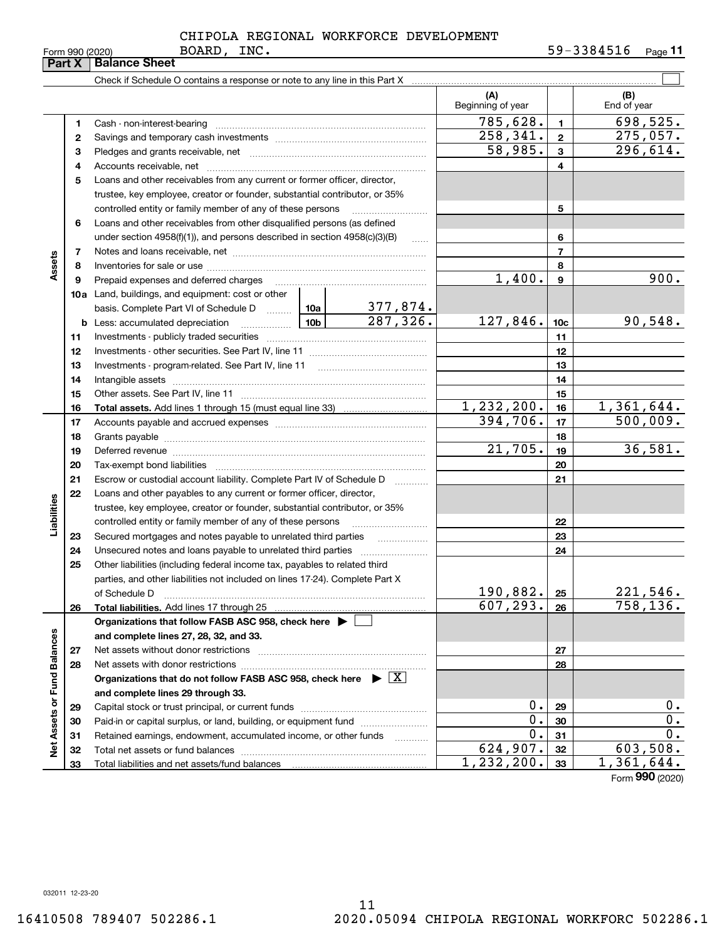|  | orm 990 (2020) |
|--|----------------|

### BOARD, INC. CHIPOLA REGIONAL WORKFORCE DEVELOPMENT

|                             | <b>UIIII JJU</b><br>Part X | cucu<br><b>Balance Sheet</b>                                                                                                                                                                                                   |                                                                                           |                                                                                                                                                                                                                                                                                                                                                                                                                                               |                          |                 |                           |  |
|-----------------------------|----------------------------|--------------------------------------------------------------------------------------------------------------------------------------------------------------------------------------------------------------------------------|-------------------------------------------------------------------------------------------|-----------------------------------------------------------------------------------------------------------------------------------------------------------------------------------------------------------------------------------------------------------------------------------------------------------------------------------------------------------------------------------------------------------------------------------------------|--------------------------|-----------------|---------------------------|--|
|                             |                            |                                                                                                                                                                                                                                |                                                                                           |                                                                                                                                                                                                                                                                                                                                                                                                                                               |                          |                 |                           |  |
|                             |                            |                                                                                                                                                                                                                                |                                                                                           |                                                                                                                                                                                                                                                                                                                                                                                                                                               | (A)<br>Beginning of year |                 | (B)<br>End of year        |  |
|                             | 1                          | Cash - non-interest-bearing                                                                                                                                                                                                    |                                                                                           |                                                                                                                                                                                                                                                                                                                                                                                                                                               | 785,628.                 | $\mathbf{1}$    | $\overline{698,}525.$     |  |
|                             | 2                          |                                                                                                                                                                                                                                |                                                                                           |                                                                                                                                                                                                                                                                                                                                                                                                                                               | 258,341.                 | $\mathbf{2}$    | 275,057.                  |  |
|                             | з                          |                                                                                                                                                                                                                                |                                                                                           | 58,985.                                                                                                                                                                                                                                                                                                                                                                                                                                       | 3                        | 296,614.        |                           |  |
|                             | 4                          |                                                                                                                                                                                                                                |                                                                                           |                                                                                                                                                                                                                                                                                                                                                                                                                                               | 4                        |                 |                           |  |
|                             | 5                          | Loans and other receivables from any current or former officer, director,                                                                                                                                                      |                                                                                           |                                                                                                                                                                                                                                                                                                                                                                                                                                               |                          |                 |                           |  |
|                             |                            | trustee, key employee, creator or founder, substantial contributor, or 35%                                                                                                                                                     |                                                                                           |                                                                                                                                                                                                                                                                                                                                                                                                                                               |                          |                 |                           |  |
|                             |                            | controlled entity or family member of any of these persons                                                                                                                                                                     |                                                                                           |                                                                                                                                                                                                                                                                                                                                                                                                                                               |                          | 5               |                           |  |
|                             | 6                          | Loans and other receivables from other disqualified persons (as defined                                                                                                                                                        |                                                                                           |                                                                                                                                                                                                                                                                                                                                                                                                                                               |                          |                 |                           |  |
|                             |                            |                                                                                                                                                                                                                                | under section $4958(f)(1)$ , and persons described in section $4958(c)(3)(B)$<br>$\ldots$ |                                                                                                                                                                                                                                                                                                                                                                                                                                               |                          |                 |                           |  |
|                             | 7                          |                                                                                                                                                                                                                                |                                                                                           |                                                                                                                                                                                                                                                                                                                                                                                                                                               |                          | $\overline{7}$  |                           |  |
| Assets                      | 8                          |                                                                                                                                                                                                                                |                                                                                           |                                                                                                                                                                                                                                                                                                                                                                                                                                               |                          | 8               |                           |  |
|                             | 9                          | Prepaid expenses and deferred charges                                                                                                                                                                                          |                                                                                           |                                                                                                                                                                                                                                                                                                                                                                                                                                               | 1,400.                   | 9               | 900.                      |  |
|                             |                            | <b>10a</b> Land, buildings, and equipment: cost or other                                                                                                                                                                       |                                                                                           |                                                                                                                                                                                                                                                                                                                                                                                                                                               |                          |                 |                           |  |
|                             |                            | basis. Complete Part VI of Schedule D  10a                                                                                                                                                                                     |                                                                                           | $\frac{377,874.}{287,326.}$                                                                                                                                                                                                                                                                                                                                                                                                                   |                          |                 |                           |  |
|                             |                            | $\boxed{10b}$<br><b>b</b> Less: accumulated depreciation                                                                                                                                                                       |                                                                                           |                                                                                                                                                                                                                                                                                                                                                                                                                                               | 127,846.                 | 10 <sub>c</sub> | 90,548.                   |  |
|                             | 11                         |                                                                                                                                                                                                                                |                                                                                           |                                                                                                                                                                                                                                                                                                                                                                                                                                               |                          | 11              |                           |  |
|                             | 12                         |                                                                                                                                                                                                                                |                                                                                           |                                                                                                                                                                                                                                                                                                                                                                                                                                               | 12                       |                 |                           |  |
|                             | 13                         | Investments - program-related. See Part IV, line 11                                                                                                                                                                            |                                                                                           | 13                                                                                                                                                                                                                                                                                                                                                                                                                                            |                          |                 |                           |  |
|                             | 14                         |                                                                                                                                                                                                                                |                                                                                           | 14                                                                                                                                                                                                                                                                                                                                                                                                                                            |                          |                 |                           |  |
|                             | 15                         |                                                                                                                                                                                                                                |                                                                                           |                                                                                                                                                                                                                                                                                                                                                                                                                                               |                          | 15              |                           |  |
|                             | 16                         |                                                                                                                                                                                                                                |                                                                                           |                                                                                                                                                                                                                                                                                                                                                                                                                                               | $\overline{1,232,200}$ . | 16              | 1,361,644.                |  |
|                             | 17                         |                                                                                                                                                                                                                                |                                                                                           | 394,706.                                                                                                                                                                                                                                                                                                                                                                                                                                      | 17                       | 500,009.        |                           |  |
|                             | 18                         |                                                                                                                                                                                                                                |                                                                                           |                                                                                                                                                                                                                                                                                                                                                                                                                                               | 18                       |                 |                           |  |
|                             | 19                         | Deferred revenue manual contracts and contracts are all the contracts and contracts are contracted and contracts are contracted and contract are contracted and contract are contracted and contract are contracted and contra |                                                                                           |                                                                                                                                                                                                                                                                                                                                                                                                                                               | 21,705.                  | 19              | 36,581.                   |  |
|                             | 20                         | Tax-exempt bond liabilities                                                                                                                                                                                                    |                                                                                           | $\begin{minipage}{0.5\textwidth} \begin{tabular}{ l l l } \hline & \multicolumn{1}{ l l } \hline & \multicolumn{1}{ l } \multicolumn{1}{ l } \multicolumn{1}{ l } \multicolumn{1}{ l } \multicolumn{1}{ l } \multicolumn{1}{ l } \multicolumn{1}{ l } \multicolumn{1}{ l } \multicolumn{1}{ l } \multicolumn{1}{ l } \multicolumn{1}{ l } \multicolumn{1}{ l } \multicolumn{1}{ l } \multicolumn{1}{ l } \multicolumn{1}{ l } \multicolumn{1$ |                          | 20              |                           |  |
|                             | 21                         | Escrow or custodial account liability. Complete Part IV of Schedule D                                                                                                                                                          |                                                                                           | .                                                                                                                                                                                                                                                                                                                                                                                                                                             |                          | 21              |                           |  |
|                             | 22                         | Loans and other payables to any current or former officer, director,                                                                                                                                                           |                                                                                           |                                                                                                                                                                                                                                                                                                                                                                                                                                               |                          |                 |                           |  |
|                             |                            | trustee, key employee, creator or founder, substantial contributor, or 35%                                                                                                                                                     |                                                                                           |                                                                                                                                                                                                                                                                                                                                                                                                                                               |                          |                 |                           |  |
| Liabilities                 |                            | controlled entity or family member of any of these persons                                                                                                                                                                     |                                                                                           |                                                                                                                                                                                                                                                                                                                                                                                                                                               |                          | 22              |                           |  |
|                             | 23                         | Secured mortgages and notes payable to unrelated third parties                                                                                                                                                                 |                                                                                           | .                                                                                                                                                                                                                                                                                                                                                                                                                                             |                          | 23              |                           |  |
|                             | 24<br>25                   | Other liabilities (including federal income tax, payables to related third                                                                                                                                                     |                                                                                           |                                                                                                                                                                                                                                                                                                                                                                                                                                               |                          | 24              |                           |  |
|                             |                            | parties, and other liabilities not included on lines 17-24). Complete Part X                                                                                                                                                   |                                                                                           |                                                                                                                                                                                                                                                                                                                                                                                                                                               |                          |                 |                           |  |
|                             |                            | of Schedule D                                                                                                                                                                                                                  |                                                                                           |                                                                                                                                                                                                                                                                                                                                                                                                                                               | 190,882.                 | 25              | 221,546.                  |  |
|                             | 26                         | Total liabilities. Add lines 17 through 25                                                                                                                                                                                     |                                                                                           |                                                                                                                                                                                                                                                                                                                                                                                                                                               | 607,293.                 | 26              | 758,136.                  |  |
|                             |                            | Organizations that follow FASB ASC 958, check here $\blacktriangleright$                                                                                                                                                       |                                                                                           |                                                                                                                                                                                                                                                                                                                                                                                                                                               |                          |                 |                           |  |
|                             |                            | and complete lines 27, 28, 32, and 33.                                                                                                                                                                                         |                                                                                           |                                                                                                                                                                                                                                                                                                                                                                                                                                               |                          |                 |                           |  |
|                             | 27                         | Net assets without donor restrictions                                                                                                                                                                                          |                                                                                           |                                                                                                                                                                                                                                                                                                                                                                                                                                               |                          | 27              |                           |  |
|                             | 28                         |                                                                                                                                                                                                                                |                                                                                           |                                                                                                                                                                                                                                                                                                                                                                                                                                               | 28                       |                 |                           |  |
|                             |                            | Organizations that do not follow FASB ASC 958, check here $\blacktriangleright \lfloor X \rfloor$                                                                                                                              |                                                                                           |                                                                                                                                                                                                                                                                                                                                                                                                                                               |                          |                 |                           |  |
|                             |                            | and complete lines 29 through 33.                                                                                                                                                                                              |                                                                                           |                                                                                                                                                                                                                                                                                                                                                                                                                                               |                          |                 |                           |  |
|                             | 29                         |                                                                                                                                                                                                                                |                                                                                           |                                                                                                                                                                                                                                                                                                                                                                                                                                               | 0.                       | 29              | 0.                        |  |
|                             | 30                         | Paid-in or capital surplus, or land, building, or equipment fund                                                                                                                                                               |                                                                                           |                                                                                                                                                                                                                                                                                                                                                                                                                                               | $\overline{0}$ .         | 30              | 0.                        |  |
|                             | 31                         | Retained earnings, endowment, accumulated income, or other funds                                                                                                                                                               |                                                                                           | .                                                                                                                                                                                                                                                                                                                                                                                                                                             | 0.                       | 31              | 0.                        |  |
| Net Assets or Fund Balances | 32                         |                                                                                                                                                                                                                                |                                                                                           |                                                                                                                                                                                                                                                                                                                                                                                                                                               | 624,907.                 | 32              | 603,508.                  |  |
|                             | 33                         |                                                                                                                                                                                                                                |                                                                                           |                                                                                                                                                                                                                                                                                                                                                                                                                                               | 1,232,200.               | 33              | 1,361,644.                |  |
|                             |                            |                                                                                                                                                                                                                                |                                                                                           |                                                                                                                                                                                                                                                                                                                                                                                                                                               |                          |                 | $F_{\text{c}}$ 990 (2020) |  |

Form (2020) **990**

032011 12-23-20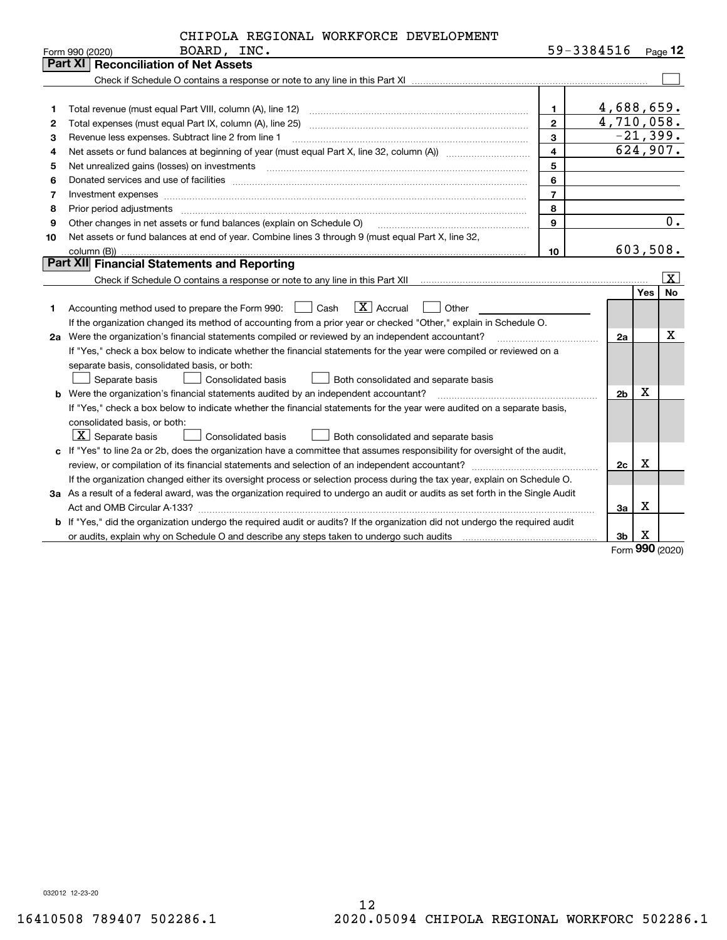| 59-3384516<br>$P$ <sub>age</sub> $12$ |  |  |  |
|---------------------------------------|--|--|--|
|---------------------------------------|--|--|--|

|    | BOARD, INC.<br>Form 990 (2020)                                                                                                                                                                                                 |                         | 59-3384516     |          | Page 12          |
|----|--------------------------------------------------------------------------------------------------------------------------------------------------------------------------------------------------------------------------------|-------------------------|----------------|----------|------------------|
|    | <b>Part XI   Reconciliation of Net Assets</b>                                                                                                                                                                                  |                         |                |          |                  |
|    |                                                                                                                                                                                                                                |                         |                |          |                  |
|    |                                                                                                                                                                                                                                |                         |                |          |                  |
| 1  |                                                                                                                                                                                                                                | 1.                      | 4,688,659.     |          |                  |
| 2  |                                                                                                                                                                                                                                | $\mathbf{2}$            | 4,710,058.     |          |                  |
| 3  | Revenue less expenses. Subtract line 2 from line 1                                                                                                                                                                             | 3                       | $-21,399.$     |          |                  |
| 4  |                                                                                                                                                                                                                                | $\overline{\mathbf{4}}$ |                | 624,907. |                  |
| 5  | Net unrealized gains (losses) on investments [11] matter contracts and the state of the state of the state of the state of the state of the state of the state of the state of the state of the state of the state of the stat | 5                       |                |          |                  |
| 6  |                                                                                                                                                                                                                                | 6                       |                |          |                  |
| 7  | Investment expenses www.communication.com/www.communication.com/www.communication.com/www.com                                                                                                                                  | $\overline{7}$          |                |          |                  |
| 8  | Prior period adjustments                                                                                                                                                                                                       | 8                       |                |          |                  |
| 9  | Other changes in net assets or fund balances (explain on Schedule O)                                                                                                                                                           | $\mathbf{9}$            |                |          | $\overline{0}$ . |
| 10 | Net assets or fund balances at end of year. Combine lines 3 through 9 (must equal Part X, line 32,                                                                                                                             |                         |                |          |                  |
|    |                                                                                                                                                                                                                                | 10 <sup>10</sup>        |                | 603,508. |                  |
|    | Part XII Financial Statements and Reporting                                                                                                                                                                                    |                         |                |          |                  |
|    |                                                                                                                                                                                                                                |                         |                |          | $\vert X \vert$  |
|    |                                                                                                                                                                                                                                |                         |                | Yes      | <b>No</b>        |
| 1  | $\boxed{\text{X}}$ Accrual<br>Accounting method used to prepare the Form 990: <u>June</u> Cash<br>Other                                                                                                                        |                         |                |          |                  |
|    | If the organization changed its method of accounting from a prior year or checked "Other," explain in Schedule O.                                                                                                              |                         |                |          |                  |
|    | 2a Were the organization's financial statements compiled or reviewed by an independent accountant?                                                                                                                             |                         | 2a             |          | X                |
|    | If "Yes," check a box below to indicate whether the financial statements for the year were compiled or reviewed on a                                                                                                           |                         |                |          |                  |
|    | separate basis, consolidated basis, or both:                                                                                                                                                                                   |                         |                |          |                  |
|    | Separate basis<br><b>Consolidated basis</b><br>Both consolidated and separate basis                                                                                                                                            |                         |                |          |                  |
|    | b Were the organization's financial statements audited by an independent accountant?                                                                                                                                           |                         | 2 <sub>b</sub> | X        |                  |
|    | If "Yes," check a box below to indicate whether the financial statements for the year were audited on a separate basis,                                                                                                        |                         |                |          |                  |
|    | consolidated basis, or both:                                                                                                                                                                                                   |                         |                |          |                  |
|    | $ \mathbf{X} $ Separate basis<br>Consolidated basis<br>Both consolidated and separate basis                                                                                                                                    |                         |                |          |                  |
|    | c If "Yes" to line 2a or 2b, does the organization have a committee that assumes responsibility for oversight of the audit,                                                                                                    |                         |                |          |                  |
|    |                                                                                                                                                                                                                                |                         | 2c             | x        |                  |
|    | If the organization changed either its oversight process or selection process during the tax year, explain on Schedule O.                                                                                                      |                         |                |          |                  |
|    | 3a As a result of a federal award, was the organization required to undergo an audit or audits as set forth in the Single Audit                                                                                                |                         |                |          |                  |
|    |                                                                                                                                                                                                                                |                         | За             | X        |                  |
|    | b If "Yes," did the organization undergo the required audit or audits? If the organization did not undergo the required audit                                                                                                  |                         |                |          |                  |
|    |                                                                                                                                                                                                                                |                         | 3 <sub>b</sub> | X        |                  |

Form (2020) **990**

032012 12-23-20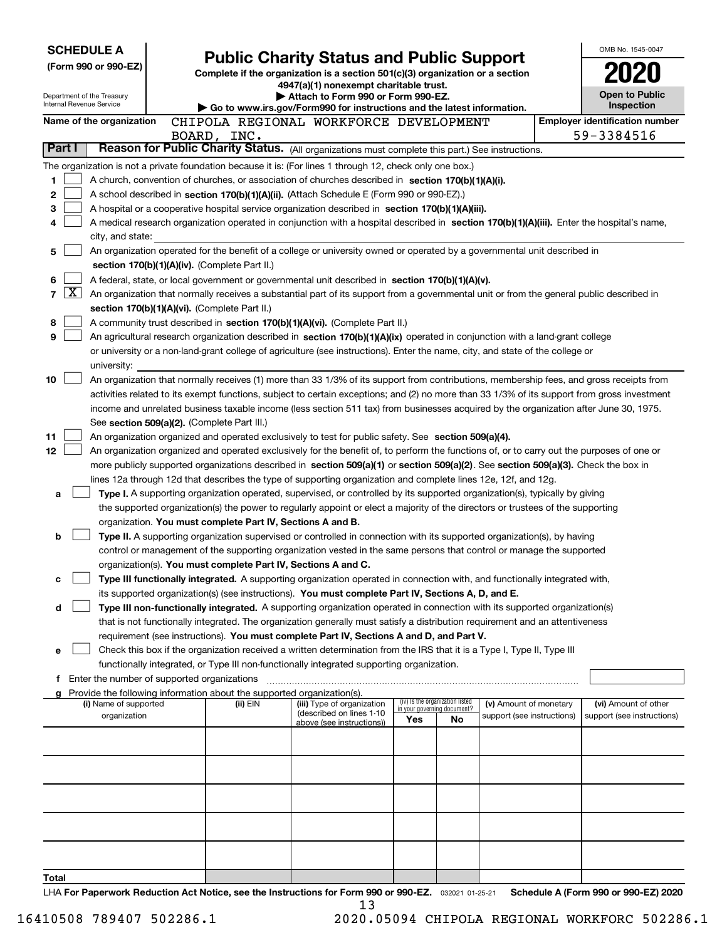|                          | <b>SCHEDULE A</b>                                      |  |                                                                        |                                                                                                                                                                                                                                                                |                             |                                 |                            | OMB No. 1545-0047                     |
|--------------------------|--------------------------------------------------------|--|------------------------------------------------------------------------|----------------------------------------------------------------------------------------------------------------------------------------------------------------------------------------------------------------------------------------------------------------|-----------------------------|---------------------------------|----------------------------|---------------------------------------|
|                          | (Form 990 or 990-EZ)                                   |  |                                                                        | <b>Public Charity Status and Public Support</b><br>Complete if the organization is a section 501(c)(3) organization or a section                                                                                                                               |                             |                                 |                            |                                       |
|                          |                                                        |  |                                                                        | 4947(a)(1) nonexempt charitable trust.                                                                                                                                                                                                                         |                             |                                 |                            |                                       |
|                          | Department of the Treasury<br>Internal Revenue Service |  |                                                                        | Attach to Form 990 or Form 990-EZ.<br>Go to www.irs.gov/Form990 for instructions and the latest information.                                                                                                                                                   |                             | Open to Public<br>Inspection    |                            |                                       |
|                          | Name of the organization                               |  |                                                                        | CHIPOLA REGIONAL WORKFORCE DEVELOPMENT                                                                                                                                                                                                                         |                             |                                 |                            | <b>Employer identification number</b> |
|                          |                                                        |  | BOARD, INC.                                                            |                                                                                                                                                                                                                                                                |                             |                                 |                            | 59-3384516                            |
| Part I                   |                                                        |  |                                                                        | Reason for Public Charity Status. (All organizations must complete this part.) See instructions.                                                                                                                                                               |                             |                                 |                            |                                       |
|                          |                                                        |  |                                                                        | The organization is not a private foundation because it is: (For lines 1 through 12, check only one box.)                                                                                                                                                      |                             |                                 |                            |                                       |
| 1                        |                                                        |  |                                                                        | A church, convention of churches, or association of churches described in section 170(b)(1)(A)(i).                                                                                                                                                             |                             |                                 |                            |                                       |
| 2                        |                                                        |  |                                                                        | A school described in section 170(b)(1)(A)(ii). (Attach Schedule E (Form 990 or 990-EZ).)                                                                                                                                                                      |                             |                                 |                            |                                       |
| 3                        |                                                        |  |                                                                        | A hospital or a cooperative hospital service organization described in section 170(b)(1)(A)(iii).                                                                                                                                                              |                             |                                 |                            |                                       |
| 4                        | city, and state:                                       |  |                                                                        | A medical research organization operated in conjunction with a hospital described in section 170(b)(1)(A)(iii). Enter the hospital's name,                                                                                                                     |                             |                                 |                            |                                       |
| 5                        |                                                        |  |                                                                        | An organization operated for the benefit of a college or university owned or operated by a governmental unit described in                                                                                                                                      |                             |                                 |                            |                                       |
|                          |                                                        |  | section 170(b)(1)(A)(iv). (Complete Part II.)                          |                                                                                                                                                                                                                                                                |                             |                                 |                            |                                       |
| 6                        |                                                        |  |                                                                        | A federal, state, or local government or governmental unit described in section 170(b)(1)(A)(v).                                                                                                                                                               |                             |                                 |                            |                                       |
| $\overline{\phantom{a}}$ | $\mathbf{X}$                                           |  |                                                                        | An organization that normally receives a substantial part of its support from a governmental unit or from the general public described in                                                                                                                      |                             |                                 |                            |                                       |
|                          |                                                        |  | section 170(b)(1)(A)(vi). (Complete Part II.)                          |                                                                                                                                                                                                                                                                |                             |                                 |                            |                                       |
| 8                        |                                                        |  |                                                                        | A community trust described in section 170(b)(1)(A)(vi). (Complete Part II.)                                                                                                                                                                                   |                             |                                 |                            |                                       |
| 9                        |                                                        |  |                                                                        | An agricultural research organization described in section 170(b)(1)(A)(ix) operated in conjunction with a land-grant college                                                                                                                                  |                             |                                 |                            |                                       |
|                          | university:                                            |  |                                                                        | or university or a non-land-grant college of agriculture (see instructions). Enter the name, city, and state of the college or                                                                                                                                 |                             |                                 |                            |                                       |
| 10                       |                                                        |  |                                                                        | An organization that normally receives (1) more than 33 1/3% of its support from contributions, membership fees, and gross receipts from                                                                                                                       |                             |                                 |                            |                                       |
|                          |                                                        |  |                                                                        | activities related to its exempt functions, subject to certain exceptions; and (2) no more than 33 1/3% of its support from gross investment                                                                                                                   |                             |                                 |                            |                                       |
|                          |                                                        |  |                                                                        | income and unrelated business taxable income (less section 511 tax) from businesses acquired by the organization after June 30, 1975.                                                                                                                          |                             |                                 |                            |                                       |
|                          |                                                        |  | See section 509(a)(2). (Complete Part III.)                            |                                                                                                                                                                                                                                                                |                             |                                 |                            |                                       |
| 11                       |                                                        |  |                                                                        | An organization organized and operated exclusively to test for public safety. See section 509(a)(4).                                                                                                                                                           |                             |                                 |                            |                                       |
| 12                       |                                                        |  |                                                                        | An organization organized and operated exclusively for the benefit of, to perform the functions of, or to carry out the purposes of one or                                                                                                                     |                             |                                 |                            |                                       |
|                          |                                                        |  |                                                                        | more publicly supported organizations described in section 509(a)(1) or section 509(a)(2). See section 509(a)(3). Check the box in                                                                                                                             |                             |                                 |                            |                                       |
|                          |                                                        |  |                                                                        | lines 12a through 12d that describes the type of supporting organization and complete lines 12e, 12f, and 12g.                                                                                                                                                 |                             |                                 |                            |                                       |
| a                        |                                                        |  |                                                                        | Type I. A supporting organization operated, supervised, or controlled by its supported organization(s), typically by giving<br>the supported organization(s) the power to regularly appoint or elect a majority of the directors or trustees of the supporting |                             |                                 |                            |                                       |
|                          |                                                        |  | organization. You must complete Part IV, Sections A and B.             |                                                                                                                                                                                                                                                                |                             |                                 |                            |                                       |
| b                        |                                                        |  |                                                                        | Type II. A supporting organization supervised or controlled in connection with its supported organization(s), by having                                                                                                                                        |                             |                                 |                            |                                       |
|                          |                                                        |  |                                                                        | control or management of the supporting organization vested in the same persons that control or manage the supported                                                                                                                                           |                             |                                 |                            |                                       |
|                          |                                                        |  | organization(s). You must complete Part IV, Sections A and C.          |                                                                                                                                                                                                                                                                |                             |                                 |                            |                                       |
| c                        |                                                        |  |                                                                        | Type III functionally integrated. A supporting organization operated in connection with, and functionally integrated with,                                                                                                                                     |                             |                                 |                            |                                       |
|                          |                                                        |  |                                                                        | its supported organization(s) (see instructions). You must complete Part IV, Sections A, D, and E.                                                                                                                                                             |                             |                                 |                            |                                       |
|                          |                                                        |  |                                                                        | Type III non-functionally integrated. A supporting organization operated in connection with its supported organization(s)                                                                                                                                      |                             |                                 |                            |                                       |
|                          |                                                        |  |                                                                        | that is not functionally integrated. The organization generally must satisfy a distribution requirement and an attentiveness                                                                                                                                   |                             |                                 |                            |                                       |
| е                        |                                                        |  |                                                                        | requirement (see instructions). You must complete Part IV, Sections A and D, and Part V.<br>Check this box if the organization received a written determination from the IRS that it is a Type I, Type II, Type III                                            |                             |                                 |                            |                                       |
|                          |                                                        |  |                                                                        | functionally integrated, or Type III non-functionally integrated supporting organization.                                                                                                                                                                      |                             |                                 |                            |                                       |
| f.                       | Enter the number of supported organizations            |  |                                                                        |                                                                                                                                                                                                                                                                |                             |                                 |                            |                                       |
|                          |                                                        |  | Provide the following information about the supported organization(s). |                                                                                                                                                                                                                                                                |                             |                                 |                            |                                       |
|                          | (i) Name of supported                                  |  | (ii) EIN                                                               | (iii) Type of organization<br>(described on lines 1-10                                                                                                                                                                                                         | in your governing document? | (iv) Is the organization listed | (v) Amount of monetary     | (vi) Amount of other                  |
|                          | organization                                           |  |                                                                        | above (see instructions))                                                                                                                                                                                                                                      | Yes                         | No.                             | support (see instructions) | support (see instructions)            |
|                          |                                                        |  |                                                                        |                                                                                                                                                                                                                                                                |                             |                                 |                            |                                       |
|                          |                                                        |  |                                                                        |                                                                                                                                                                                                                                                                |                             |                                 |                            |                                       |
|                          |                                                        |  |                                                                        |                                                                                                                                                                                                                                                                |                             |                                 |                            |                                       |
|                          |                                                        |  |                                                                        |                                                                                                                                                                                                                                                                |                             |                                 |                            |                                       |
|                          |                                                        |  |                                                                        |                                                                                                                                                                                                                                                                |                             |                                 |                            |                                       |
|                          |                                                        |  |                                                                        |                                                                                                                                                                                                                                                                |                             |                                 |                            |                                       |
|                          |                                                        |  |                                                                        |                                                                                                                                                                                                                                                                |                             |                                 |                            |                                       |
|                          |                                                        |  |                                                                        |                                                                                                                                                                                                                                                                |                             |                                 |                            |                                       |
|                          |                                                        |  |                                                                        |                                                                                                                                                                                                                                                                |                             |                                 |                            |                                       |
| Total                    |                                                        |  |                                                                        |                                                                                                                                                                                                                                                                |                             |                                 |                            |                                       |

LHA For Paperwork Reduction Act Notice, see the Instructions for Form 990 or 990-EZ. <sub>032021</sub> o1-25-21 Schedule A (Form 990 or 990-EZ) 2020 13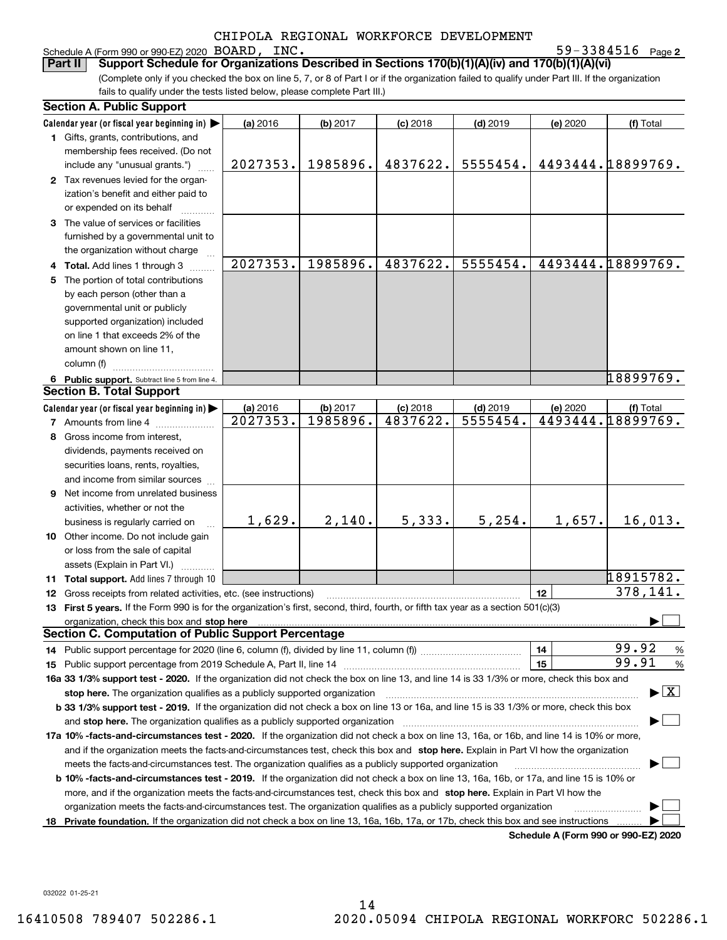Schedule A (Form 990 or 990-EZ) 2020 Page BOARD, INC. 59-3384516

**2**

(Complete only if you checked the box on line 5, 7, or 8 of Part I or if the organization failed to qualify under Part III. If the organization **Part II Support Schedule for Organizations Described in Sections 170(b)(1)(A)(iv) and 170(b)(1)(A)(vi)**

| fails to qualify under the tests listed below, please complete Part III.) |
|---------------------------------------------------------------------------|
|---------------------------------------------------------------------------|

|     | <b>Section A. Public Support</b>                                                                                                                                                                                               |          |          |            |            |          |                                          |
|-----|--------------------------------------------------------------------------------------------------------------------------------------------------------------------------------------------------------------------------------|----------|----------|------------|------------|----------|------------------------------------------|
|     | Calendar year (or fiscal year beginning in)                                                                                                                                                                                    | (a) 2016 | (b) 2017 | $(c)$ 2018 | $(d)$ 2019 | (e) 2020 | (f) Total                                |
|     | 1 Gifts, grants, contributions, and                                                                                                                                                                                            |          |          |            |            |          |                                          |
|     | membership fees received. (Do not                                                                                                                                                                                              |          |          |            |            |          |                                          |
|     | include any "unusual grants.")                                                                                                                                                                                                 | 2027353. | 1985896. | 4837622.   | 5555454.   |          | 4493444.18899769.                        |
|     | 2 Tax revenues levied for the organ-                                                                                                                                                                                           |          |          |            |            |          |                                          |
|     | ization's benefit and either paid to                                                                                                                                                                                           |          |          |            |            |          |                                          |
|     | or expended on its behalf                                                                                                                                                                                                      |          |          |            |            |          |                                          |
|     | 3 The value of services or facilities                                                                                                                                                                                          |          |          |            |            |          |                                          |
|     | furnished by a governmental unit to                                                                                                                                                                                            |          |          |            |            |          |                                          |
|     | the organization without charge                                                                                                                                                                                                |          |          |            |            |          |                                          |
| 4   | <b>Total.</b> Add lines 1 through 3                                                                                                                                                                                            | 2027353. | 1985896. | 4837622.   | 5555454.   |          | 4493444.18899769.                        |
|     | The portion of total contributions                                                                                                                                                                                             |          |          |            |            |          |                                          |
|     | by each person (other than a                                                                                                                                                                                                   |          |          |            |            |          |                                          |
|     | governmental unit or publicly                                                                                                                                                                                                  |          |          |            |            |          |                                          |
|     | supported organization) included                                                                                                                                                                                               |          |          |            |            |          |                                          |
|     | on line 1 that exceeds 2% of the                                                                                                                                                                                               |          |          |            |            |          |                                          |
|     | amount shown on line 11,                                                                                                                                                                                                       |          |          |            |            |          |                                          |
|     | column (f)                                                                                                                                                                                                                     |          |          |            |            |          |                                          |
|     | 6 Public support. Subtract line 5 from line 4.                                                                                                                                                                                 |          |          |            |            |          | 18899769.                                |
|     | <b>Section B. Total Support</b>                                                                                                                                                                                                |          |          |            |            |          |                                          |
|     | Calendar year (or fiscal year beginning in)                                                                                                                                                                                    | (a) 2016 | (b) 2017 | $(c)$ 2018 | $(d)$ 2019 | (e) 2020 | (f) Total                                |
|     | <b>7</b> Amounts from line 4                                                                                                                                                                                                   | 2027353. | 1985896. | 4837622.   | 5555454.   |          | 4493444.18899769.                        |
| 8   | Gross income from interest,                                                                                                                                                                                                    |          |          |            |            |          |                                          |
|     | dividends, payments received on                                                                                                                                                                                                |          |          |            |            |          |                                          |
|     | securities loans, rents, royalties,                                                                                                                                                                                            |          |          |            |            |          |                                          |
|     | and income from similar sources                                                                                                                                                                                                |          |          |            |            |          |                                          |
|     | <b>9</b> Net income from unrelated business                                                                                                                                                                                    |          |          |            |            |          |                                          |
|     | activities, whether or not the                                                                                                                                                                                                 |          |          |            |            |          |                                          |
|     | business is regularly carried on                                                                                                                                                                                               | 1,629.   | 2,140.   | 5,333.     | 5, 254.    | 1,657.   | 16,013.                                  |
|     | 10 Other income. Do not include gain                                                                                                                                                                                           |          |          |            |            |          |                                          |
|     | or loss from the sale of capital                                                                                                                                                                                               |          |          |            |            |          |                                          |
|     | assets (Explain in Part VI.)                                                                                                                                                                                                   |          |          |            |            |          |                                          |
|     | 11 Total support. Add lines 7 through 10                                                                                                                                                                                       |          |          |            |            |          | 18915782.                                |
|     | 12 Gross receipts from related activities, etc. (see instructions)                                                                                                                                                             |          |          |            |            | 12       | 378,141.                                 |
|     | 13 First 5 years. If the Form 990 is for the organization's first, second, third, fourth, or fifth tax year as a section 501(c)(3)                                                                                             |          |          |            |            |          |                                          |
|     | organization, check this box and stop here manufactured and according to the state of the state of the state of the state of the state of the state of the state of the state of the state of the state of the state of the st |          |          |            |            |          |                                          |
|     | <b>Section C. Computation of Public Support Percentage</b>                                                                                                                                                                     |          |          |            |            |          |                                          |
|     |                                                                                                                                                                                                                                |          |          |            |            | 14       | 99.92<br>%                               |
|     |                                                                                                                                                                                                                                |          |          |            |            | 15       | 99.91<br>$\%$                            |
|     | 16a 33 1/3% support test - 2020. If the organization did not check the box on line 13, and line 14 is 33 1/3% or more, check this box and                                                                                      |          |          |            |            |          |                                          |
|     | stop here. The organization qualifies as a publicly supported organization                                                                                                                                                     |          |          |            |            |          | $\blacktriangleright$ $\boxed{\text{X}}$ |
|     | b 33 1/3% support test - 2019. If the organization did not check a box on line 13 or 16a, and line 15 is 33 1/3% or more, check this box                                                                                       |          |          |            |            |          |                                          |
|     | and stop here. The organization qualifies as a publicly supported organization                                                                                                                                                 |          |          |            |            |          |                                          |
|     | 17a 10% -facts-and-circumstances test - 2020. If the organization did not check a box on line 13, 16a, or 16b, and line 14 is 10% or more,                                                                                     |          |          |            |            |          |                                          |
|     | and if the organization meets the facts-and-circumstances test, check this box and stop here. Explain in Part VI how the organization                                                                                          |          |          |            |            |          |                                          |
|     | meets the facts-and-circumstances test. The organization qualifies as a publicly supported organization                                                                                                                        |          |          |            |            |          |                                          |
|     | <b>b 10% -facts-and-circumstances test - 2019.</b> If the organization did not check a box on line 13, 16a, 16b, or 17a, and line 15 is 10% or                                                                                 |          |          |            |            |          |                                          |
|     | more, and if the organization meets the facts-and-circumstances test, check this box and stop here. Explain in Part VI how the                                                                                                 |          |          |            |            |          |                                          |
|     | organization meets the facts-and-circumstances test. The organization qualifies as a publicly supported organization                                                                                                           |          |          |            |            |          |                                          |
| 18. | Private foundation. If the organization did not check a box on line 13, 16a, 16b, 17a, or 17b, check this box and see instructions                                                                                             |          |          |            |            |          |                                          |
|     |                                                                                                                                                                                                                                |          |          |            |            |          | Schedule A (Form 990 or 990-EZ) 2020     |

**Schedule A (Form 990 or 990-EZ) 2020**

032022 01-25-21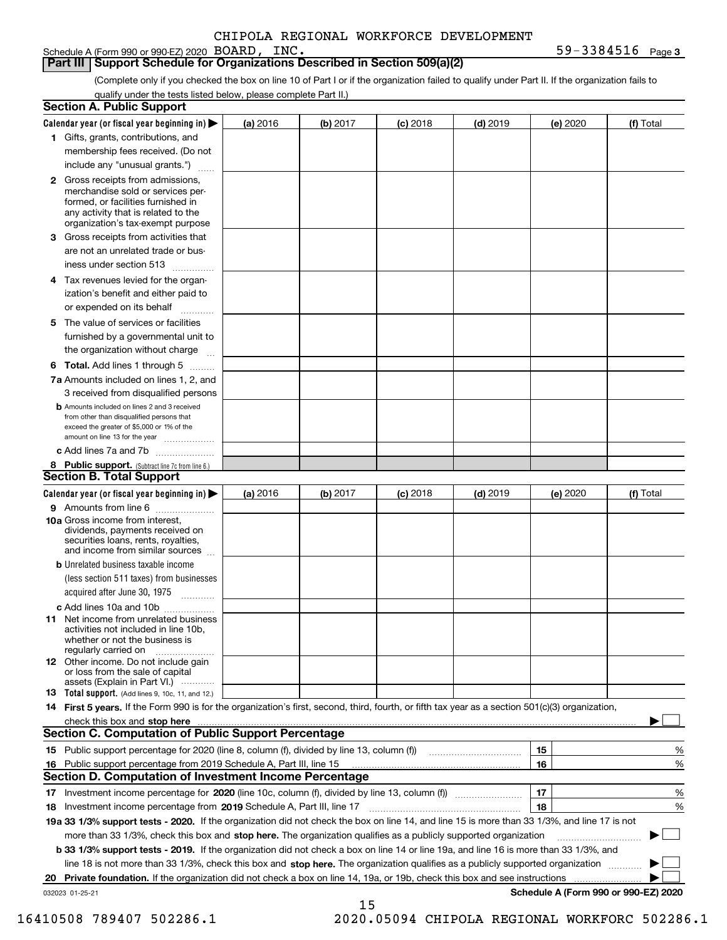|  | CHIPOLA REGIONAL WORKFORCE DEVELOPMENT |
|--|----------------------------------------|
|  |                                        |

Schedule A (Form 990 or 990-EZ) 2020 Page BOARD, INC. 59-3384516

**3**

|  |  | Part III   Support Schedule for Organizations Described in Section 509(a)(2) |  |
|--|--|------------------------------------------------------------------------------|--|
|--|--|------------------------------------------------------------------------------|--|

(Complete only if you checked the box on line 10 of Part I or if the organization failed to qualify under Part II. If the organization fails to qualify under the tests listed below, please complete Part II.)

|    | <b>Section A. Public Support</b>                                                                                                                                                                |          |          |            |            |          |                                      |
|----|-------------------------------------------------------------------------------------------------------------------------------------------------------------------------------------------------|----------|----------|------------|------------|----------|--------------------------------------|
|    | Calendar year (or fiscal year beginning in) $\blacktriangleright$                                                                                                                               | (a) 2016 | (b) 2017 | $(c)$ 2018 | $(d)$ 2019 | (e) 2020 | (f) Total                            |
|    | 1 Gifts, grants, contributions, and                                                                                                                                                             |          |          |            |            |          |                                      |
|    | membership fees received. (Do not                                                                                                                                                               |          |          |            |            |          |                                      |
|    | include any "unusual grants.")                                                                                                                                                                  |          |          |            |            |          |                                      |
|    | <b>2</b> Gross receipts from admissions,<br>merchandise sold or services per-<br>formed, or facilities furnished in<br>any activity that is related to the<br>organization's tax-exempt purpose |          |          |            |            |          |                                      |
|    | 3 Gross receipts from activities that<br>are not an unrelated trade or bus-                                                                                                                     |          |          |            |            |          |                                      |
|    | iness under section 513                                                                                                                                                                         |          |          |            |            |          |                                      |
|    | 4 Tax revenues levied for the organ-<br>ization's benefit and either paid to                                                                                                                    |          |          |            |            |          |                                      |
|    | or expended on its behalf                                                                                                                                                                       |          |          |            |            |          |                                      |
|    | 5 The value of services or facilities<br>furnished by a governmental unit to                                                                                                                    |          |          |            |            |          |                                      |
|    | the organization without charge                                                                                                                                                                 |          |          |            |            |          |                                      |
|    | <b>6 Total.</b> Add lines 1 through 5                                                                                                                                                           |          |          |            |            |          |                                      |
|    | 7a Amounts included on lines 1, 2, and<br>3 received from disqualified persons                                                                                                                  |          |          |            |            |          |                                      |
|    | <b>b</b> Amounts included on lines 2 and 3 received<br>from other than disqualified persons that<br>exceed the greater of \$5,000 or 1% of the<br>amount on line 13 for the year                |          |          |            |            |          |                                      |
|    | c Add lines 7a and 7b                                                                                                                                                                           |          |          |            |            |          |                                      |
|    | 8 Public support. (Subtract line 7c from line 6.)<br><b>Section B. Total Support</b>                                                                                                            |          |          |            |            |          |                                      |
|    | Calendar year (or fiscal year beginning in)                                                                                                                                                     | (a) 2016 | (b) 2017 | $(c)$ 2018 | $(d)$ 2019 | (e) 2020 | (f) Total                            |
|    | 9 Amounts from line 6                                                                                                                                                                           |          |          |            |            |          |                                      |
|    | <b>10a</b> Gross income from interest,<br>dividends, payments received on<br>securities loans, rents, royalties,<br>and income from similar sources                                             |          |          |            |            |          |                                      |
|    | <b>b</b> Unrelated business taxable income<br>(less section 511 taxes) from businesses                                                                                                          |          |          |            |            |          |                                      |
|    | acquired after June 30, 1975                                                                                                                                                                    |          |          |            |            |          |                                      |
|    | c Add lines 10a and 10b                                                                                                                                                                         |          |          |            |            |          |                                      |
|    | 11 Net income from unrelated business<br>activities not included in line 10b,<br>whether or not the business is<br>regularly carried on                                                         |          |          |            |            |          |                                      |
|    | 12 Other income. Do not include gain<br>or loss from the sale of capital<br>assets (Explain in Part VI.)                                                                                        |          |          |            |            |          |                                      |
|    | 13 Total support. (Add lines 9, 10c, 11, and 12.)                                                                                                                                               |          |          |            |            |          |                                      |
|    | 14 First 5 years. If the Form 990 is for the organization's first, second, third, fourth, or fifth tax year as a section 501(c)(3) organization,                                                |          |          |            |            |          |                                      |
|    |                                                                                                                                                                                                 |          |          |            |            |          |                                      |
|    | <b>Section C. Computation of Public Support Percentage</b>                                                                                                                                      |          |          |            |            |          |                                      |
|    |                                                                                                                                                                                                 |          |          |            |            | 15       | %                                    |
| 16 | Public support percentage from 2019 Schedule A, Part III, line 15                                                                                                                               |          |          |            |            | 16       | %                                    |
|    | Section D. Computation of Investment Income Percentage                                                                                                                                          |          |          |            |            |          |                                      |
|    | 17 Investment income percentage for 2020 (line 10c, column (f), divided by line 13, column (f))<br>18 Investment income percentage from 2019 Schedule A, Part III, line 17                      |          |          |            |            | 17<br>18 | %<br>%                               |
|    | 19a 33 1/3% support tests - 2020. If the organization did not check the box on line 14, and line 15 is more than 33 1/3%, and line 17 is not                                                    |          |          |            |            |          |                                      |
|    | more than 33 1/3%, check this box and stop here. The organization qualifies as a publicly supported organization                                                                                |          |          |            |            |          |                                      |
|    | b 33 1/3% support tests - 2019. If the organization did not check a box on line 14 or line 19a, and line 16 is more than 33 1/3%, and                                                           |          |          |            |            |          |                                      |
|    | line 18 is not more than 33 1/3%, check this box and stop here. The organization qualifies as a publicly supported organization                                                                 |          |          |            |            |          |                                      |
| 20 | <b>Private foundation.</b> If the organization did not check a box on line 14, 19a, or 19b, check this box and see instructions                                                                 |          |          |            |            |          | .                                    |
|    | 032023 01-25-21                                                                                                                                                                                 |          |          |            |            |          | Schedule A (Form 990 or 990-EZ) 2020 |
|    |                                                                                                                                                                                                 |          | 15       |            |            |          |                                      |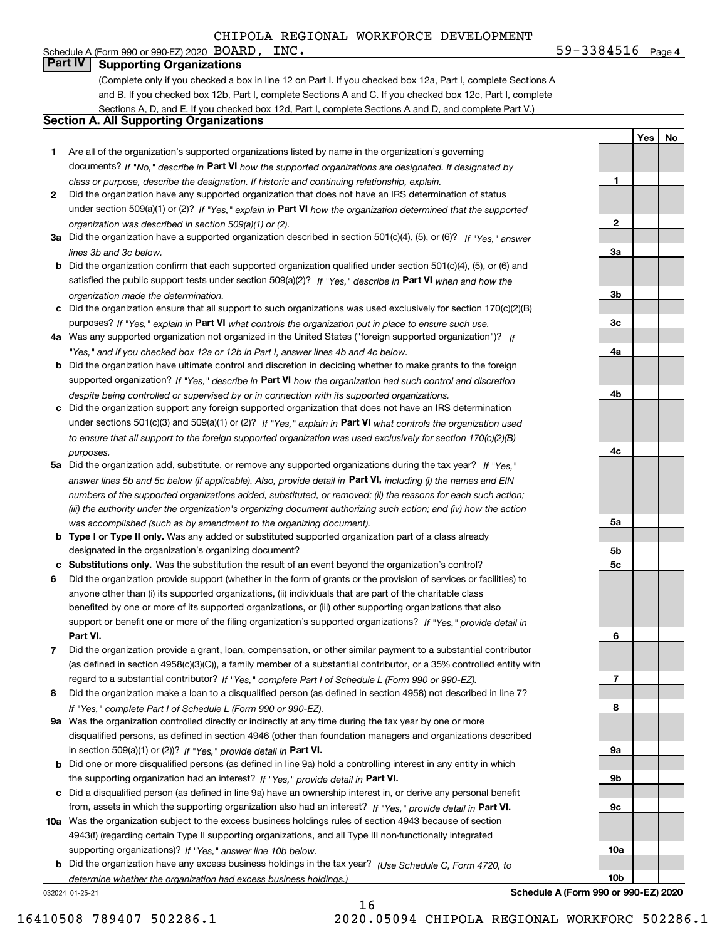# Schedule A (Form 990 or 990-EZ) 2020 BOARD, INC.

**Part IV Supporting Organizations**

(Complete only if you checked a box in line 12 on Part I. If you checked box 12a, Part I, complete Sections A and B. If you checked box 12b, Part I, complete Sections A and C. If you checked box 12c, Part I, complete Sections A, D, and E. If you checked box 12d, Part I, complete Sections A and D, and complete Part V.)

### **Section A. All Supporting Organizations**

- **1** Are all of the organization's supported organizations listed by name in the organization's governing documents? If "No," describe in **Part VI** how the supported organizations are designated. If designated by *class or purpose, describe the designation. If historic and continuing relationship, explain.*
- **2** Did the organization have any supported organization that does not have an IRS determination of status under section 509(a)(1) or (2)? If "Yes," explain in Part VI how the organization determined that the supported *organization was described in section 509(a)(1) or (2).*
- **3a** Did the organization have a supported organization described in section 501(c)(4), (5), or (6)? If "Yes," answer *lines 3b and 3c below.*
- **b** Did the organization confirm that each supported organization qualified under section 501(c)(4), (5), or (6) and satisfied the public support tests under section 509(a)(2)? If "Yes," describe in **Part VI** when and how the *organization made the determination.*
- **c**Did the organization ensure that all support to such organizations was used exclusively for section 170(c)(2)(B) purposes? If "Yes," explain in **Part VI** what controls the organization put in place to ensure such use.
- **4a***If* Was any supported organization not organized in the United States ("foreign supported organization")? *"Yes," and if you checked box 12a or 12b in Part I, answer lines 4b and 4c below.*
- **b** Did the organization have ultimate control and discretion in deciding whether to make grants to the foreign supported organization? If "Yes," describe in **Part VI** how the organization had such control and discretion *despite being controlled or supervised by or in connection with its supported organizations.*
- **c** Did the organization support any foreign supported organization that does not have an IRS determination under sections 501(c)(3) and 509(a)(1) or (2)? If "Yes," explain in **Part VI** what controls the organization used *to ensure that all support to the foreign supported organization was used exclusively for section 170(c)(2)(B) purposes.*
- **5a** Did the organization add, substitute, or remove any supported organizations during the tax year? If "Yes," answer lines 5b and 5c below (if applicable). Also, provide detail in **Part VI,** including (i) the names and EIN *numbers of the supported organizations added, substituted, or removed; (ii) the reasons for each such action; (iii) the authority under the organization's organizing document authorizing such action; and (iv) how the action was accomplished (such as by amendment to the organizing document).*
- **b** Type I or Type II only. Was any added or substituted supported organization part of a class already designated in the organization's organizing document?
- **cSubstitutions only.**  Was the substitution the result of an event beyond the organization's control?
- **6** Did the organization provide support (whether in the form of grants or the provision of services or facilities) to **Part VI.** *If "Yes," provide detail in* support or benefit one or more of the filing organization's supported organizations? anyone other than (i) its supported organizations, (ii) individuals that are part of the charitable class benefited by one or more of its supported organizations, or (iii) other supporting organizations that also
- **7**Did the organization provide a grant, loan, compensation, or other similar payment to a substantial contributor *If "Yes," complete Part I of Schedule L (Form 990 or 990-EZ).* regard to a substantial contributor? (as defined in section 4958(c)(3)(C)), a family member of a substantial contributor, or a 35% controlled entity with
- **8** Did the organization make a loan to a disqualified person (as defined in section 4958) not described in line 7? *If "Yes," complete Part I of Schedule L (Form 990 or 990-EZ).*
- **9a** Was the organization controlled directly or indirectly at any time during the tax year by one or more in section 509(a)(1) or (2))? If "Yes," *provide detail in* <code>Part VI.</code> disqualified persons, as defined in section 4946 (other than foundation managers and organizations described
- **b**the supporting organization had an interest? If "Yes," provide detail in P**art VI**. Did one or more disqualified persons (as defined in line 9a) hold a controlling interest in any entity in which
- **c**Did a disqualified person (as defined in line 9a) have an ownership interest in, or derive any personal benefit from, assets in which the supporting organization also had an interest? If "Yes," provide detail in P**art VI.**
- **10a** Was the organization subject to the excess business holdings rules of section 4943 because of section supporting organizations)? If "Yes," answer line 10b below. 4943(f) (regarding certain Type II supporting organizations, and all Type III non-functionally integrated
- **b** Did the organization have any excess business holdings in the tax year? (Use Schedule C, Form 4720, to *determine whether the organization had excess business holdings.)*

16

032024 01-25-21

**Schedule A (Form 990 or 990-EZ) 2020**

16410508 789407 502286.1 2020.05094 CHIPOLA REGIONAL WORKFORC 502286.1

**4**BOARD, INC. THE SECOND SECOND STATE SECOND STATE  $59-3384516$  Page 4

**1**

**YesNo**

**23a3b3c4a4b4c5a 5b5c6789a 9b9c10a10b**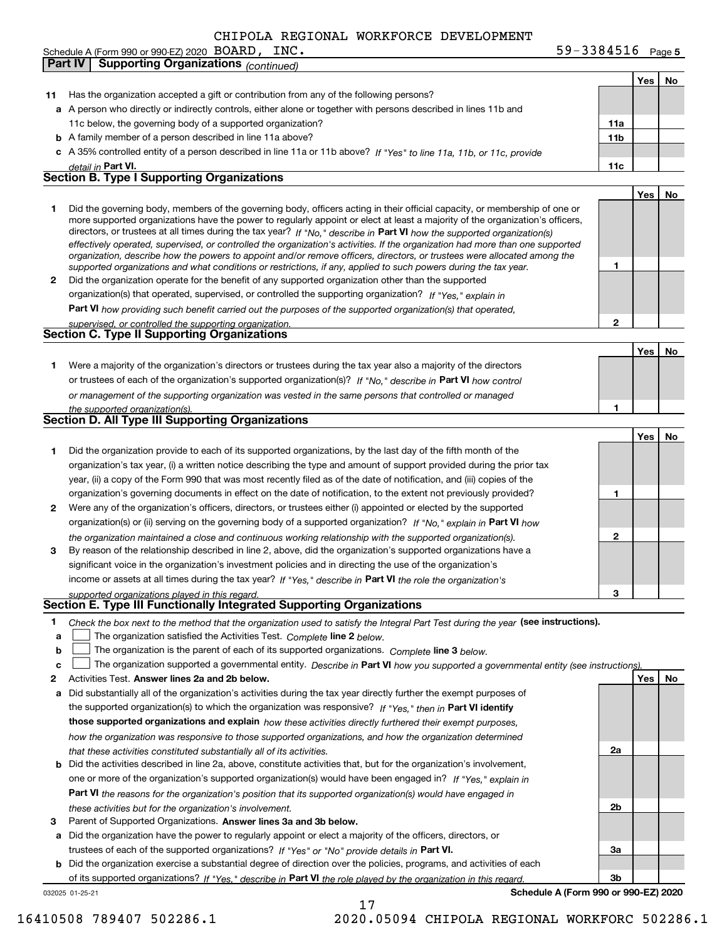Schedule A (Form 990 or 990-EZ) 2020 BOARD, INC. **Part IV Supporting Organizations** *(continued)*

**11** Has the organization accepted a gift or contribution from any of the following persons? **a**A person who directly or indirectly controls, either alone or together with persons described in lines 11b and **b** A family member of a person described in line 11a above? **c** A 35% controlled entity of a person described in line 11a or 11b above? If "Yes" to line 11a, 11b, or 11c, provide **11a11bPart VI. 11c Yes No 12** Did the organization operate for the benefit of any supported organization other than the supported directors, or trustees at all times during the tax year? If "No," describe in **Part VI** how the supported organization(s) **12Part VI**  *how providing such benefit carried out the purposes of the supported organization(s) that operated,* **Yes No 1** Were a majority of the organization's directors or trustees during the tax year also a majority of the directors or trustees of each of the organization's supported organization(s)? If "No," describe in **Part VI** how control **1Yes No 1** Did the organization provide to each of its supported organizations, by the last day of the fifth month of the **2** Were any of the organization's officers, directors, or trustees either (i) appointed or elected by the supported **3123**organization(s) or (ii) serving on the governing body of a supported organization? If "No," explain in **Part VI** how income or assets at all times during the tax year? If "Yes," describe in **Part VI** the role the organization's **12Answer lines 2a and 2b below. Yes No** Activities Test. **3**Check the box next to the method that the organization used to satisfy the Integral Part Test during the year (see instructions). **abclinupy** The organization satisfied the Activities Test. Complete line 2 below. The organization is the parent of each of its supported organizations. *Complete* line 3 *below.* The organization supported a governmental entity. *Describe in* Part **VI** *how you supported a governmental entity (see instruction<u>s).</u>* **a** Did substantially all of the organization's activities during the tax year directly further the exempt purposes of **b** Did the activities described in line 2a, above, constitute activities that, but for the organization's involvement, **a** Did the organization have the power to regularly appoint or elect a majority of the officers, directors, or **b** Did the organization exercise a substantial degree of direction over the policies, programs, and activities of each the supported organization(s) to which the organization was responsive? If "Yes," then in **Part VI identify those supported organizations and explain**  *how these activities directly furthered their exempt purposes,* **2a 2b3aPart VI**  *the reasons for the organization's position that its supported organization(s) would have engaged in* Parent of Supported Organizations. Answer lines 3a and 3b below. trustees of each of the supported organizations? If "Yes" or "No" provide details in **Part VI.** *detail in effectively operated, supervised, or controlled the organization's activities. If the organization had more than one supported organization, describe how the powers to appoint and/or remove officers, directors, or trustees were allocated among the supported organizations and what conditions or restrictions, if any, applied to such powers during the tax year. If "Yes," explain in* organization(s) that operated, supervised, or controlled the supporting organization? *supervised, or controlled the supporting organization. or management of the supporting organization was vested in the same persons that controlled or managed the supported organization(s). the organization maintained a close and continuous working relationship with the supported organization(s). supported organizations played in this regard. how the organization was responsive to those supported organizations, and how the organization determined that these activities constituted substantially all of its activities.* one or more of the organization's supported organization(s) would have been engaged in? If "Yes," e*xplain in these activities but for the organization's involvement.* 11c below, the governing body of a supported organization? Did the governing body, members of the governing body, officers acting in their official capacity, or membership of one or more supported organizations have the power to regularly appoint or elect at least a majority of the organization's officers, organization's tax year, (i) a written notice describing the type and amount of support provided during the prior tax year, (ii) a copy of the Form 990 that was most recently filed as of the date of notification, and (iii) copies of the organization's governing documents in effect on the date of notification, to the extent not previously provided? By reason of the relationship described in line 2, above, did the organization's supported organizations have a significant voice in the organization's investment policies and in directing the use of the organization's **Section B. Type I Supporting Organizations Section C. Type II Supporting Organizations Section D. All Type III Supporting Organizations Section E. Type III Functionally Integrated Supporting Organizations**  $\mathcal{L}^{\text{max}}$  $\mathcal{L}^{\text{max}}$ 

of its supported organizations? If "Yes," describe in Part VI the role played by the organization in this regard.

17

032025 01-25-21

**Schedule A (Form 990 or 990-EZ) 2020**

**3b**

16410508 789407 502286.1 2020.05094 CHIPOLA REGIONAL WORKFORC 502286.1

**Yes**

**No**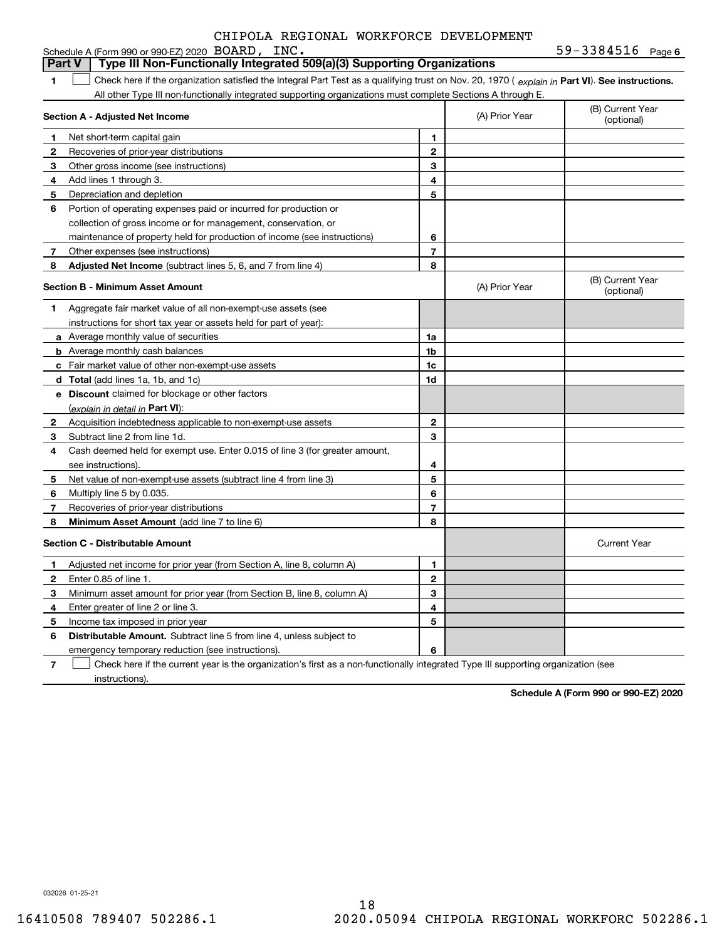|  | INC. | 59-3384516 $Page 6$ |
|--|------|---------------------|
|--|------|---------------------|

#### **1Part VI** Check here if the organization satisfied the Integral Part Test as a qualifying trust on Nov. 20, 1970 ( *explain in* Part **VI**). See instructions. **Section A - Adjusted Net Income 123** Other gross income (see instructions) **456** Portion of operating expenses paid or incurred for production or **7** Other expenses (see instructions) **8** Adjusted Net Income (subtract lines 5, 6, and 7 from line 4) **8 8 1234567Section B - Minimum Asset Amount 1**Aggregate fair market value of all non-exempt-use assets (see **2**Acquisition indebtedness applicable to non-exempt-use assets **3** Subtract line 2 from line 1d. **4**Cash deemed held for exempt use. Enter 0.015 of line 3 (for greater amount, **5** Net value of non-exempt-use assets (subtract line 4 from line 3) **678a** Average monthly value of securities **b** Average monthly cash balances **c**Fair market value of other non-exempt-use assets **dTotal**  (add lines 1a, 1b, and 1c) **eDiscount** claimed for blockage or other factors **1a1b1c1d2345678**(explain in detail in Part VI): **Minimum Asset Amount**  (add line 7 to line 6) **Section C - Distributable Amount 12**Enter 0.85 of line 1. **3456123456Distributable Amount.** Subtract line 5 from line 4, unless subject to All other Type III non-functionally integrated supporting organizations must complete Sections A through E. (B) Current Year (optional)(A) Prior Year Net short-term capital gain Recoveries of prior-year distributions Add lines 1 through 3. Depreciation and depletion collection of gross income or for management, conservation, or maintenance of property held for production of income (see instructions) (B) Current Year (optional)(A) Prior Year instructions for short tax year or assets held for part of year): see instructions). Multiply line 5 by 0.035. Recoveries of prior-year distributions Current Year Adjusted net income for prior year (from Section A, line 8, column A) Minimum asset amount for prior year (from Section B, line 8, column A) Enter greater of line 2 or line 3. Income tax imposed in prior year emergency temporary reduction (see instructions). **Part V Type III Non-Functionally Integrated 509(a)(3) Supporting Organizations**   $\mathcal{L}^{\text{max}}$

**7**Check here if the current year is the organization's first as a non-functionally integrated Type III supporting organization (see instructions). $\mathcal{L}^{\text{max}}$ 

**Schedule A (Form 990 or 990-EZ) 2020**

032026 01-25-21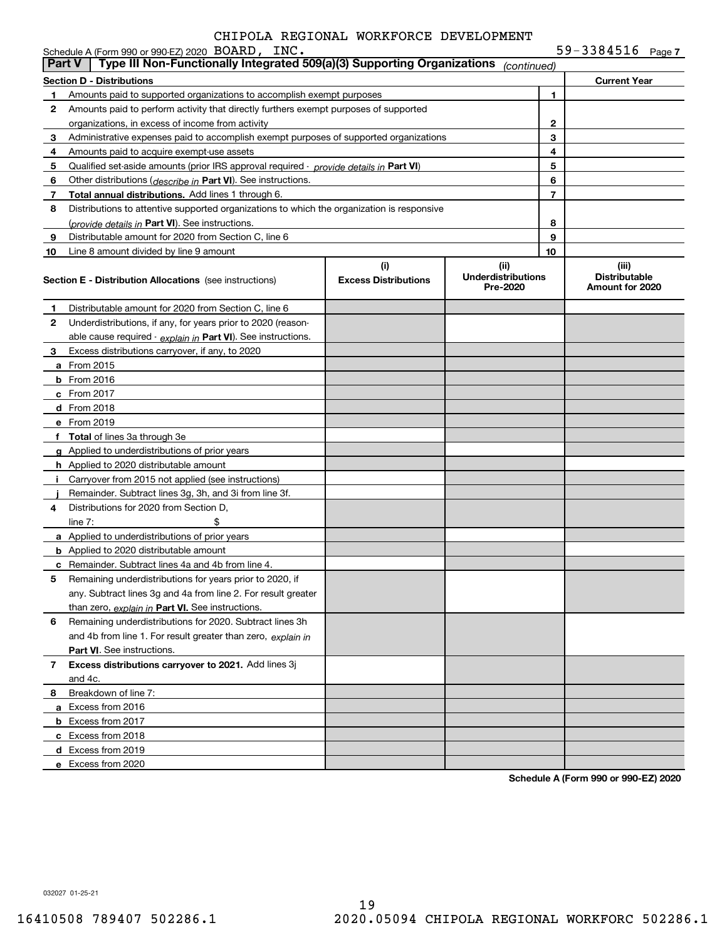|               | Schedule A (Form 990 or 990-EZ) 2020 BOARD, INC.                                           |                                    |                                               |                | 59-3384516 Page 7                                |  |
|---------------|--------------------------------------------------------------------------------------------|------------------------------------|-----------------------------------------------|----------------|--------------------------------------------------|--|
| <b>Part V</b> | Type III Non-Functionally Integrated 509(a)(3) Supporting Organizations                    |                                    | (continued)                                   |                |                                                  |  |
|               | <b>Section D - Distributions</b>                                                           |                                    |                                               |                | <b>Current Year</b>                              |  |
| 1             | Amounts paid to supported organizations to accomplish exempt purposes                      |                                    |                                               | 1              |                                                  |  |
| 2             | Amounts paid to perform activity that directly furthers exempt purposes of supported       |                                    |                                               |                |                                                  |  |
|               | organizations, in excess of income from activity                                           |                                    |                                               | $\mathbf{2}$   |                                                  |  |
| 3             | Administrative expenses paid to accomplish exempt purposes of supported organizations      |                                    |                                               | 3              |                                                  |  |
| 4             | Amounts paid to acquire exempt-use assets                                                  |                                    |                                               | 4              |                                                  |  |
| 5             | Qualified set-aside amounts (prior IRS approval required - provide details in Part VI)     |                                    |                                               | 5              |                                                  |  |
| 6             | Other distributions (describe in Part VI). See instructions.                               |                                    |                                               | 6              |                                                  |  |
| 7             | <b>Total annual distributions.</b> Add lines 1 through 6.                                  |                                    |                                               | $\overline{7}$ |                                                  |  |
| 8             | Distributions to attentive supported organizations to which the organization is responsive |                                    |                                               |                |                                                  |  |
|               | (provide details in Part VI). See instructions.                                            |                                    |                                               | 8              |                                                  |  |
| 9             | Distributable amount for 2020 from Section C, line 6                                       |                                    |                                               | 9              |                                                  |  |
| 10            | Line 8 amount divided by line 9 amount                                                     |                                    |                                               | 10             |                                                  |  |
|               | <b>Section E - Distribution Allocations</b> (see instructions)                             | (i)<br><b>Excess Distributions</b> | (ii)<br><b>Underdistributions</b><br>Pre-2020 |                | (iii)<br><b>Distributable</b><br>Amount for 2020 |  |
| 1             | Distributable amount for 2020 from Section C, line 6                                       |                                    |                                               |                |                                                  |  |
| 2             | Underdistributions, if any, for years prior to 2020 (reason-                               |                                    |                                               |                |                                                  |  |
|               | able cause required - explain in Part VI). See instructions.                               |                                    |                                               |                |                                                  |  |
| 3             | Excess distributions carryover, if any, to 2020                                            |                                    |                                               |                |                                                  |  |
|               | a From 2015                                                                                |                                    |                                               |                |                                                  |  |
|               | <b>b</b> From 2016                                                                         |                                    |                                               |                |                                                  |  |
|               | c From 2017                                                                                |                                    |                                               |                |                                                  |  |
|               | d From 2018                                                                                |                                    |                                               |                |                                                  |  |
|               | e From 2019                                                                                |                                    |                                               |                |                                                  |  |
|               | f Total of lines 3a through 3e                                                             |                                    |                                               |                |                                                  |  |
|               | <b>g</b> Applied to underdistributions of prior years                                      |                                    |                                               |                |                                                  |  |
|               | <b>h</b> Applied to 2020 distributable amount                                              |                                    |                                               |                |                                                  |  |
|               | Carryover from 2015 not applied (see instructions)                                         |                                    |                                               |                |                                                  |  |
|               | Remainder. Subtract lines 3g, 3h, and 3i from line 3f.                                     |                                    |                                               |                |                                                  |  |
| 4             | Distributions for 2020 from Section D,                                                     |                                    |                                               |                |                                                  |  |
|               | line $7:$                                                                                  |                                    |                                               |                |                                                  |  |
|               | <b>a</b> Applied to underdistributions of prior years                                      |                                    |                                               |                |                                                  |  |
|               | <b>b</b> Applied to 2020 distributable amount                                              |                                    |                                               |                |                                                  |  |
|               | <b>c</b> Remainder. Subtract lines 4a and 4b from line 4.                                  |                                    |                                               |                |                                                  |  |
| 5             | Remaining underdistributions for years prior to 2020, if                                   |                                    |                                               |                |                                                  |  |
|               | any. Subtract lines 3g and 4a from line 2. For result greater                              |                                    |                                               |                |                                                  |  |
|               | than zero, explain in Part VI. See instructions.                                           |                                    |                                               |                |                                                  |  |
| 6             | Remaining underdistributions for 2020. Subtract lines 3h                                   |                                    |                                               |                |                                                  |  |
|               | and 4b from line 1. For result greater than zero, explain in                               |                                    |                                               |                |                                                  |  |
|               | Part VI. See instructions.                                                                 |                                    |                                               |                |                                                  |  |
| 7             | Excess distributions carryover to 2021. Add lines 3j                                       |                                    |                                               |                |                                                  |  |
|               | and 4c.                                                                                    |                                    |                                               |                |                                                  |  |
| 8.            | Breakdown of line 7:                                                                       |                                    |                                               |                |                                                  |  |
|               | a Excess from 2016                                                                         |                                    |                                               |                |                                                  |  |
|               | <b>b</b> Excess from 2017                                                                  |                                    |                                               |                |                                                  |  |
|               | c Excess from 2018                                                                         |                                    |                                               |                |                                                  |  |
|               | d Excess from 2019                                                                         |                                    |                                               |                |                                                  |  |
|               | e Excess from 2020                                                                         |                                    |                                               |                |                                                  |  |
|               |                                                                                            |                                    |                                               |                |                                                  |  |

**Schedule A (Form 990 or 990-EZ) 2020**

032027 01-25-21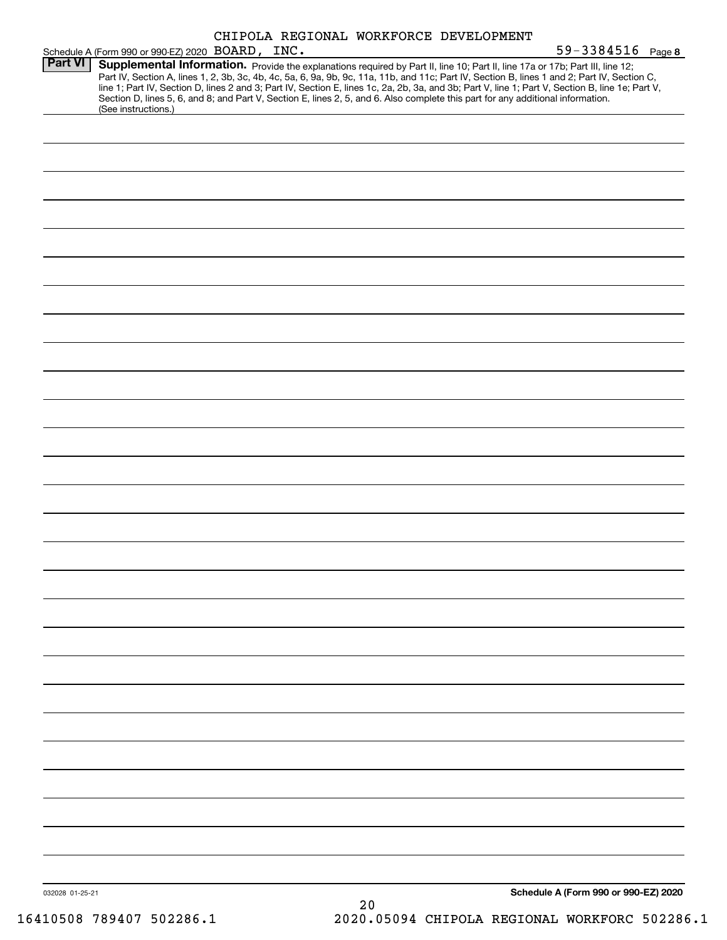|                 |                                                                                                                                                        |  |    | CHIPOLA REGIONAL WORKFORCE DEVELOPMENT |                                                                                                                                                                                                                                                                                                                                                                                                                                   |  |
|-----------------|--------------------------------------------------------------------------------------------------------------------------------------------------------|--|----|----------------------------------------|-----------------------------------------------------------------------------------------------------------------------------------------------------------------------------------------------------------------------------------------------------------------------------------------------------------------------------------------------------------------------------------------------------------------------------------|--|
|                 | Schedule A (Form 990 or 990-EZ) 2020 BOARD, INC.                                                                                                       |  |    |                                        | $59 - 3384516$ Page 8                                                                                                                                                                                                                                                                                                                                                                                                             |  |
| <b>Part VI</b>  | Section D, lines 5, 6, and 8; and Part V, Section E, lines 2, 5, and 6. Also complete this part for any additional information.<br>(See instructions.) |  |    |                                        | Supplemental Information. Provide the explanations required by Part II, line 10; Part II, line 17a or 17b; Part III, line 12;<br>Part IV, Section A, lines 1, 2, 3b, 3c, 4b, 4c, 5a, 6, 9a, 9b, 9c, 11a, 11b, and 11c; Part IV, Section B, lines 1 and 2; Part IV, Section C,<br>line 1; Part IV, Section D, lines 2 and 3; Part IV, Section E, lines 1c, 2a, 2b, 3a, and 3b; Part V, line 1; Part V, Section B, line 1e; Part V, |  |
|                 |                                                                                                                                                        |  |    |                                        |                                                                                                                                                                                                                                                                                                                                                                                                                                   |  |
|                 |                                                                                                                                                        |  |    |                                        |                                                                                                                                                                                                                                                                                                                                                                                                                                   |  |
|                 |                                                                                                                                                        |  |    |                                        |                                                                                                                                                                                                                                                                                                                                                                                                                                   |  |
|                 |                                                                                                                                                        |  |    |                                        |                                                                                                                                                                                                                                                                                                                                                                                                                                   |  |
|                 |                                                                                                                                                        |  |    |                                        |                                                                                                                                                                                                                                                                                                                                                                                                                                   |  |
|                 |                                                                                                                                                        |  |    |                                        |                                                                                                                                                                                                                                                                                                                                                                                                                                   |  |
|                 |                                                                                                                                                        |  |    |                                        |                                                                                                                                                                                                                                                                                                                                                                                                                                   |  |
|                 |                                                                                                                                                        |  |    |                                        |                                                                                                                                                                                                                                                                                                                                                                                                                                   |  |
|                 |                                                                                                                                                        |  |    |                                        |                                                                                                                                                                                                                                                                                                                                                                                                                                   |  |
|                 |                                                                                                                                                        |  |    |                                        |                                                                                                                                                                                                                                                                                                                                                                                                                                   |  |
|                 |                                                                                                                                                        |  |    |                                        |                                                                                                                                                                                                                                                                                                                                                                                                                                   |  |
|                 |                                                                                                                                                        |  |    |                                        |                                                                                                                                                                                                                                                                                                                                                                                                                                   |  |
|                 |                                                                                                                                                        |  |    |                                        |                                                                                                                                                                                                                                                                                                                                                                                                                                   |  |
|                 |                                                                                                                                                        |  |    |                                        |                                                                                                                                                                                                                                                                                                                                                                                                                                   |  |
|                 |                                                                                                                                                        |  |    |                                        |                                                                                                                                                                                                                                                                                                                                                                                                                                   |  |
|                 |                                                                                                                                                        |  |    |                                        |                                                                                                                                                                                                                                                                                                                                                                                                                                   |  |
|                 |                                                                                                                                                        |  |    |                                        |                                                                                                                                                                                                                                                                                                                                                                                                                                   |  |
|                 |                                                                                                                                                        |  |    |                                        |                                                                                                                                                                                                                                                                                                                                                                                                                                   |  |
|                 |                                                                                                                                                        |  |    |                                        |                                                                                                                                                                                                                                                                                                                                                                                                                                   |  |
|                 |                                                                                                                                                        |  |    |                                        |                                                                                                                                                                                                                                                                                                                                                                                                                                   |  |
|                 |                                                                                                                                                        |  |    |                                        |                                                                                                                                                                                                                                                                                                                                                                                                                                   |  |
|                 |                                                                                                                                                        |  |    |                                        |                                                                                                                                                                                                                                                                                                                                                                                                                                   |  |
|                 |                                                                                                                                                        |  |    |                                        |                                                                                                                                                                                                                                                                                                                                                                                                                                   |  |
|                 |                                                                                                                                                        |  |    |                                        |                                                                                                                                                                                                                                                                                                                                                                                                                                   |  |
|                 |                                                                                                                                                        |  |    |                                        |                                                                                                                                                                                                                                                                                                                                                                                                                                   |  |
|                 |                                                                                                                                                        |  |    |                                        |                                                                                                                                                                                                                                                                                                                                                                                                                                   |  |
|                 |                                                                                                                                                        |  |    |                                        |                                                                                                                                                                                                                                                                                                                                                                                                                                   |  |
|                 |                                                                                                                                                        |  |    |                                        |                                                                                                                                                                                                                                                                                                                                                                                                                                   |  |
|                 |                                                                                                                                                        |  |    |                                        |                                                                                                                                                                                                                                                                                                                                                                                                                                   |  |
|                 |                                                                                                                                                        |  |    |                                        |                                                                                                                                                                                                                                                                                                                                                                                                                                   |  |
| 032028 01-25-21 |                                                                                                                                                        |  |    |                                        | Schedule A (Form 990 or 990-EZ) 2020                                                                                                                                                                                                                                                                                                                                                                                              |  |
|                 |                                                                                                                                                        |  | 20 |                                        |                                                                                                                                                                                                                                                                                                                                                                                                                                   |  |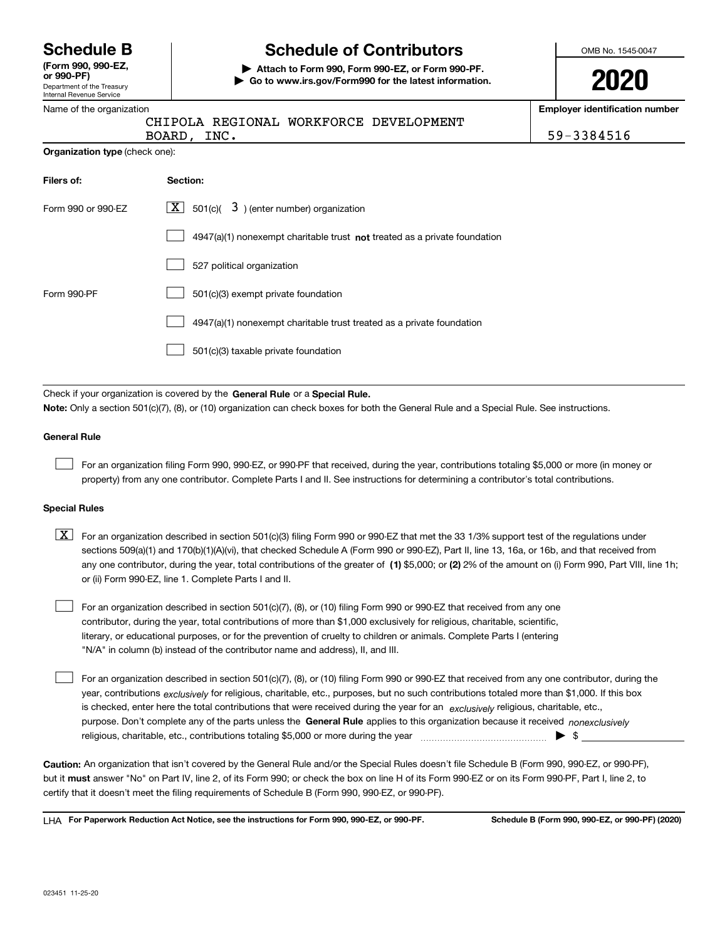Department of the Treasury Internal Revenue Service **(Form 990, 990-EZ, or 990-PF)**

Name of the organization

# **Schedule B Schedule of Contributors**

**| Attach to Form 990, Form 990-EZ, or Form 990-PF. | Go to www.irs.gov/Form990 for the latest information.** OMB No. 1545-0047

| ٦ | s |  |
|---|---|--|
|   |   |  |

**Employer identification number**

59-3384516

|                                       | CHIPOLA REGIONAL WORKFORCE DEVELOPMENT |  |
|---------------------------------------|----------------------------------------|--|
|                                       | BOARD, INC.                            |  |
| <b>Organization type (check one):</b> |                                        |  |
| Filers of:                            | Section:                               |  |

| Form 990 or 990-EZ | $\lfloor x \rfloor$ 501(c)( 3) (enter number) organization                  |
|--------------------|-----------------------------------------------------------------------------|
|                    | $4947(a)(1)$ nonexempt charitable trust not treated as a private foundation |
|                    | 527 political organization                                                  |
| Form 990-PF        | 501(c)(3) exempt private foundation                                         |
|                    | 4947(a)(1) nonexempt charitable trust treated as a private foundation       |
|                    | 501(c)(3) taxable private foundation                                        |

Check if your organization is covered by the **General Rule** or a **Special Rule. Note:**  Only a section 501(c)(7), (8), or (10) organization can check boxes for both the General Rule and a Special Rule. See instructions.

#### **General Rule**

For an organization filing Form 990, 990-EZ, or 990-PF that received, during the year, contributions totaling \$5,000 or more (in money or property) from any one contributor. Complete Parts I and II. See instructions for determining a contributor's total contributions.

#### **Special Rules**

| $\boxed{\text{X}}$ For an organization described in section 501(c)(3) filing Form 990 or 990-EZ that met the 33 1/3% support test of the regulations under |
|------------------------------------------------------------------------------------------------------------------------------------------------------------|
| sections 509(a)(1) and 170(b)(1)(A)(vi), that checked Schedule A (Form 990 or 990-EZ), Part II, line 13, 16a, or 16b, and that received from               |
| any one contributor, during the year, total contributions of the greater of (1) \$5,000; or (2) 2% of the amount on (i) Form 990, Part VIII, line 1h;      |
| or (ii) Form 990-EZ, line 1. Complete Parts I and II.                                                                                                      |

For an organization described in section 501(c)(7), (8), or (10) filing Form 990 or 990-EZ that received from any one contributor, during the year, total contributions of more than \$1,000 exclusively for religious, charitable, scientific, literary, or educational purposes, or for the prevention of cruelty to children or animals. Complete Parts I (entering "N/A" in column (b) instead of the contributor name and address), II, and III.  $\mathcal{L}^{\text{max}}$ 

purpose. Don't complete any of the parts unless the **General Rule** applies to this organization because it received *nonexclusively* year, contributions <sub>exclusively</sub> for religious, charitable, etc., purposes, but no such contributions totaled more than \$1,000. If this box is checked, enter here the total contributions that were received during the year for an  $\;$ exclusively religious, charitable, etc., For an organization described in section 501(c)(7), (8), or (10) filing Form 990 or 990-EZ that received from any one contributor, during the religious, charitable, etc., contributions totaling \$5,000 or more during the year  $\Box$ — $\Box$   $\Box$  $\mathcal{L}^{\text{max}}$ 

**Caution:**  An organization that isn't covered by the General Rule and/or the Special Rules doesn't file Schedule B (Form 990, 990-EZ, or 990-PF),  **must** but it answer "No" on Part IV, line 2, of its Form 990; or check the box on line H of its Form 990-EZ or on its Form 990-PF, Part I, line 2, to certify that it doesn't meet the filing requirements of Schedule B (Form 990, 990-EZ, or 990-PF).

**For Paperwork Reduction Act Notice, see the instructions for Form 990, 990-EZ, or 990-PF. Schedule B (Form 990, 990-EZ, or 990-PF) (2020)** LHA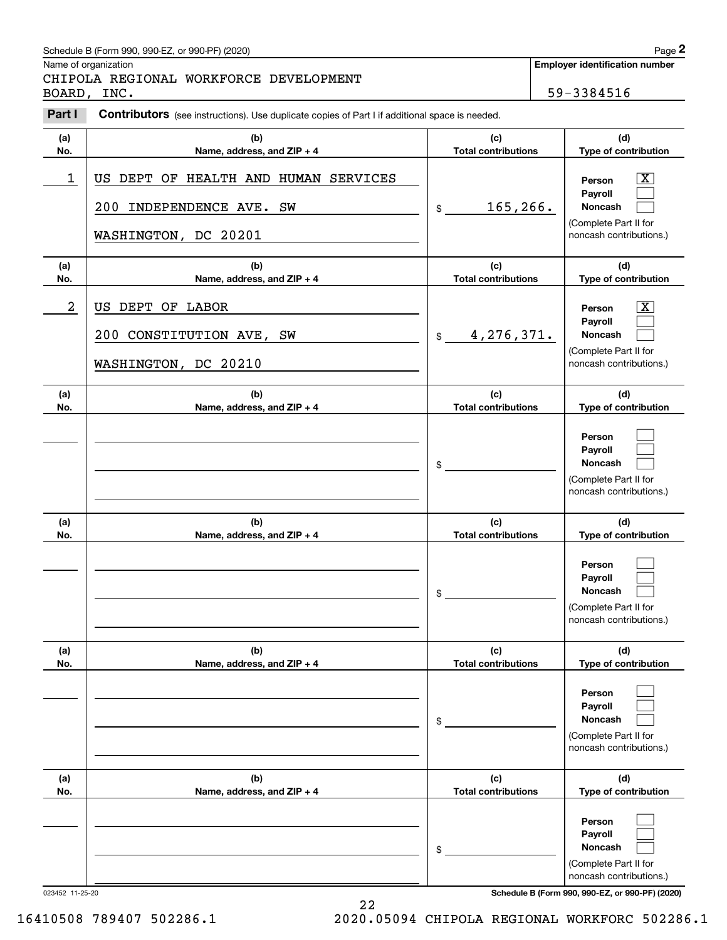## Schedule B (Form 990, 990-EZ, or 990-PF) (2020) **Page 2** Page 2

## CHIPOLA REGIONAL WORKFORCE DEVELOPMENT BOARD, INC. 59-3384516

|             | Schedule B (Form 990, 990-EZ, or 990-PF) (2020)                                                       |                                   | Page 2                                                                                                      |
|-------------|-------------------------------------------------------------------------------------------------------|-----------------------------------|-------------------------------------------------------------------------------------------------------------|
|             | Name of organization<br>CHIPOLA REGIONAL WORKFORCE DEVELOPMENT<br>BOARD, INC.                         |                                   | <b>Employer identification number</b><br>59-3384516                                                         |
| Part I      | <b>Contributors</b> (see instructions). Use duplicate copies of Part I if additional space is needed. |                                   |                                                                                                             |
| (a)<br>No.  | (b)<br>Name, address, and ZIP + 4                                                                     | (c)<br><b>Total contributions</b> | (d)<br>Type of contribution                                                                                 |
| $\mathbf 1$ | DEPT OF HEALTH AND HUMAN SERVICES<br>US<br>200<br>INDEPENDENCE AVE. SW<br>WASHINGTON, DC 20201        | 165, 266.<br>\$                   | $\mathbf{X}$<br>Person<br>Payroll<br><b>Noncash</b><br>(Complete Part II for<br>noncash contributions.)     |
| (a)<br>No.  | (b)<br>Name, address, and ZIP + 4                                                                     | (c)<br><b>Total contributions</b> | (d)<br>Type of contribution                                                                                 |
| 2           | US DEPT OF LABOR<br>200 CONSTITUTION AVE, SW<br>WASHINGTON, DC 20210                                  | 4, 276, 371.<br>$$\mathbb{S}$$    | $\overline{\mathbf{X}}$<br>Person<br>Payroll<br>Noncash<br>(Complete Part II for<br>noncash contributions.) |
| (a)<br>No.  | (b)<br>Name, address, and ZIP + 4                                                                     | (c)<br><b>Total contributions</b> | (d)<br>Type of contribution                                                                                 |
|             |                                                                                                       | \$                                | Person<br>Payroll<br>Noncash<br>(Complete Part II for<br>noncash contributions.)                            |
| (a)<br>No.  | (b)<br>Name, address, and ZIP + 4                                                                     | (c)<br><b>Total contributions</b> | (d)<br>Type of contribution                                                                                 |
|             |                                                                                                       | \$                                | Person<br>Payroll<br>Noncash<br>(Complete Part II for<br>noncash contributions.)                            |
| (a)<br>No.  | (b)<br>Name, address, and ZIP + 4                                                                     | (c)<br><b>Total contributions</b> | (d)<br>Type of contribution                                                                                 |
|             |                                                                                                       | \$                                | Person<br>Payroll<br>Noncash<br>(Complete Part II for<br>noncash contributions.)                            |
| (a)<br>No.  | (b)<br>Name, address, and ZIP + 4                                                                     | (c)<br><b>Total contributions</b> | (d)<br>Type of contribution                                                                                 |
|             |                                                                                                       | \$                                | Person<br>Payroll<br>Noncash<br>(Complete Part II for<br>noncash contributions.)                            |

023452 11-25-20 **Schedule B (Form 990, 990-EZ, or 990-PF) (2020)**

22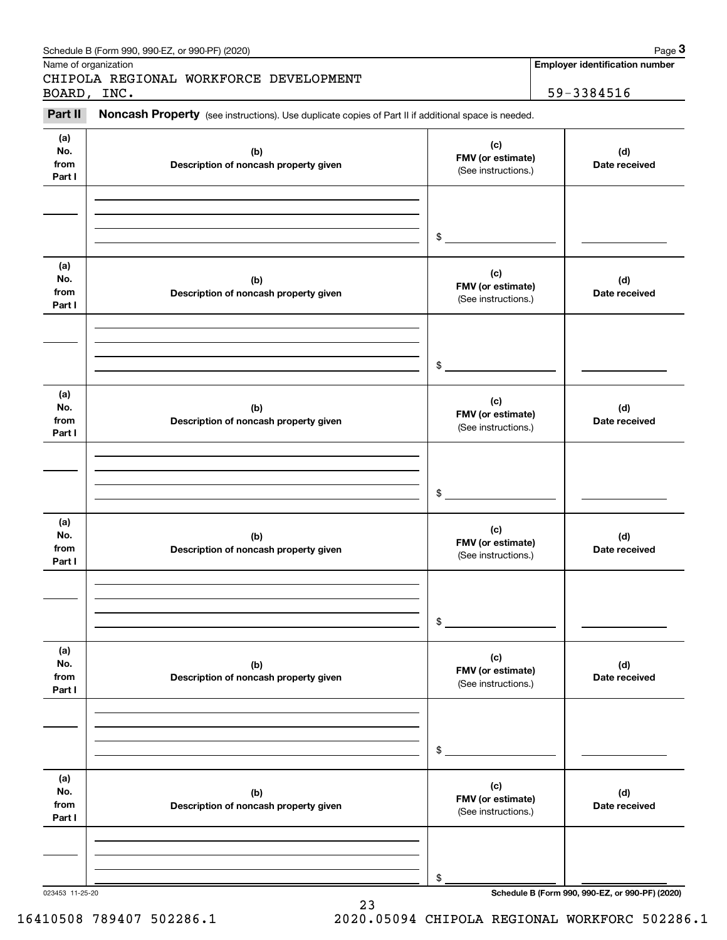|                              | Schedule B (Form 990, 990-EZ, or 990-PF) (2020)                                                     |                                                 | Page 3                                          |
|------------------------------|-----------------------------------------------------------------------------------------------------|-------------------------------------------------|-------------------------------------------------|
|                              | Name of organization                                                                                |                                                 | <b>Employer identification number</b>           |
|                              | CHIPOLA REGIONAL WORKFORCE DEVELOPMENT<br>BOARD, INC.                                               |                                                 | 59-3384516                                      |
|                              |                                                                                                     |                                                 |                                                 |
| Part II                      | Noncash Property (see instructions). Use duplicate copies of Part II if additional space is needed. |                                                 |                                                 |
| (a)<br>No.<br>from<br>Part I | (b)<br>Description of noncash property given                                                        | (c)<br>FMV (or estimate)<br>(See instructions.) | (d)<br>Date received                            |
|                              |                                                                                                     | $\mathsf{\$}$                                   |                                                 |
| (a)<br>No.<br>from<br>Part I | (b)<br>Description of noncash property given                                                        | (c)<br>FMV (or estimate)<br>(See instructions.) | (d)<br>Date received                            |
|                              |                                                                                                     | $\mathsf{\$}$                                   |                                                 |
| (a)<br>No.<br>from<br>Part I | (b)<br>Description of noncash property given                                                        | (c)<br>FMV (or estimate)<br>(See instructions.) | (d)<br>Date received                            |
|                              |                                                                                                     | $\mathsf{\$}$                                   |                                                 |
| (a)<br>No.<br>from<br>Part I | (b)<br>Description of noncash property given                                                        | (c)<br>FMV (or estimate)<br>(See instructions.) | (d)<br>Date received                            |
|                              |                                                                                                     | \$                                              |                                                 |
| (a)<br>No.<br>from<br>Part I | (b)<br>Description of noncash property given                                                        | (c)<br>FMV (or estimate)<br>(See instructions.) | (d)<br>Date received                            |
|                              |                                                                                                     | \$                                              |                                                 |
| (a)<br>No.<br>from<br>Part I | (b)<br>Description of noncash property given                                                        | (c)<br>FMV (or estimate)<br>(See instructions.) | (d)<br>Date received                            |
|                              |                                                                                                     | \$                                              |                                                 |
| 023453 11-25-20              |                                                                                                     |                                                 | Schedule B (Form 990, 990-EZ, or 990-PF) (2020) |

23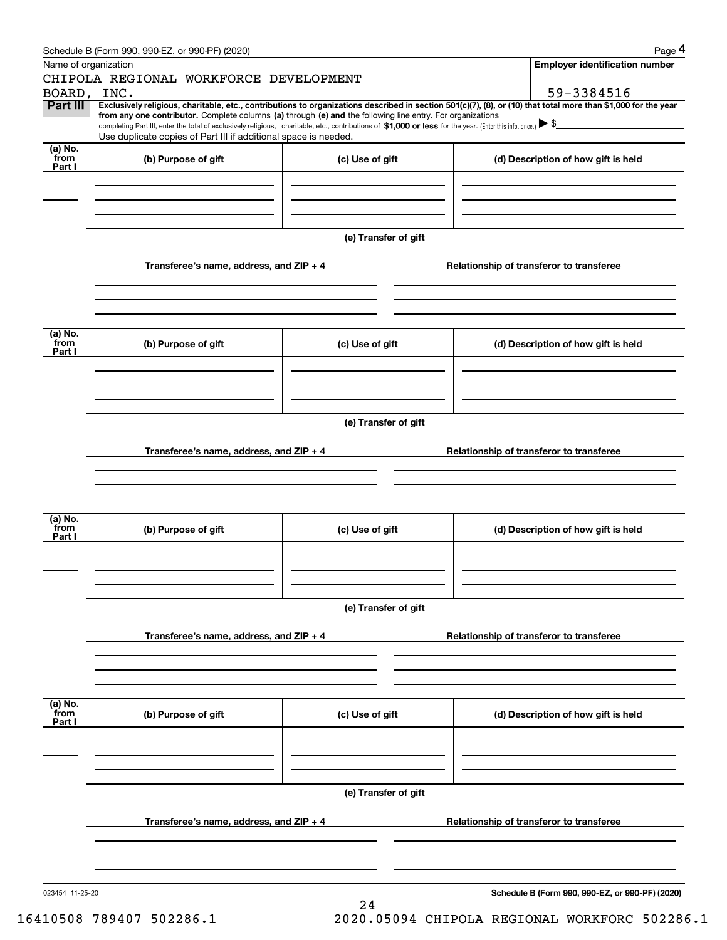|                         | Schedule B (Form 990, 990-EZ, or 990-PF) (2020)                                                                                                                                                                                                                              |                      | Page 4                                   |
|-------------------------|------------------------------------------------------------------------------------------------------------------------------------------------------------------------------------------------------------------------------------------------------------------------------|----------------------|------------------------------------------|
| Name of organization    |                                                                                                                                                                                                                                                                              |                      | <b>Employer identification number</b>    |
|                         | CHIPOLA REGIONAL WORKFORCE DEVELOPMENT                                                                                                                                                                                                                                       |                      |                                          |
| BOARD, INC.<br>Part III |                                                                                                                                                                                                                                                                              |                      | 59-3384516                               |
|                         | Exclusively religious, charitable, etc., contributions to organizations described in section 501(c)(7), (8), or (10) that total more than \$1,000 for the year<br>from any one contributor. Complete columns (a) through (e) and the following line entry. For organizations |                      |                                          |
|                         | completing Part III, enter the total of exclusively religious, charitable, etc., contributions of \$1,000 or less for the year. (Enter this info. once.) $\blacktriangleright$ \$                                                                                            |                      |                                          |
| (a) No.                 | Use duplicate copies of Part III if additional space is needed.                                                                                                                                                                                                              |                      |                                          |
| from                    | (b) Purpose of gift                                                                                                                                                                                                                                                          | (c) Use of gift      | (d) Description of how gift is held      |
| Part I                  |                                                                                                                                                                                                                                                                              |                      |                                          |
|                         |                                                                                                                                                                                                                                                                              |                      |                                          |
|                         |                                                                                                                                                                                                                                                                              |                      |                                          |
|                         |                                                                                                                                                                                                                                                                              |                      |                                          |
|                         |                                                                                                                                                                                                                                                                              | (e) Transfer of gift |                                          |
|                         |                                                                                                                                                                                                                                                                              |                      |                                          |
|                         | Transferee's name, address, and ZIP + 4                                                                                                                                                                                                                                      |                      | Relationship of transferor to transferee |
|                         |                                                                                                                                                                                                                                                                              |                      |                                          |
|                         |                                                                                                                                                                                                                                                                              |                      |                                          |
|                         |                                                                                                                                                                                                                                                                              |                      |                                          |
|                         |                                                                                                                                                                                                                                                                              |                      |                                          |
| (a) No.<br>from         | (b) Purpose of gift                                                                                                                                                                                                                                                          | (c) Use of gift      | (d) Description of how gift is held      |
| Part I                  |                                                                                                                                                                                                                                                                              |                      |                                          |
|                         |                                                                                                                                                                                                                                                                              |                      |                                          |
|                         |                                                                                                                                                                                                                                                                              |                      |                                          |
|                         |                                                                                                                                                                                                                                                                              |                      |                                          |
|                         |                                                                                                                                                                                                                                                                              |                      |                                          |
|                         |                                                                                                                                                                                                                                                                              | (e) Transfer of gift |                                          |
|                         |                                                                                                                                                                                                                                                                              |                      |                                          |
|                         | Transferee's name, address, and $ZIP + 4$                                                                                                                                                                                                                                    |                      | Relationship of transferor to transferee |
|                         |                                                                                                                                                                                                                                                                              |                      |                                          |
|                         |                                                                                                                                                                                                                                                                              |                      |                                          |
|                         |                                                                                                                                                                                                                                                                              |                      |                                          |
| (a) No.<br>from         |                                                                                                                                                                                                                                                                              |                      |                                          |
| Part I                  | (b) Purpose of gift                                                                                                                                                                                                                                                          | (c) Use of gift      | (d) Description of how gift is held      |
|                         |                                                                                                                                                                                                                                                                              |                      |                                          |
|                         |                                                                                                                                                                                                                                                                              |                      |                                          |
|                         |                                                                                                                                                                                                                                                                              |                      |                                          |
|                         |                                                                                                                                                                                                                                                                              |                      |                                          |
|                         |                                                                                                                                                                                                                                                                              | (e) Transfer of gift |                                          |
|                         |                                                                                                                                                                                                                                                                              |                      |                                          |
|                         | Transferee's name, address, and $ZIP + 4$                                                                                                                                                                                                                                    |                      | Relationship of transferor to transferee |
|                         |                                                                                                                                                                                                                                                                              |                      |                                          |
|                         |                                                                                                                                                                                                                                                                              |                      |                                          |
|                         |                                                                                                                                                                                                                                                                              |                      |                                          |
| (a) No.<br>from         |                                                                                                                                                                                                                                                                              |                      |                                          |
| Part I                  | (b) Purpose of gift                                                                                                                                                                                                                                                          | (c) Use of gift      | (d) Description of how gift is held      |
|                         |                                                                                                                                                                                                                                                                              |                      |                                          |
|                         |                                                                                                                                                                                                                                                                              |                      |                                          |
|                         |                                                                                                                                                                                                                                                                              |                      |                                          |
|                         |                                                                                                                                                                                                                                                                              |                      |                                          |
|                         |                                                                                                                                                                                                                                                                              | (e) Transfer of gift |                                          |
|                         |                                                                                                                                                                                                                                                                              |                      |                                          |
|                         | Transferee's name, address, and $ZIP + 4$                                                                                                                                                                                                                                    |                      | Relationship of transferor to transferee |
|                         |                                                                                                                                                                                                                                                                              |                      |                                          |
|                         |                                                                                                                                                                                                                                                                              |                      |                                          |
|                         |                                                                                                                                                                                                                                                                              |                      |                                          |
|                         |                                                                                                                                                                                                                                                                              |                      |                                          |

24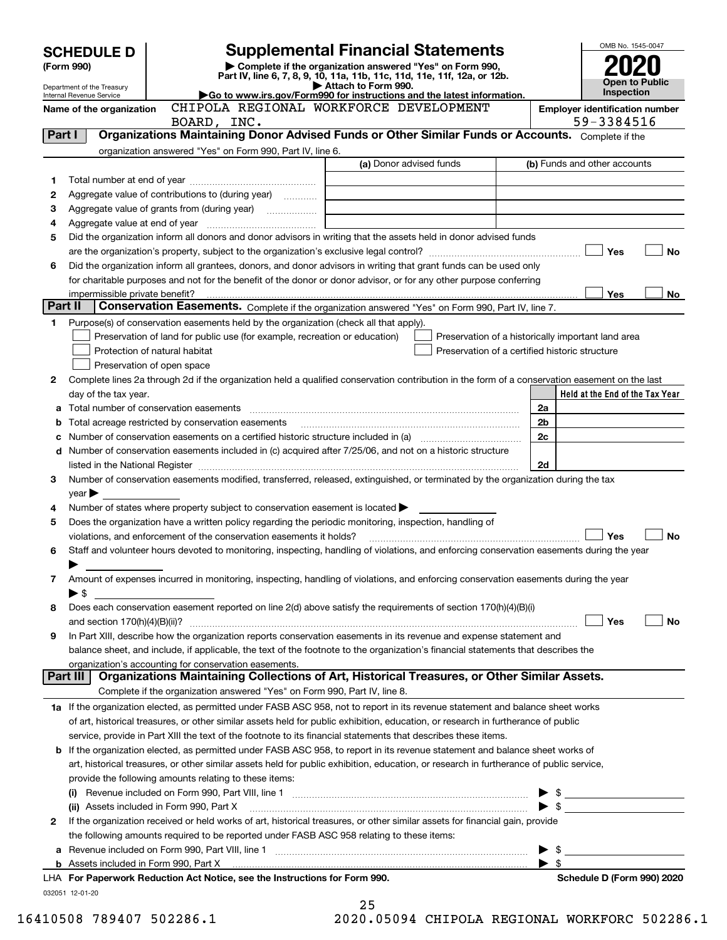|         | <b>SCHEDULE D</b>          |                                                                                                                                                                                                             | <b>Supplemental Financial Statements</b>                                                                                                                                                                                       |                                | OMB No. 1545-0047               |  |  |  |  |  |
|---------|----------------------------|-------------------------------------------------------------------------------------------------------------------------------------------------------------------------------------------------------------|--------------------------------------------------------------------------------------------------------------------------------------------------------------------------------------------------------------------------------|--------------------------------|---------------------------------|--|--|--|--|--|
|         | (Form 990)                 |                                                                                                                                                                                                             | Complete if the organization answered "Yes" on Form 990,                                                                                                                                                                       |                                |                                 |  |  |  |  |  |
|         | Department of the Treasury |                                                                                                                                                                                                             | Part IV, line 6, 7, 8, 9, 10, 11a, 11b, 11c, 11d, 11e, 11f, 12a, or 12b.<br>Attach to Form 990.                                                                                                                                |                                | Open to Public                  |  |  |  |  |  |
|         | Internal Revenue Service   |                                                                                                                                                                                                             | Go to www.irs.gov/Form990 for instructions and the latest information.                                                                                                                                                         |                                | Inspection                      |  |  |  |  |  |
|         | Name of the organization   | CHIPOLA REGIONAL WORKFORCE DEVELOPMENT<br><b>Employer identification number</b>                                                                                                                             |                                                                                                                                                                                                                                |                                |                                 |  |  |  |  |  |
|         |                            | BOARD, INC.                                                                                                                                                                                                 | Organizations Maintaining Donor Advised Funds or Other Similar Funds or Accounts. Complete if the                                                                                                                              |                                | 59-3384516                      |  |  |  |  |  |
| Part I  |                            |                                                                                                                                                                                                             |                                                                                                                                                                                                                                |                                |                                 |  |  |  |  |  |
|         |                            | organization answered "Yes" on Form 990, Part IV, line 6.                                                                                                                                                   | (a) Donor advised funds                                                                                                                                                                                                        |                                | (b) Funds and other accounts    |  |  |  |  |  |
| 1       |                            |                                                                                                                                                                                                             |                                                                                                                                                                                                                                |                                |                                 |  |  |  |  |  |
| 2       |                            | Aggregate value of contributions to (during year)                                                                                                                                                           |                                                                                                                                                                                                                                |                                |                                 |  |  |  |  |  |
| З       |                            |                                                                                                                                                                                                             |                                                                                                                                                                                                                                |                                |                                 |  |  |  |  |  |
| 4       |                            |                                                                                                                                                                                                             |                                                                                                                                                                                                                                |                                |                                 |  |  |  |  |  |
| 5       |                            |                                                                                                                                                                                                             | Did the organization inform all donors and donor advisors in writing that the assets held in donor advised funds                                                                                                               |                                |                                 |  |  |  |  |  |
|         |                            |                                                                                                                                                                                                             |                                                                                                                                                                                                                                |                                | Yes<br><b>No</b>                |  |  |  |  |  |
| 6       |                            |                                                                                                                                                                                                             | Did the organization inform all grantees, donors, and donor advisors in writing that grant funds can be used only                                                                                                              |                                |                                 |  |  |  |  |  |
|         |                            |                                                                                                                                                                                                             | for charitable purposes and not for the benefit of the donor or donor advisor, or for any other purpose conferring                                                                                                             |                                |                                 |  |  |  |  |  |
|         |                            |                                                                                                                                                                                                             |                                                                                                                                                                                                                                |                                | <b>Yes</b><br>No.               |  |  |  |  |  |
| Part II |                            |                                                                                                                                                                                                             | Conservation Easements. Complete if the organization answered "Yes" on Form 990, Part IV, line 7.                                                                                                                              |                                |                                 |  |  |  |  |  |
| 1       |                            | Purpose(s) of conservation easements held by the organization (check all that apply).                                                                                                                       |                                                                                                                                                                                                                                |                                |                                 |  |  |  |  |  |
|         |                            | Preservation of land for public use (for example, recreation or education)                                                                                                                                  | Preservation of a historically important land area                                                                                                                                                                             |                                |                                 |  |  |  |  |  |
|         |                            | Protection of natural habitat                                                                                                                                                                               | Preservation of a certified historic structure                                                                                                                                                                                 |                                |                                 |  |  |  |  |  |
|         |                            | Preservation of open space                                                                                                                                                                                  |                                                                                                                                                                                                                                |                                |                                 |  |  |  |  |  |
| 2       |                            |                                                                                                                                                                                                             | Complete lines 2a through 2d if the organization held a qualified conservation contribution in the form of a conservation easement on the last                                                                                 |                                |                                 |  |  |  |  |  |
|         | day of the tax year.       |                                                                                                                                                                                                             |                                                                                                                                                                                                                                |                                | Held at the End of the Tax Year |  |  |  |  |  |
|         |                            |                                                                                                                                                                                                             |                                                                                                                                                                                                                                | 2a                             |                                 |  |  |  |  |  |
| b       |                            | Total acreage restricted by conservation easements                                                                                                                                                          |                                                                                                                                                                                                                                | 2b                             |                                 |  |  |  |  |  |
|         |                            |                                                                                                                                                                                                             | Number of conservation easements on a certified historic structure included in (a) manufacture included in (a)                                                                                                                 | 2c                             |                                 |  |  |  |  |  |
|         |                            |                                                                                                                                                                                                             | d Number of conservation easements included in (c) acquired after 7/25/06, and not on a historic structure                                                                                                                     |                                |                                 |  |  |  |  |  |
|         |                            |                                                                                                                                                                                                             | listed in the National Register [111] [12] The Mational Register [11] Mathematic Mathematic Mathematic Mathematic Mathematic Mathematic Mathematic Mathematic Mathematic Mathematic Mathematic Mathematic Mathematic Mathemati | 2d                             |                                 |  |  |  |  |  |
| З       |                            |                                                                                                                                                                                                             | Number of conservation easements modified, transferred, released, extinguished, or terminated by the organization during the tax                                                                                               |                                |                                 |  |  |  |  |  |
| 4       | $year \blacktriangleright$ |                                                                                                                                                                                                             |                                                                                                                                                                                                                                |                                |                                 |  |  |  |  |  |
| 5       |                            | Number of states where property subject to conservation easement is located $\blacktriangleright$<br>Does the organization have a written policy regarding the periodic monitoring, inspection, handling of |                                                                                                                                                                                                                                |                                |                                 |  |  |  |  |  |
|         |                            | violations, and enforcement of the conservation easements it holds?                                                                                                                                         |                                                                                                                                                                                                                                |                                | Yes<br><b>No</b>                |  |  |  |  |  |
| 6       |                            |                                                                                                                                                                                                             | Staff and volunteer hours devoted to monitoring, inspecting, handling of violations, and enforcing conservation easements during the year                                                                                      |                                |                                 |  |  |  |  |  |
|         |                            |                                                                                                                                                                                                             |                                                                                                                                                                                                                                |                                |                                 |  |  |  |  |  |
| 7       |                            |                                                                                                                                                                                                             | Amount of expenses incurred in monitoring, inspecting, handling of violations, and enforcing conservation easements during the year                                                                                            |                                |                                 |  |  |  |  |  |
|         | $\blacktriangleright$ \$   |                                                                                                                                                                                                             |                                                                                                                                                                                                                                |                                |                                 |  |  |  |  |  |
| 8       |                            |                                                                                                                                                                                                             | Does each conservation easement reported on line 2(d) above satisfy the requirements of section 170(h)(4)(B)(i)                                                                                                                |                                |                                 |  |  |  |  |  |
|         |                            |                                                                                                                                                                                                             |                                                                                                                                                                                                                                |                                | Yes<br>No                       |  |  |  |  |  |
| 9       |                            |                                                                                                                                                                                                             | In Part XIII, describe how the organization reports conservation easements in its revenue and expense statement and                                                                                                            |                                |                                 |  |  |  |  |  |
|         |                            |                                                                                                                                                                                                             | balance sheet, and include, if applicable, the text of the footnote to the organization's financial statements that describes the                                                                                              |                                |                                 |  |  |  |  |  |
|         |                            | organization's accounting for conservation easements.                                                                                                                                                       |                                                                                                                                                                                                                                |                                |                                 |  |  |  |  |  |
|         | Part III                   |                                                                                                                                                                                                             | Organizations Maintaining Collections of Art, Historical Treasures, or Other Similar Assets.                                                                                                                                   |                                |                                 |  |  |  |  |  |
|         |                            | Complete if the organization answered "Yes" on Form 990, Part IV, line 8.                                                                                                                                   |                                                                                                                                                                                                                                |                                |                                 |  |  |  |  |  |
|         |                            |                                                                                                                                                                                                             | 1a If the organization elected, as permitted under FASB ASC 958, not to report in its revenue statement and balance sheet works                                                                                                |                                |                                 |  |  |  |  |  |
|         |                            |                                                                                                                                                                                                             | of art, historical treasures, or other similar assets held for public exhibition, education, or research in furtherance of public                                                                                              |                                |                                 |  |  |  |  |  |
|         |                            |                                                                                                                                                                                                             | service, provide in Part XIII the text of the footnote to its financial statements that describes these items.                                                                                                                 |                                |                                 |  |  |  |  |  |
|         |                            |                                                                                                                                                                                                             | <b>b</b> If the organization elected, as permitted under FASB ASC 958, to report in its revenue statement and balance sheet works of                                                                                           |                                |                                 |  |  |  |  |  |
|         |                            |                                                                                                                                                                                                             | art, historical treasures, or other similar assets held for public exhibition, education, or research in furtherance of public service,                                                                                        |                                |                                 |  |  |  |  |  |
|         |                            | provide the following amounts relating to these items:                                                                                                                                                      |                                                                                                                                                                                                                                |                                |                                 |  |  |  |  |  |
|         |                            |                                                                                                                                                                                                             |                                                                                                                                                                                                                                |                                | $\triangleright$ \$             |  |  |  |  |  |
|         |                            | (ii) Assets included in Form 990, Part X                                                                                                                                                                    |                                                                                                                                                                                                                                | $\blacktriangleright$ \$       |                                 |  |  |  |  |  |
| 2       |                            |                                                                                                                                                                                                             | If the organization received or held works of art, historical treasures, or other similar assets for financial gain, provide                                                                                                   |                                |                                 |  |  |  |  |  |
|         |                            | the following amounts required to be reported under FASB ASC 958 relating to these items:                                                                                                                   |                                                                                                                                                                                                                                |                                |                                 |  |  |  |  |  |
|         |                            |                                                                                                                                                                                                             |                                                                                                                                                                                                                                | \$<br>$\blacktriangleright$ \$ |                                 |  |  |  |  |  |
|         |                            | LHA For Paperwork Reduction Act Notice, see the Instructions for Form 990.                                                                                                                                  |                                                                                                                                                                                                                                |                                | Schedule D (Form 990) 2020      |  |  |  |  |  |
|         | 032051 12-01-20            |                                                                                                                                                                                                             |                                                                                                                                                                                                                                |                                |                                 |  |  |  |  |  |
|         |                            |                                                                                                                                                                                                             | 25                                                                                                                                                                                                                             |                                |                                 |  |  |  |  |  |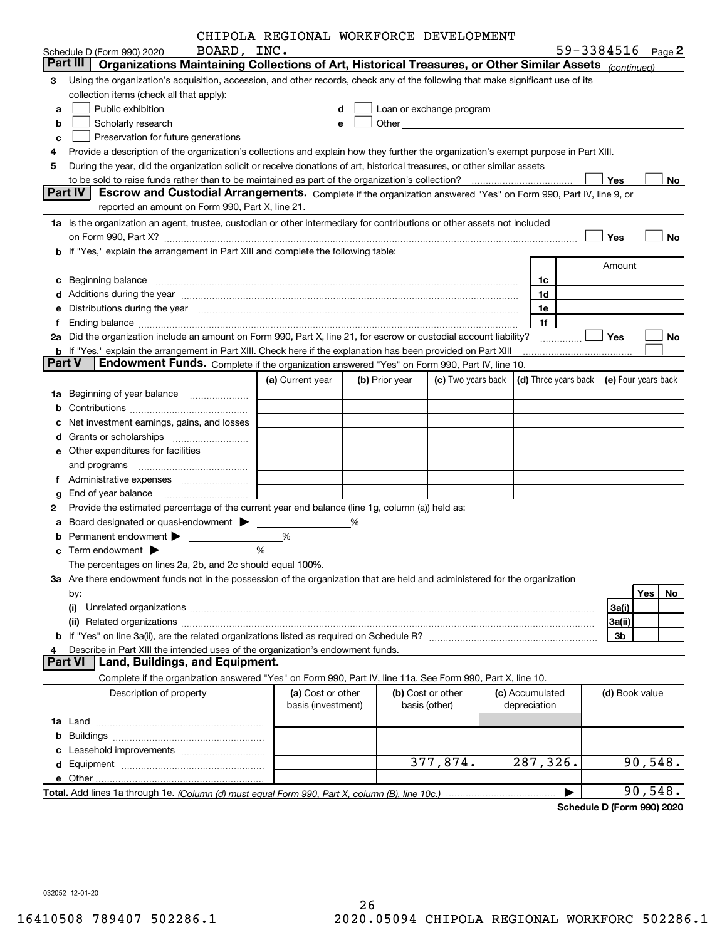|  | CHIPOLA REGIONAL WORKFORCE DEVELOPMENT |
|--|----------------------------------------|
|  |                                        |

|        |                                                                                                                                                                                                                                | CHIPOLA REGIONAL WORKFORCE DEVELOPMENT  |   |                |                                                                                                                                                                                                                               |                                 |                |                        |
|--------|--------------------------------------------------------------------------------------------------------------------------------------------------------------------------------------------------------------------------------|-----------------------------------------|---|----------------|-------------------------------------------------------------------------------------------------------------------------------------------------------------------------------------------------------------------------------|---------------------------------|----------------|------------------------|
|        | BOARD, INC.<br>Schedule D (Form 990) 2020                                                                                                                                                                                      |                                         |   |                |                                                                                                                                                                                                                               |                                 |                | 59-3384516 $_{Page}$ 2 |
|        | Organizations Maintaining Collections of Art, Historical Treasures, or Other Similar Assets (continued)<br>Part III                                                                                                            |                                         |   |                |                                                                                                                                                                                                                               |                                 |                |                        |
| 3      | Using the organization's acquisition, accession, and other records, check any of the following that make significant use of its                                                                                                |                                         |   |                |                                                                                                                                                                                                                               |                                 |                |                        |
|        | collection items (check all that apply):                                                                                                                                                                                       |                                         |   |                |                                                                                                                                                                                                                               |                                 |                |                        |
| a      | Public exhibition                                                                                                                                                                                                              | d                                       |   |                | Loan or exchange program                                                                                                                                                                                                      |                                 |                |                        |
| b      | Scholarly research                                                                                                                                                                                                             | e                                       |   |                | Other and the contract of the contract of the contract of the contract of the contract of the contract of the contract of the contract of the contract of the contract of the contract of the contract of the contract of the |                                 |                |                        |
| c      | Preservation for future generations                                                                                                                                                                                            |                                         |   |                |                                                                                                                                                                                                                               |                                 |                |                        |
| 4      | Provide a description of the organization's collections and explain how they further the organization's exempt purpose in Part XIII.                                                                                           |                                         |   |                |                                                                                                                                                                                                                               |                                 |                |                        |
| 5      | During the year, did the organization solicit or receive donations of art, historical treasures, or other similar assets                                                                                                       |                                         |   |                |                                                                                                                                                                                                                               |                                 |                |                        |
|        |                                                                                                                                                                                                                                |                                         |   |                |                                                                                                                                                                                                                               |                                 | <b>Yes</b>     | No                     |
|        | Escrow and Custodial Arrangements. Complete if the organization answered "Yes" on Form 990, Part IV, line 9, or<br>Part IV                                                                                                     |                                         |   |                |                                                                                                                                                                                                                               |                                 |                |                        |
|        | reported an amount on Form 990, Part X, line 21.                                                                                                                                                                               |                                         |   |                |                                                                                                                                                                                                                               |                                 |                |                        |
|        | 1a Is the organization an agent, trustee, custodian or other intermediary for contributions or other assets not included                                                                                                       |                                         |   |                |                                                                                                                                                                                                                               |                                 |                |                        |
|        | on Form 990, Part X? [11] matter contracts and contracts and contracts are contracted as a function of the set of the set of the set of the set of the set of the set of the set of the set of the set of the set of the set o |                                         |   |                |                                                                                                                                                                                                                               |                                 | Yes            | <b>No</b>              |
|        | b If "Yes," explain the arrangement in Part XIII and complete the following table:                                                                                                                                             |                                         |   |                |                                                                                                                                                                                                                               |                                 |                |                        |
|        |                                                                                                                                                                                                                                |                                         |   |                |                                                                                                                                                                                                                               |                                 | Amount         |                        |
| c      | Beginning balance                                                                                                                                                                                                              |                                         |   |                |                                                                                                                                                                                                                               | 1c                              |                |                        |
| d      | Additions during the year manufactured and an account of the year manufactured and account of the year manufactured and account of the year manufactured and account of the year manufactured and account of the year manufact |                                         |   |                |                                                                                                                                                                                                                               | 1d                              |                |                        |
| е      | Distributions during the year manufactured and continuum control of the state of the control of the state of the state of the state of the state of the state of the state of the state of the state of the state of the state |                                         |   |                |                                                                                                                                                                                                                               | 1e                              |                |                        |
| f      |                                                                                                                                                                                                                                |                                         |   |                |                                                                                                                                                                                                                               | 1f                              |                |                        |
| 2a     | Did the organization include an amount on Form 990, Part X, line 21, for escrow or custodial account liability?                                                                                                                |                                         |   |                |                                                                                                                                                                                                                               |                                 | <b>Yes</b>     | No                     |
|        | b If "Yes," explain the arrangement in Part XIII. Check here if the explanation has been provided on Part XIII                                                                                                                 |                                         |   |                |                                                                                                                                                                                                                               |                                 |                |                        |
| Part V | Endowment Funds. Complete if the organization answered "Yes" on Form 990, Part IV, line 10.                                                                                                                                    |                                         |   |                |                                                                                                                                                                                                                               |                                 |                |                        |
|        |                                                                                                                                                                                                                                | (a) Current year                        |   | (b) Prior year | (c) Two years back                                                                                                                                                                                                            | (d) Three years back            |                | (e) Four years back    |
| 1a     | Beginning of year balance                                                                                                                                                                                                      |                                         |   |                |                                                                                                                                                                                                                               |                                 |                |                        |
| b      |                                                                                                                                                                                                                                |                                         |   |                |                                                                                                                                                                                                                               |                                 |                |                        |
| с      | Net investment earnings, gains, and losses                                                                                                                                                                                     |                                         |   |                |                                                                                                                                                                                                                               |                                 |                |                        |
| d      |                                                                                                                                                                                                                                |                                         |   |                |                                                                                                                                                                                                                               |                                 |                |                        |
| е      | Other expenditures for facilities                                                                                                                                                                                              |                                         |   |                |                                                                                                                                                                                                                               |                                 |                |                        |
|        | and programs                                                                                                                                                                                                                   |                                         |   |                |                                                                                                                                                                                                                               |                                 |                |                        |
|        |                                                                                                                                                                                                                                |                                         |   |                |                                                                                                                                                                                                                               |                                 |                |                        |
| g      | End of year balance                                                                                                                                                                                                            |                                         |   |                |                                                                                                                                                                                                                               |                                 |                |                        |
| 2      | Provide the estimated percentage of the current year end balance (line 1g, column (a)) held as:                                                                                                                                |                                         |   |                |                                                                                                                                                                                                                               |                                 |                |                        |
|        |                                                                                                                                                                                                                                |                                         | % |                |                                                                                                                                                                                                                               |                                 |                |                        |
| b      |                                                                                                                                                                                                                                | %                                       |   |                |                                                                                                                                                                                                                               |                                 |                |                        |
| c      |                                                                                                                                                                                                                                | %                                       |   |                |                                                                                                                                                                                                                               |                                 |                |                        |
|        | The percentages on lines 2a, 2b, and 2c should equal 100%.                                                                                                                                                                     |                                         |   |                |                                                                                                                                                                                                                               |                                 |                |                        |
|        | 3a Are there endowment funds not in the possession of the organization that are held and administered for the organization                                                                                                     |                                         |   |                |                                                                                                                                                                                                                               |                                 |                |                        |
|        | by:                                                                                                                                                                                                                            |                                         |   |                |                                                                                                                                                                                                                               |                                 |                | Yes<br>No              |
|        | (i)                                                                                                                                                                                                                            |                                         |   |                |                                                                                                                                                                                                                               |                                 | 3a(i)          |                        |
|        | (ii)                                                                                                                                                                                                                           |                                         |   |                |                                                                                                                                                                                                                               |                                 | 3a(ii)         |                        |
|        |                                                                                                                                                                                                                                |                                         |   |                |                                                                                                                                                                                                                               |                                 | 3b             |                        |
| 4      | Describe in Part XIII the intended uses of the organization's endowment funds.                                                                                                                                                 |                                         |   |                |                                                                                                                                                                                                                               |                                 |                |                        |
|        | Land, Buildings, and Equipment.<br>Part VI                                                                                                                                                                                     |                                         |   |                |                                                                                                                                                                                                                               |                                 |                |                        |
|        | Complete if the organization answered "Yes" on Form 990, Part IV, line 11a. See Form 990, Part X, line 10.                                                                                                                     |                                         |   |                |                                                                                                                                                                                                                               |                                 |                |                        |
|        | Description of property                                                                                                                                                                                                        | (a) Cost or other<br>basis (investment) |   |                | (b) Cost or other<br>basis (other)                                                                                                                                                                                            | (c) Accumulated<br>depreciation | (d) Book value |                        |
|        |                                                                                                                                                                                                                                |                                         |   |                |                                                                                                                                                                                                                               |                                 |                |                        |
| b      |                                                                                                                                                                                                                                |                                         |   |                |                                                                                                                                                                                                                               |                                 |                |                        |
| c      |                                                                                                                                                                                                                                |                                         |   |                |                                                                                                                                                                                                                               |                                 |                |                        |
|        |                                                                                                                                                                                                                                |                                         |   |                | 377,874.                                                                                                                                                                                                                      | 287,326.                        |                | 90,548.                |
|        | e Other                                                                                                                                                                                                                        |                                         |   |                |                                                                                                                                                                                                                               |                                 |                |                        |
|        |                                                                                                                                                                                                                                |                                         |   |                |                                                                                                                                                                                                                               |                                 |                | 90,548.                |
|        |                                                                                                                                                                                                                                |                                         |   |                |                                                                                                                                                                                                                               |                                 |                |                        |

**Schedule D (Form 990) 2020**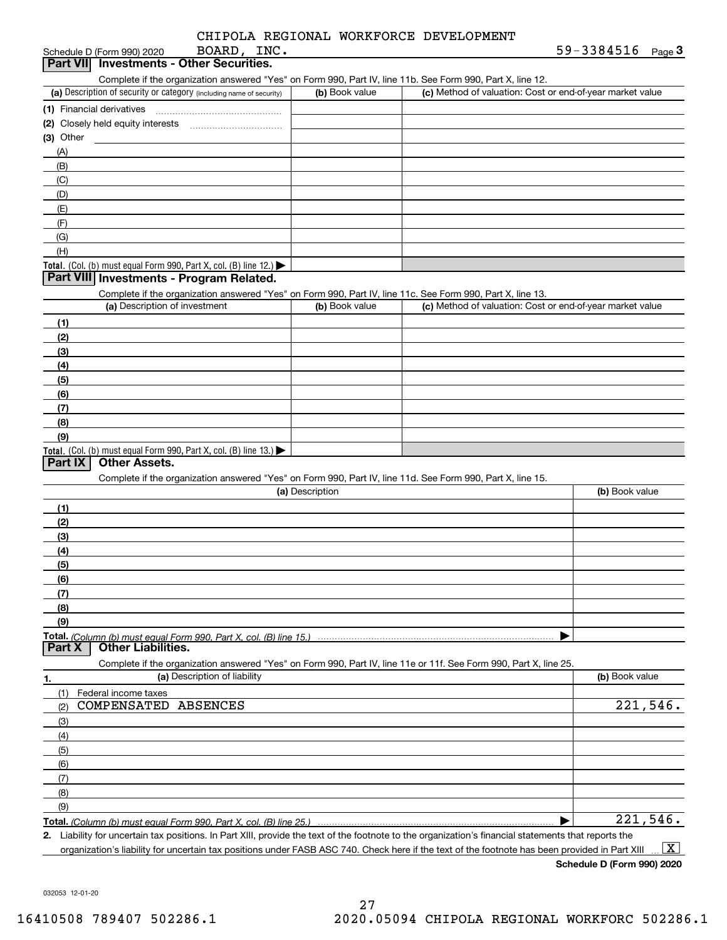|             | BOARD, INC.<br>Schedule D (Form 990) 2020                                                                         |                 |                                                           | 59-3384516<br>Page $\bf{3}$ |
|-------------|-------------------------------------------------------------------------------------------------------------------|-----------------|-----------------------------------------------------------|-----------------------------|
|             | Part VII Investments - Other Securities.                                                                          |                 |                                                           |                             |
|             | Complete if the organization answered "Yes" on Form 990, Part IV, line 11b. See Form 990, Part X, line 12.        |                 |                                                           |                             |
|             | (a) Description of security or category (including name of security)                                              | (b) Book value  | (c) Method of valuation: Cost or end-of-year market value |                             |
|             | (1) Financial derivatives                                                                                         |                 |                                                           |                             |
|             |                                                                                                                   |                 |                                                           |                             |
| $(3)$ Other |                                                                                                                   |                 |                                                           |                             |
| (A)         |                                                                                                                   |                 |                                                           |                             |
| (B)         |                                                                                                                   |                 |                                                           |                             |
| (C)         |                                                                                                                   |                 |                                                           |                             |
| (D)         |                                                                                                                   |                 |                                                           |                             |
| (E)         |                                                                                                                   |                 |                                                           |                             |
| (F)         |                                                                                                                   |                 |                                                           |                             |
| (G)         |                                                                                                                   |                 |                                                           |                             |
| (H)         |                                                                                                                   |                 |                                                           |                             |
|             | Total. (Col. (b) must equal Form 990, Part X, col. (B) line 12.)                                                  |                 |                                                           |                             |
|             | Part VIII Investments - Program Related.                                                                          |                 |                                                           |                             |
|             | Complete if the organization answered "Yes" on Form 990, Part IV, line 11c. See Form 990, Part X, line 13.        |                 |                                                           |                             |
|             | (a) Description of investment                                                                                     | (b) Book value  | (c) Method of valuation: Cost or end-of-year market value |                             |
| (1)         |                                                                                                                   |                 |                                                           |                             |
| (2)         |                                                                                                                   |                 |                                                           |                             |
| (3)         |                                                                                                                   |                 |                                                           |                             |
| (4)         |                                                                                                                   |                 |                                                           |                             |
| (5)         |                                                                                                                   |                 |                                                           |                             |
| (6)         |                                                                                                                   |                 |                                                           |                             |
| (7)         |                                                                                                                   |                 |                                                           |                             |
| (8)         |                                                                                                                   |                 |                                                           |                             |
| (9)         |                                                                                                                   |                 |                                                           |                             |
|             | Total. (Col. (b) must equal Form 990, Part X, col. (B) line 13.)                                                  |                 |                                                           |                             |
| Part IX     | <b>Other Assets.</b>                                                                                              |                 |                                                           |                             |
|             | Complete if the organization answered "Yes" on Form 990, Part IV, line 11d. See Form 990, Part X, line 15.        |                 |                                                           |                             |
|             |                                                                                                                   |                 |                                                           | (b) Book value              |
|             |                                                                                                                   |                 |                                                           |                             |
|             |                                                                                                                   | (a) Description |                                                           |                             |
| (1)         |                                                                                                                   |                 |                                                           |                             |
| (2)         |                                                                                                                   |                 |                                                           |                             |
| (3)         |                                                                                                                   |                 |                                                           |                             |
| (4)         |                                                                                                                   |                 |                                                           |                             |
| (5)         |                                                                                                                   |                 |                                                           |                             |
| (6)         |                                                                                                                   |                 |                                                           |                             |
| (7)         |                                                                                                                   |                 |                                                           |                             |
| (8)         |                                                                                                                   |                 |                                                           |                             |
| (9)         |                                                                                                                   |                 |                                                           |                             |
|             |                                                                                                                   |                 |                                                           |                             |
| Part X      | <b>Other Liabilities.</b>                                                                                         |                 |                                                           |                             |
|             | Complete if the organization answered "Yes" on Form 990, Part IV, line 11e or 11f. See Form 990, Part X, line 25. |                 |                                                           |                             |
|             | (a) Description of liability                                                                                      |                 |                                                           | (b) Book value              |
| (1)         | Federal income taxes                                                                                              |                 |                                                           |                             |
| (2)         | COMPENSATED ABSENCES                                                                                              |                 |                                                           |                             |
| (3)         |                                                                                                                   |                 |                                                           |                             |
| (4)         |                                                                                                                   |                 |                                                           |                             |
| (5)         |                                                                                                                   |                 |                                                           |                             |
| (6)         |                                                                                                                   |                 |                                                           |                             |
| (7)         |                                                                                                                   |                 |                                                           |                             |
| (8)         |                                                                                                                   |                 |                                                           |                             |
| 1.<br>(9)   |                                                                                                                   |                 |                                                           | 221,546.<br>221,546.        |

organization's liability for uncertain tax positions under FASB ASC 740. Check here if the text of the footnote has been provided in Part XIII  $\,$  ...  $\overline{\rm X}$ 

**Schedule D (Form 990) 2020**

032053 12-01-20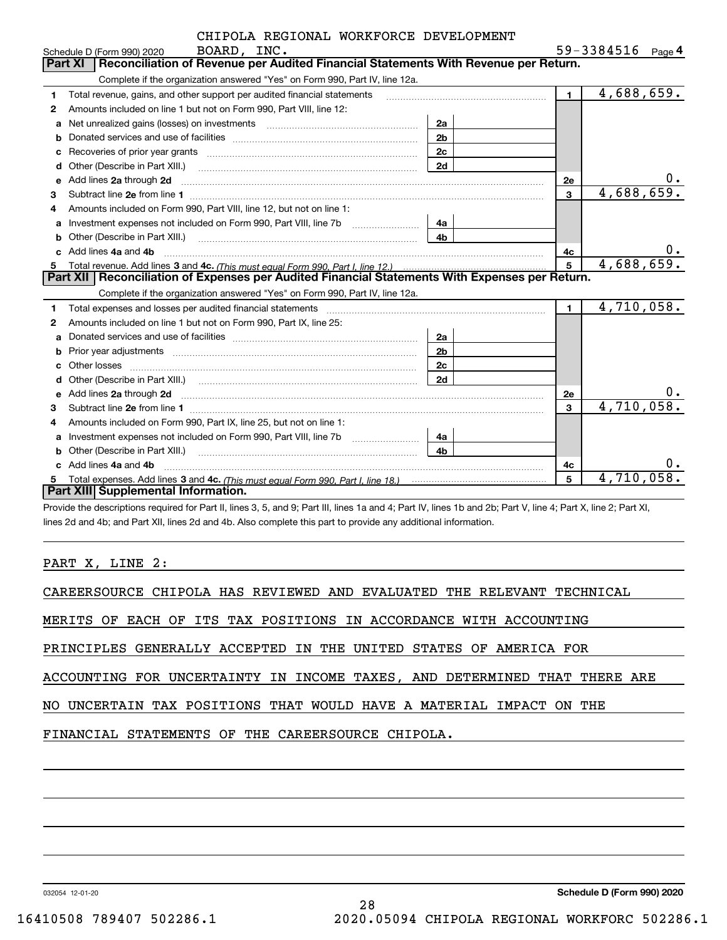|  | CHIPOLA REGIONAL WORKFORCE DEVELOPMENT |
|--|----------------------------------------|
|  |                                        |

|    | BOARD, INC.<br>Schedule D (Form 990) 2020                                                                                                                                                                                            |                |                | 59-3384516<br>Page 4 |
|----|--------------------------------------------------------------------------------------------------------------------------------------------------------------------------------------------------------------------------------------|----------------|----------------|----------------------|
|    | Reconciliation of Revenue per Audited Financial Statements With Revenue per Return.<br><b>Part XI</b>                                                                                                                                |                |                |                      |
|    | Complete if the organization answered "Yes" on Form 990, Part IV, line 12a.                                                                                                                                                          |                |                |                      |
| 1  | Total revenue, gains, and other support per audited financial statements                                                                                                                                                             |                | $\blacksquare$ | 4,688,659.           |
| 2  | Amounts included on line 1 but not on Form 990, Part VIII, line 12:                                                                                                                                                                  |                |                |                      |
| a  | Net unrealized gains (losses) on investments [11] matter contracts and the unrealized gains (losses) on investments                                                                                                                  | 2a             |                |                      |
| b  |                                                                                                                                                                                                                                      | 2 <sub>b</sub> |                |                      |
| C  | Recoveries of prior year grants [11,111] [11] Recoveries of prior year grants [11] [11] [12] [12] [12] [12] [1                                                                                                                       | 2c             |                |                      |
| d  | Other (Describe in Part XIII.) <b>2006</b> 2006 2010 2010 2010 2010 2011 2012 2013 2014 2015 2016 2017 2018 2019 2016 2016 2017 2018 2019 2016 2017 2018 2019 2016 2017 2018 2019 2018 2019 2016 2017 2018 2019 2018 2019 2018 2019  | 2d             |                |                      |
| e  | Add lines 2a through 2d                                                                                                                                                                                                              |                | 2е             | 0.                   |
| 3  |                                                                                                                                                                                                                                      |                | $\overline{3}$ | 4,688,659.           |
| 4  | Amounts included on Form 990, Part VIII, line 12, but not on line 1:                                                                                                                                                                 |                |                |                      |
| a  | Investment expenses not included on Form 990, Part VIII, line 7b [111] [11] Investment expenses not included on Form 990, Part VIII, line 7b                                                                                         | 4a             |                |                      |
| b  | Other (Describe in Part XIII.) <b>Construction Contract Construction</b> Chern Construction Construction Construction                                                                                                                | 4 <sub>b</sub> |                |                      |
|    | Add lines 4a and 4b                                                                                                                                                                                                                  | 4с             | 0.             |                      |
|    |                                                                                                                                                                                                                                      |                |                |                      |
| 5  |                                                                                                                                                                                                                                      |                | 5              | 4,688,659.           |
|    | Part XII   Reconciliation of Expenses per Audited Financial Statements With Expenses per Return.                                                                                                                                     |                |                |                      |
|    | Complete if the organization answered "Yes" on Form 990, Part IV, line 12a.                                                                                                                                                          |                |                |                      |
| 1. |                                                                                                                                                                                                                                      |                | $\blacksquare$ | 4,710,058.           |
| 2  | Amounts included on line 1 but not on Form 990, Part IX, line 25:                                                                                                                                                                    |                |                |                      |
| a  |                                                                                                                                                                                                                                      | 2a             |                |                      |
| b  | Prior year adjustments manufactured and control and control and control and control and prior year adjustments                                                                                                                       | 2 <sub>b</sub> |                |                      |
| с  | Other losses <b>with a contract the contract of the contract of the contract of the contract of the contract of the contract of the contract of the contract of the contract of the contract of the contract of the contract of </b> | 2c             |                |                      |
|    |                                                                                                                                                                                                                                      | 2d             |                |                      |
| e  | Add lines 2a through 2d <b>contained a contained a contained a contained a</b> contained a contact the state of the state of the state of the state of the state of the state of the state of the state of the state of the state o  |                | <b>2e</b>      | 0.                   |
| 3  |                                                                                                                                                                                                                                      |                | 3              | 4,710,058.           |
| 4  | Amounts included on Form 990, Part IX, line 25, but not on line 1:                                                                                                                                                                   |                |                |                      |
| a  |                                                                                                                                                                                                                                      | 4a             |                |                      |
|    | Other (Describe in Part XIII.) <b>2000</b> 2000 2010 2010 2010 2010 2011 2012 2013 2014 2014 2015 2016 2017 2018 2019 2016 2017 2018 2019 2016 2017 2018 2019 2016 2017 2018 2019 2018 2019 2019 2016 2017 2018 2019 2018 2019 2019  | 4 <sub>b</sub> |                |                      |
|    | Add lines 4a and 4b                                                                                                                                                                                                                  |                | 4c             | 0.                   |
| 5. | Part XIII Supplemental Information.                                                                                                                                                                                                  |                | 5              | 4,710,058.           |

Provide the descriptions required for Part II, lines 3, 5, and 9; Part III, lines 1a and 4; Part IV, lines 1b and 2b; Part V, line 4; Part X, line 2; Part XI, lines 2d and 4b; and Part XII, lines 2d and 4b. Also complete this part to provide any additional information.

#### PART X, LINE 2:

| CAREERSOURCE CHIPOLA HAS REVIEWED AND EVALUATED THE RELEVANT TECHNICAL |  |  |  |  |  |  |  |  |
|------------------------------------------------------------------------|--|--|--|--|--|--|--|--|
|------------------------------------------------------------------------|--|--|--|--|--|--|--|--|

MERITS OF EACH OF ITS TAX POSITIONS IN ACCORDANCE WITH ACCOUNTING

PRINCIPLES GENERALLY ACCEPTED IN THE UNITED STATES OF AMERICA FOR

ACCOUNTING FOR UNCERTAINTY IN INCOME TAXES, AND DETERMINED THAT THERE ARE

28

NO UNCERTAIN TAX POSITIONS THAT WOULD HAVE A MATERIAL IMPACT ON THE

FINANCIAL STATEMENTS OF THE CAREERSOURCE CHIPOLA.

032054 12-01-20

**Schedule D (Form 990) 2020**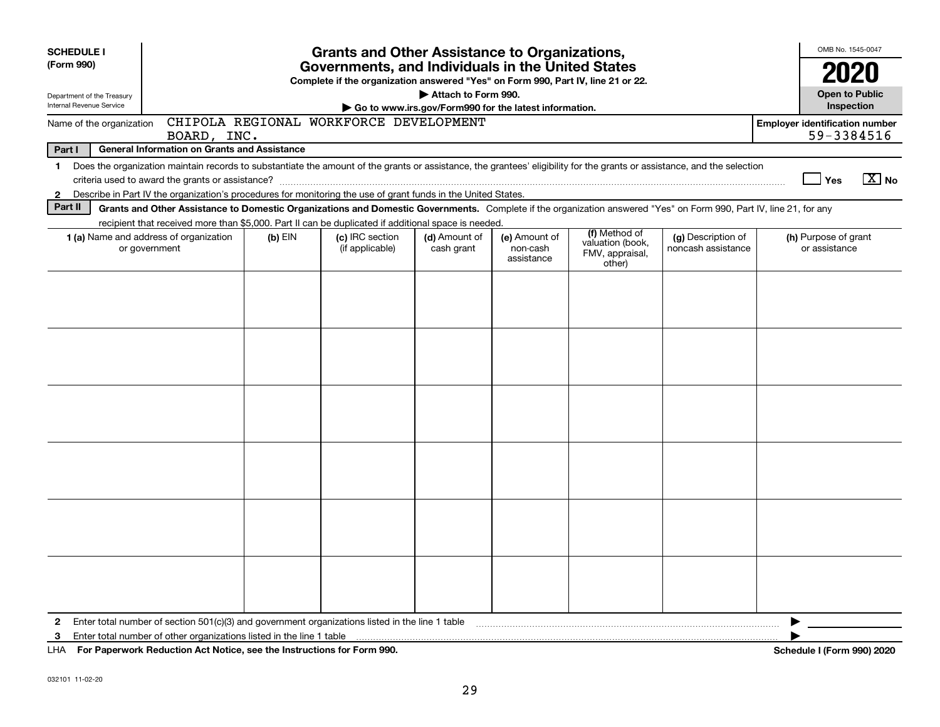| <b>SCHEDULE I</b><br>(Form 990)                                                                                                          | <b>Grants and Other Assistance to Organizations,</b><br>Governments, and Individuals in the United States<br>Complete if the organization answered "Yes" on Form 990, Part IV, line 21 or 22. |           |                                    |                                                                              |                                         |                                               |                                          |                                       |                                             |  |  |
|------------------------------------------------------------------------------------------------------------------------------------------|-----------------------------------------------------------------------------------------------------------------------------------------------------------------------------------------------|-----------|------------------------------------|------------------------------------------------------------------------------|-----------------------------------------|-----------------------------------------------|------------------------------------------|---------------------------------------|---------------------------------------------|--|--|
| Department of the Treasury<br>Internal Revenue Service                                                                                   |                                                                                                                                                                                               |           |                                    | Attach to Form 990.<br>Go to www.irs.gov/Form990 for the latest information. |                                         |                                               |                                          |                                       | 2020<br><b>Open to Public</b><br>Inspection |  |  |
| CHIPOLA REGIONAL WORKFORCE DEVELOPMENT<br><b>Employer identification number</b><br>Name of the organization<br>59-3384516<br>BOARD, INC. |                                                                                                                                                                                               |           |                                    |                                                                              |                                         |                                               |                                          |                                       |                                             |  |  |
| <b>General Information on Grants and Assistance</b><br>Part I                                                                            |                                                                                                                                                                                               |           |                                    |                                                                              |                                         |                                               |                                          |                                       |                                             |  |  |
| $\mathbf 1$                                                                                                                              | Does the organization maintain records to substantiate the amount of the grants or assistance, the grantees' eligibility for the grants or assistance, and the selection                      |           |                                    |                                                                              |                                         |                                               |                                          |                                       |                                             |  |  |
|                                                                                                                                          |                                                                                                                                                                                               |           |                                    |                                                                              |                                         |                                               |                                          |                                       | $X$ No<br>Yes                               |  |  |
| $\mathbf{2}$                                                                                                                             | Describe in Part IV the organization's procedures for monitoring the use of grant funds in the United States.                                                                                 |           |                                    |                                                                              |                                         |                                               |                                          |                                       |                                             |  |  |
| Part II                                                                                                                                  | Grants and Other Assistance to Domestic Organizations and Domestic Governments. Complete if the organization answered "Yes" on Form 990, Part IV, line 21, for any                            |           |                                    |                                                                              |                                         |                                               |                                          |                                       |                                             |  |  |
|                                                                                                                                          | recipient that received more than \$5,000. Part II can be duplicated if additional space is needed.                                                                                           |           |                                    |                                                                              |                                         | (f) Method of                                 |                                          |                                       |                                             |  |  |
|                                                                                                                                          | 1 (a) Name and address of organization<br>or government                                                                                                                                       | $(b)$ EIN | (c) IRC section<br>(if applicable) | (d) Amount of<br>cash grant                                                  | (e) Amount of<br>non-cash<br>assistance | valuation (book,<br>FMV, appraisal,<br>other) | (g) Description of<br>noncash assistance | (h) Purpose of grant<br>or assistance |                                             |  |  |
|                                                                                                                                          |                                                                                                                                                                                               |           |                                    |                                                                              |                                         |                                               |                                          |                                       |                                             |  |  |
|                                                                                                                                          |                                                                                                                                                                                               |           |                                    |                                                                              |                                         |                                               |                                          |                                       |                                             |  |  |
|                                                                                                                                          |                                                                                                                                                                                               |           |                                    |                                                                              |                                         |                                               |                                          |                                       |                                             |  |  |
|                                                                                                                                          |                                                                                                                                                                                               |           |                                    |                                                                              |                                         |                                               |                                          |                                       |                                             |  |  |
|                                                                                                                                          |                                                                                                                                                                                               |           |                                    |                                                                              |                                         |                                               |                                          |                                       |                                             |  |  |
|                                                                                                                                          |                                                                                                                                                                                               |           |                                    |                                                                              |                                         |                                               |                                          |                                       |                                             |  |  |
|                                                                                                                                          |                                                                                                                                                                                               |           |                                    |                                                                              |                                         |                                               |                                          |                                       |                                             |  |  |
|                                                                                                                                          |                                                                                                                                                                                               |           |                                    |                                                                              |                                         |                                               |                                          |                                       |                                             |  |  |
|                                                                                                                                          |                                                                                                                                                                                               |           |                                    |                                                                              |                                         |                                               |                                          |                                       |                                             |  |  |
|                                                                                                                                          |                                                                                                                                                                                               |           |                                    |                                                                              |                                         |                                               |                                          |                                       |                                             |  |  |
|                                                                                                                                          |                                                                                                                                                                                               |           |                                    |                                                                              |                                         |                                               |                                          |                                       |                                             |  |  |
|                                                                                                                                          |                                                                                                                                                                                               |           |                                    |                                                                              |                                         |                                               |                                          |                                       |                                             |  |  |
|                                                                                                                                          |                                                                                                                                                                                               |           |                                    |                                                                              |                                         |                                               |                                          |                                       |                                             |  |  |
|                                                                                                                                          |                                                                                                                                                                                               |           |                                    |                                                                              |                                         |                                               |                                          |                                       |                                             |  |  |
|                                                                                                                                          |                                                                                                                                                                                               |           |                                    |                                                                              |                                         |                                               |                                          |                                       |                                             |  |  |
|                                                                                                                                          |                                                                                                                                                                                               |           |                                    |                                                                              |                                         |                                               |                                          |                                       |                                             |  |  |
|                                                                                                                                          |                                                                                                                                                                                               |           |                                    |                                                                              |                                         |                                               |                                          |                                       |                                             |  |  |
|                                                                                                                                          |                                                                                                                                                                                               |           |                                    |                                                                              |                                         |                                               |                                          |                                       |                                             |  |  |
|                                                                                                                                          |                                                                                                                                                                                               |           |                                    |                                                                              |                                         |                                               |                                          |                                       |                                             |  |  |
|                                                                                                                                          |                                                                                                                                                                                               |           |                                    |                                                                              |                                         |                                               |                                          |                                       |                                             |  |  |
|                                                                                                                                          |                                                                                                                                                                                               |           |                                    |                                                                              |                                         |                                               |                                          |                                       |                                             |  |  |
|                                                                                                                                          |                                                                                                                                                                                               |           |                                    |                                                                              |                                         |                                               |                                          |                                       |                                             |  |  |
| $\mathbf{2}$                                                                                                                             | Enter total number of section $501(c)(3)$ and government organizations listed in the line 1 table                                                                                             |           |                                    |                                                                              |                                         |                                               |                                          |                                       |                                             |  |  |
| 3                                                                                                                                        | Enter total number of other organizations listed in the line 1 table                                                                                                                          |           |                                    |                                                                              |                                         |                                               |                                          |                                       |                                             |  |  |
|                                                                                                                                          | LHA For Paperwork Reduction Act Notice, see the Instructions for Form 990.                                                                                                                    |           |                                    |                                                                              |                                         |                                               |                                          |                                       | Schedule I (Form 990) 2020                  |  |  |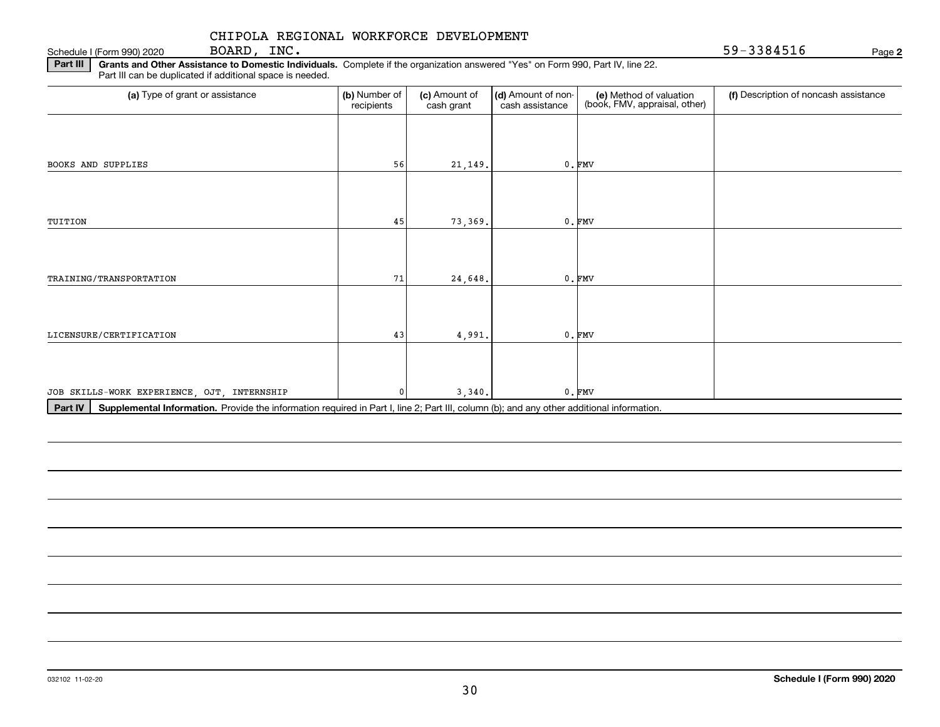Schedule I (Form 990) 2020 BOARD, INC. BOARD, INC.

**2**

**Part III** | Grants and Other Assistance to Domestic Individuals. Complete if the organization answered "Yes" on Form 990, Part IV, line 22. Part III can be duplicated if additional space is needed.

| (a) Type of grant or assistance                                                                                                                                                   | (b) Number of<br>recipients | (c) Amount of<br>cash grant | (d) Amount of non-<br>cash assistance | (e) Method of valuation<br>(book, FMV, appraisal, other) | (f) Description of noncash assistance |
|-----------------------------------------------------------------------------------------------------------------------------------------------------------------------------------|-----------------------------|-----------------------------|---------------------------------------|----------------------------------------------------------|---------------------------------------|
|                                                                                                                                                                                   |                             |                             |                                       |                                                          |                                       |
| BOOKS AND SUPPLIES                                                                                                                                                                | 56                          | 21,149.                     |                                       | $0.$ FMV                                                 |                                       |
|                                                                                                                                                                                   |                             |                             |                                       |                                                          |                                       |
| TUITION                                                                                                                                                                           | 45                          | 73,369.                     |                                       | $0.$ FMV                                                 |                                       |
|                                                                                                                                                                                   |                             |                             |                                       |                                                          |                                       |
| TRAINING/TRANSPORTATION                                                                                                                                                           | 71                          | 24,648.                     |                                       | $0.$ FMV                                                 |                                       |
|                                                                                                                                                                                   |                             |                             |                                       |                                                          |                                       |
| LICENSURE/CERTIFICATION                                                                                                                                                           | 43                          | 4,991.                      |                                       | $0.$ FMV                                                 |                                       |
|                                                                                                                                                                                   |                             |                             |                                       |                                                          |                                       |
| JOB SKILLS-WORK EXPERIENCE, OJT, INTERNSHIP<br><b>Death Indian contributions that Development in the control in Death line Or Death and contained the conditional information</b> |                             | 3,340.                      |                                       | $0.$ FMV                                                 |                                       |

Part IV | Supplemental Information. Provide the information required in Part I, line 2; Part III, column (b); and any other additional information.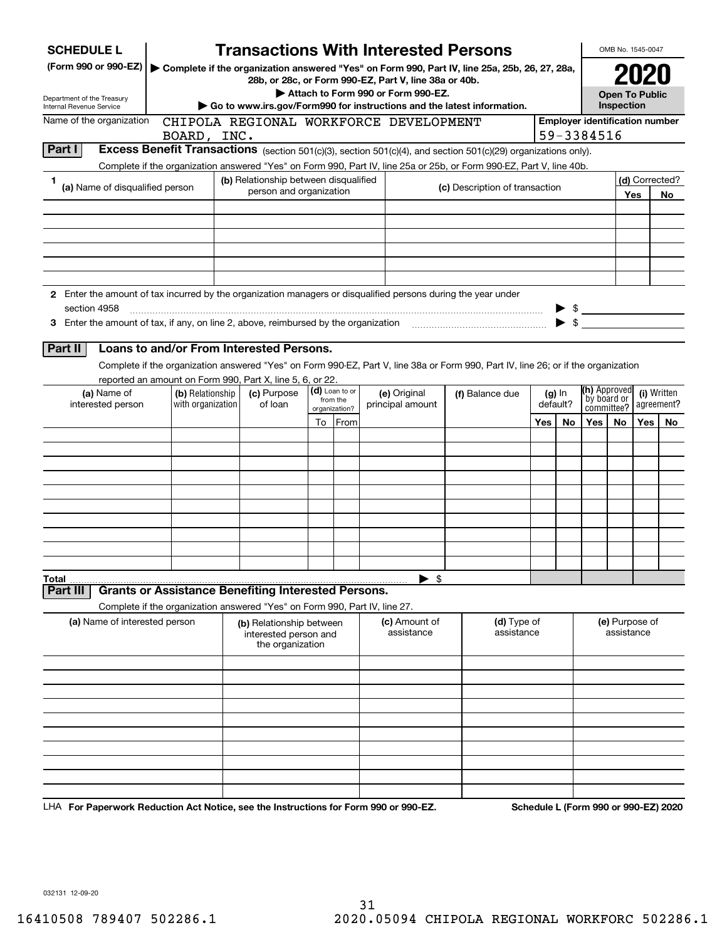| <b>SCHEDULE L</b>                                                                                                             |                                                                            | <b>Transactions With Interested Persons</b>                           |    |                            |                                    |                                                                                                                                    |     |                          |                                       | OMB No. 1545-0047     |      |                           |
|-------------------------------------------------------------------------------------------------------------------------------|----------------------------------------------------------------------------|-----------------------------------------------------------------------|----|----------------------------|------------------------------------|------------------------------------------------------------------------------------------------------------------------------------|-----|--------------------------|---------------------------------------|-----------------------|------|---------------------------|
| (Form 990 or 990-EZ)                                                                                                          |                                                                            | 28b, or 28c, or Form 990-EZ, Part V, line 38a or 40b.                 |    |                            |                                    | Complete if the organization answered "Yes" on Form 990, Part IV, line 25a, 25b, 26, 27, 28a,                                      |     |                          |                                       |                       | 2021 |                           |
| Department of the Treasury                                                                                                    |                                                                            |                                                                       |    |                            | Attach to Form 990 or Form 990-EZ. |                                                                                                                                    |     |                          |                                       | <b>Open To Public</b> |      |                           |
| Internal Revenue Service                                                                                                      |                                                                            |                                                                       |    |                            |                                    | Go to www.irs.gov/Form990 for instructions and the latest information.                                                             |     |                          |                                       | Inspection            |      |                           |
| Name of the organization                                                                                                      |                                                                            | CHIPOLA REGIONAL WORKFORCE DEVELOPMENT                                |    |                            |                                    |                                                                                                                                    |     |                          | <b>Employer identification number</b> |                       |      |                           |
|                                                                                                                               | BOARD, INC.                                                                |                                                                       |    |                            |                                    |                                                                                                                                    |     |                          | 59-3384516                            |                       |      |                           |
| Part I                                                                                                                        |                                                                            |                                                                       |    |                            |                                    | Excess Benefit Transactions (section 501(c)(3), section 501(c)(4), and section 501(c)(29) organizations only).                     |     |                          |                                       |                       |      |                           |
| 1                                                                                                                             |                                                                            | (b) Relationship between disqualified                                 |    |                            |                                    | Complete if the organization answered "Yes" on Form 990, Part IV, line 25a or 25b, or Form 990-EZ, Part V, line 40b.               |     |                          |                                       |                       |      | (d) Corrected?            |
| (a) Name of disqualified person                                                                                               |                                                                            | person and organization                                               |    |                            |                                    | (c) Description of transaction                                                                                                     |     |                          |                                       |                       | Yes  | No.                       |
|                                                                                                                               |                                                                            |                                                                       |    |                            |                                    |                                                                                                                                    |     |                          |                                       |                       |      |                           |
|                                                                                                                               |                                                                            |                                                                       |    |                            |                                    |                                                                                                                                    |     |                          |                                       |                       |      |                           |
|                                                                                                                               |                                                                            |                                                                       |    |                            |                                    |                                                                                                                                    |     |                          |                                       |                       |      |                           |
|                                                                                                                               |                                                                            |                                                                       |    |                            |                                    |                                                                                                                                    |     |                          |                                       |                       |      |                           |
|                                                                                                                               |                                                                            |                                                                       |    |                            |                                    |                                                                                                                                    |     |                          |                                       |                       |      |                           |
|                                                                                                                               |                                                                            |                                                                       |    |                            |                                    |                                                                                                                                    |     |                          |                                       |                       |      |                           |
| 2 Enter the amount of tax incurred by the organization managers or disqualified persons during the year under<br>section 4958 |                                                                            |                                                                       |    |                            |                                    |                                                                                                                                    |     |                          |                                       |                       |      |                           |
|                                                                                                                               |                                                                            |                                                                       |    |                            |                                    |                                                                                                                                    |     | $\blacktriangleright$ \$ | $\frac{1}{2}$                         |                       |      |                           |
|                                                                                                                               |                                                                            |                                                                       |    |                            |                                    |                                                                                                                                    |     |                          |                                       |                       |      |                           |
| Part II                                                                                                                       | Loans to and/or From Interested Persons.                                   |                                                                       |    |                            |                                    |                                                                                                                                    |     |                          |                                       |                       |      |                           |
|                                                                                                                               |                                                                            |                                                                       |    |                            |                                    | Complete if the organization answered "Yes" on Form 990-EZ, Part V, line 38a or Form 990, Part IV, line 26; or if the organization |     |                          |                                       |                       |      |                           |
|                                                                                                                               | reported an amount on Form 990, Part X, line 5, 6, or 22.                  |                                                                       |    |                            |                                    |                                                                                                                                    |     |                          |                                       |                       |      |                           |
| (a) Name of<br>interested person                                                                                              | (b) Relationship<br>with organization                                      | (c) Purpose<br>of loan                                                |    | (d) Loan to or<br>from the | (e) Original<br>principal amount   | (f) Balance due                                                                                                                    |     | $(g)$ In<br>default?     | (h) Approved<br>by board or           |                       |      | (i) Written<br>agreement? |
|                                                                                                                               |                                                                            |                                                                       |    | organization?              |                                    |                                                                                                                                    |     |                          | committee?                            |                       |      |                           |
|                                                                                                                               |                                                                            |                                                                       | To | From                       |                                    |                                                                                                                                    | Yes | No.                      | Yes                                   | No.                   | Yes  | No.                       |
|                                                                                                                               |                                                                            |                                                                       |    |                            |                                    |                                                                                                                                    |     |                          |                                       |                       |      |                           |
|                                                                                                                               |                                                                            |                                                                       |    |                            |                                    |                                                                                                                                    |     |                          |                                       |                       |      |                           |
|                                                                                                                               |                                                                            |                                                                       |    |                            |                                    |                                                                                                                                    |     |                          |                                       |                       |      |                           |
|                                                                                                                               |                                                                            |                                                                       |    |                            |                                    |                                                                                                                                    |     |                          |                                       |                       |      |                           |
|                                                                                                                               |                                                                            |                                                                       |    |                            |                                    |                                                                                                                                    |     |                          |                                       |                       |      |                           |
|                                                                                                                               |                                                                            |                                                                       |    |                            |                                    |                                                                                                                                    |     |                          |                                       |                       |      |                           |
|                                                                                                                               |                                                                            |                                                                       |    |                            |                                    |                                                                                                                                    |     |                          |                                       |                       |      |                           |
|                                                                                                                               |                                                                            |                                                                       |    |                            |                                    |                                                                                                                                    |     |                          |                                       |                       |      |                           |
|                                                                                                                               |                                                                            |                                                                       |    |                            |                                    |                                                                                                                                    |     |                          |                                       |                       |      |                           |
| Total<br>Part III                                                                                                             | <b>Grants or Assistance Benefiting Interested Persons.</b>                 |                                                                       |    |                            | - \$                               |                                                                                                                                    |     |                          |                                       |                       |      |                           |
|                                                                                                                               |                                                                            |                                                                       |    |                            |                                    |                                                                                                                                    |     |                          |                                       |                       |      |                           |
| (a) Name of interested person                                                                                                 | Complete if the organization answered "Yes" on Form 990, Part IV, line 27. |                                                                       |    |                            | (c) Amount of                      | (d) Type of                                                                                                                        |     |                          |                                       | (e) Purpose of        |      |                           |
|                                                                                                                               |                                                                            | (b) Relationship between<br>interested person and<br>the organization |    |                            | assistance                         | assistance                                                                                                                         |     |                          |                                       | assistance            |      |                           |
|                                                                                                                               |                                                                            |                                                                       |    |                            |                                    |                                                                                                                                    |     |                          |                                       |                       |      |                           |
|                                                                                                                               |                                                                            |                                                                       |    |                            |                                    |                                                                                                                                    |     |                          |                                       |                       |      |                           |
|                                                                                                                               |                                                                            |                                                                       |    |                            |                                    |                                                                                                                                    |     |                          |                                       |                       |      |                           |
|                                                                                                                               |                                                                            |                                                                       |    |                            |                                    |                                                                                                                                    |     |                          |                                       |                       |      |                           |
|                                                                                                                               |                                                                            |                                                                       |    |                            |                                    |                                                                                                                                    |     |                          |                                       |                       |      |                           |
|                                                                                                                               |                                                                            |                                                                       |    |                            |                                    |                                                                                                                                    |     |                          |                                       |                       |      |                           |
|                                                                                                                               |                                                                            |                                                                       |    |                            |                                    |                                                                                                                                    |     |                          |                                       |                       |      |                           |
|                                                                                                                               |                                                                            |                                                                       |    |                            |                                    |                                                                                                                                    |     |                          |                                       |                       |      |                           |
|                                                                                                                               |                                                                            |                                                                       |    |                            |                                    |                                                                                                                                    |     |                          |                                       |                       |      |                           |
|                                                                                                                               |                                                                            |                                                                       |    |                            |                                    |                                                                                                                                    |     |                          |                                       |                       |      |                           |

LHA For Paperwork Reduction Act Notice, see the Instructions for Form 990 or 990-EZ. Schedule L (Form 990 or 990-EZ) 2020

032131 12-09-20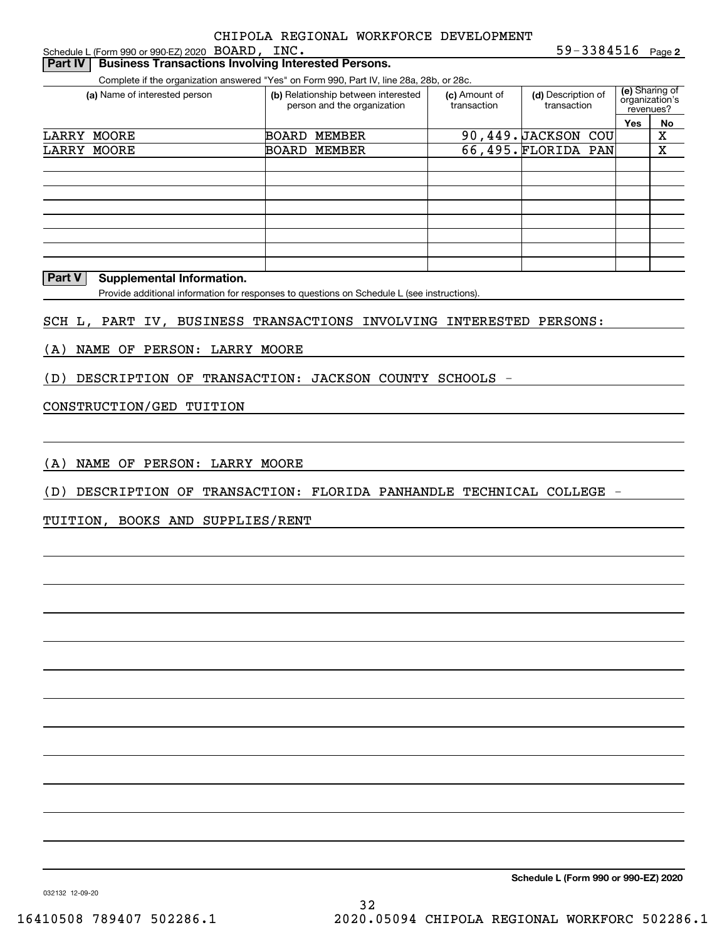|  | CHIPOLA REGIONAL WORKFORCE DEVELOPMENT |
|--|----------------------------------------|
|  |                                        |

**No**

| Schedule L (Form 990 or 990-EZ) 2020 BOARD, INC.                                                                                | CHIPOLA REGIONAL WORKFORCE DEVELOPMENT                             |                                           | 59-3384516 Page 2                 |                             |                   |
|---------------------------------------------------------------------------------------------------------------------------------|--------------------------------------------------------------------|-------------------------------------------|-----------------------------------|-----------------------------|-------------------|
| <b>Business Transactions Involving Interested Persons.</b><br>Part IV                                                           |                                                                    |                                           |                                   |                             |                   |
| Complete if the organization answered "Yes" on Form 990, Part IV, line 28a, 28b, or 28c.                                        |                                                                    |                                           |                                   |                             |                   |
| (a) Name of interested person                                                                                                   | (b) Relationship between interested<br>person and the organization | (c) Amount of<br>transaction              | (d) Description of<br>transaction | organization's<br>revenues? | (e) Sharing of    |
|                                                                                                                                 |                                                                    |                                           |                                   | <b>Yes</b>                  | No<br>$\mathbf X$ |
| <b>LARRY MOORE</b><br><b>LARRY MOORE</b>                                                                                        | <b>BOARD MEMBER</b><br><b>BOARD MEMBER</b>                         | 90,449. JACKSON COU<br>66,495.FLORIDA PAN |                                   |                             | $\mathbf x$       |
|                                                                                                                                 |                                                                    |                                           |                                   |                             |                   |
|                                                                                                                                 |                                                                    |                                           |                                   |                             |                   |
|                                                                                                                                 |                                                                    |                                           |                                   |                             |                   |
|                                                                                                                                 |                                                                    |                                           |                                   |                             |                   |
|                                                                                                                                 |                                                                    |                                           |                                   |                             |                   |
|                                                                                                                                 |                                                                    |                                           |                                   |                             |                   |
|                                                                                                                                 |                                                                    |                                           |                                   |                             |                   |
| <b>Part V</b>                                                                                                                   |                                                                    |                                           |                                   |                             |                   |
| <b>Supplemental Information.</b><br>Provide additional information for responses to questions on Schedule L (see instructions). |                                                                    |                                           |                                   |                             |                   |
|                                                                                                                                 |                                                                    |                                           |                                   |                             |                   |
| SCH L, PART IV, BUSINESS TRANSACTIONS INVOLVING INTERESTED PERSONS:                                                             |                                                                    |                                           |                                   |                             |                   |
| NAME OF PERSON: LARRY MOORE<br>(A)                                                                                              |                                                                    |                                           |                                   |                             |                   |
| DESCRIPTION OF TRANSACTION: JACKSON COUNTY SCHOOLS -<br>(D)                                                                     |                                                                    |                                           |                                   |                             |                   |
| CONSTRUCTION/GED TUITION                                                                                                        |                                                                    |                                           |                                   |                             |                   |
|                                                                                                                                 |                                                                    |                                           |                                   |                             |                   |
| NAME OF PERSON: LARRY MOORE<br>(A)                                                                                              |                                                                    |                                           |                                   |                             |                   |
| (D)<br>DESCRIPTION OF TRANSACTION: FLORIDA PANHANDLE TECHNICAL COLLEGE -                                                        |                                                                    |                                           |                                   |                             |                   |
| TUITION, BOOKS AND SUPPLIES/RENT                                                                                                |                                                                    |                                           |                                   |                             |                   |
|                                                                                                                                 |                                                                    |                                           |                                   |                             |                   |
|                                                                                                                                 |                                                                    |                                           |                                   |                             |                   |

**Schedule L (Form 990 or 990-EZ) 2020**

032132 12-09-20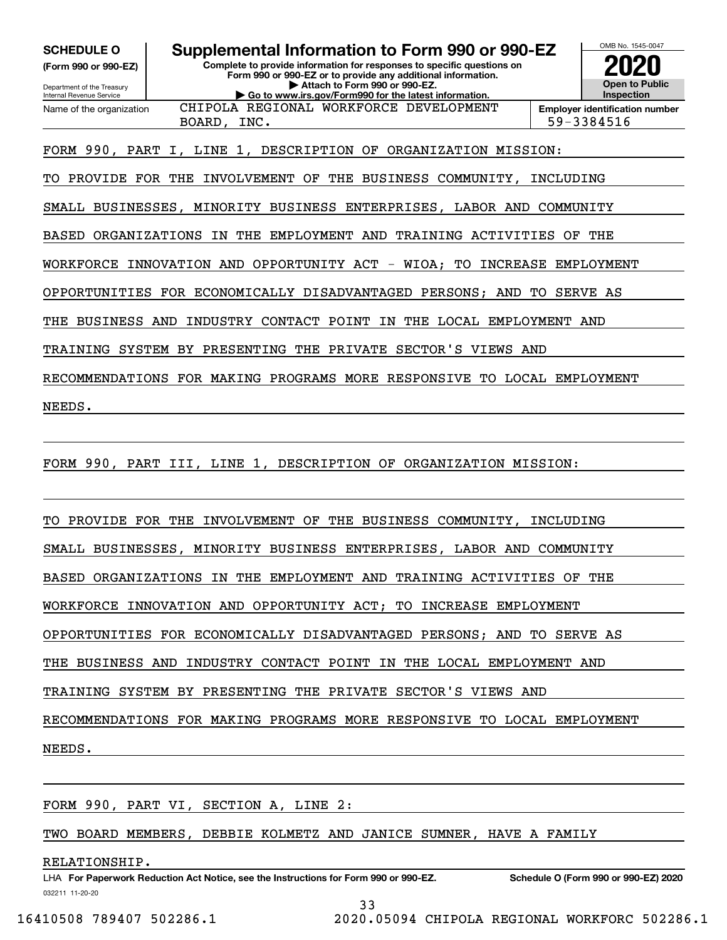**(Form 990 or 990-EZ)**

Department of the Treasury Internal Revenue Service Name of the organization

**SCHEDULE O Supplemental Information to Form 990 or 990-EZ**

**Complete to provide information for responses to specific questions on Form 990 or 990-EZ or to provide any additional information. | Attach to Form 990 or 990-EZ. | Go to www.irs.gov/Form990 for the latest information.**



BOARD, INC. 59-3384516 CHIPOLA REGIONAL WORKFORCE DEVELOPMENT

FORM 990, PART I, LINE 1, DESCRIPTION OF ORGANIZATION MISSION:

TO PROVIDE FOR THE INVOLVEMENT OF THE BUSINESS COMMUNITY, INCLUDING

SMALL BUSINESSES, MINORITY BUSINESS ENTERPRISES, LABOR AND COMMUNITY

BASED ORGANIZATIONS IN THE EMPLOYMENT AND TRAINING ACTIVITIES OF THE

WORKFORCE INNOVATION AND OPPORTUNITY ACT - WIOA; TO INCREASE EMPLOYMENT

OPPORTUNITIES FOR ECONOMICALLY DISADVANTAGED PERSONS; AND TO SERVE AS

THE BUSINESS AND INDUSTRY CONTACT POINT IN THE LOCAL EMPLOYMENT AND

TRAINING SYSTEM BY PRESENTING THE PRIVATE SECTOR'S VIEWS AND

RECOMMENDATIONS FOR MAKING PROGRAMS MORE RESPONSIVE TO LOCAL EMPLOYMENT

NEEDS.

FORM 990, PART III, LINE 1, DESCRIPTION OF ORGANIZATION MISSION:

TO PROVIDE FOR THE INVOLVEMENT OF THE BUSINESS COMMUNITY, INCLUDING

SMALL BUSINESSES, MINORITY BUSINESS ENTERPRISES, LABOR AND COMMUNITY

BASED ORGANIZATIONS IN THE EMPLOYMENT AND TRAINING ACTIVITIES OF THE

WORKFORCE INNOVATION AND OPPORTUNITY ACT; TO INCREASE EMPLOYMENT

OPPORTUNITIES FOR ECONOMICALLY DISADVANTAGED PERSONS; AND TO SERVE AS

THE BUSINESS AND INDUSTRY CONTACT POINT IN THE LOCAL EMPLOYMENT AND

TRAINING SYSTEM BY PRESENTING THE PRIVATE SECTOR'S VIEWS AND

RECOMMENDATIONS FOR MAKING PROGRAMS MORE RESPONSIVE TO LOCAL EMPLOYMENT

NEEDS.

FORM 990, PART VI, SECTION A, LINE 2:

TWO BOARD MEMBERS, DEBBIE KOLMETZ AND JANICE SUMNER, HAVE A FAMILY

RELATIONSHIP.

032211 11-20-20 LHA For Paperwork Reduction Act Notice, see the Instructions for Form 990 or 990-EZ. Schedule O (Form 990 or 990-EZ) 2020 33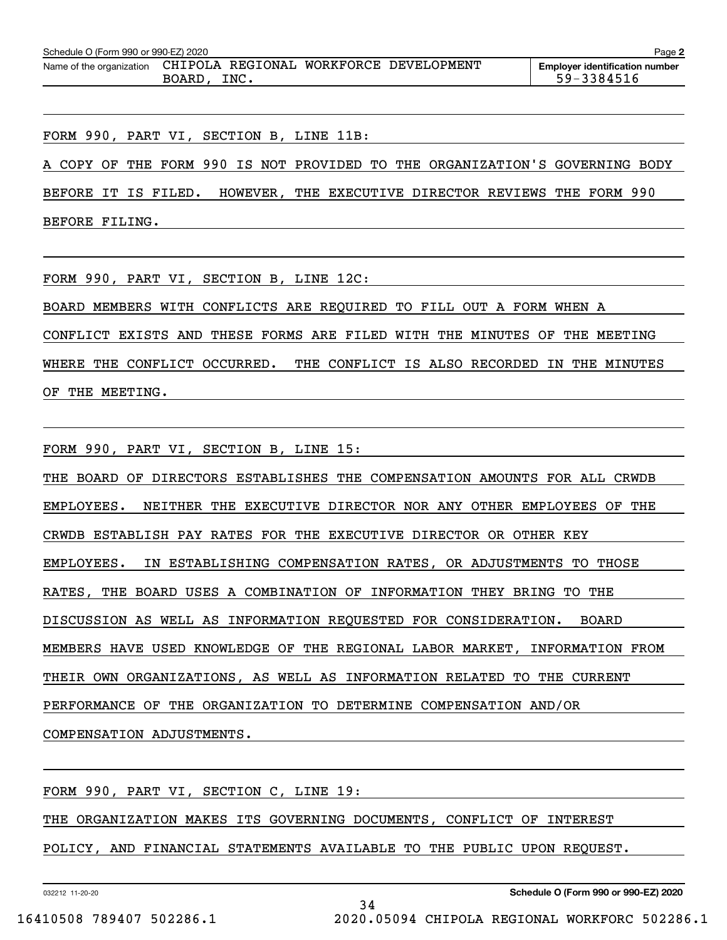| Schedule O (Form 990 or 990-EZ) 2020 | Page 2 |      |  |                                        |                                                     |
|--------------------------------------|--------|------|--|----------------------------------------|-----------------------------------------------------|
| Name of the organization             | BOARD  | INC. |  | CHIPOLA REGIONAL WORKFORCE DEVELOPMENT | <b>Employer identification number</b><br>59-3384516 |

FORM 990, PART VI, SECTION B, LINE 11B:

A COPY OF THE FORM 990 IS NOT PROVIDED TO THE ORGANIZATION'S GOVERNING BODY BEFORE IT IS FILED. HOWEVER, THE EXECUTIVE DIRECTOR REVIEWS THE FORM 990 BEFORE FILING.

FORM 990, PART VI, SECTION B, LINE 12C:

BOARD MEMBERS WITH CONFLICTS ARE REQUIRED TO FILL OUT A FORM WHEN A CONFLICT EXISTS AND THESE FORMS ARE FILED WITH THE MINUTES OF THE MEETING WHERE THE CONFLICT OCCURRED. THE CONFLICT IS ALSO RECORDED IN THE MINUTES OF THE MEETING.

FORM 990, PART VI, SECTION B, LINE 15:

THE BOARD OF DIRECTORS ESTABLISHES THE COMPENSATION AMOUNTS FOR ALL CRWDB EMPLOYEES. NEITHER THE EXECUTIVE DIRECTOR NOR ANY OTHER EMPLOYEES OF THE CRWDB ESTABLISH PAY RATES FOR THE EXECUTIVE DIRECTOR OR OTHER KEY EMPLOYEES. IN ESTABLISHING COMPENSATION RATES, OR ADJUSTMENTS TO THOSE RATES, THE BOARD USES A COMBINATION OF INFORMATION THEY BRING TO THE DISCUSSION AS WELL AS INFORMATION REQUESTED FOR CONSIDERATION. BOARD MEMBERS HAVE USED KNOWLEDGE OF THE REGIONAL LABOR MARKET, INFORMATION FROM THEIR OWN ORGANIZATIONS, AS WELL AS INFORMATION RELATED TO THE CURRENT PERFORMANCE OF THE ORGANIZATION TO DETERMINE COMPENSATION AND/OR COMPENSATION ADJUSTMENTS.

FORM 990, PART VI, SECTION C, LINE 19:

THE ORGANIZATION MAKES ITS GOVERNING DOCUMENTS, CONFLICT OF INTEREST

POLICY, AND FINANCIAL STATEMENTS AVAILABLE TO THE PUBLIC UPON REQUEST.

032212 11-20-20